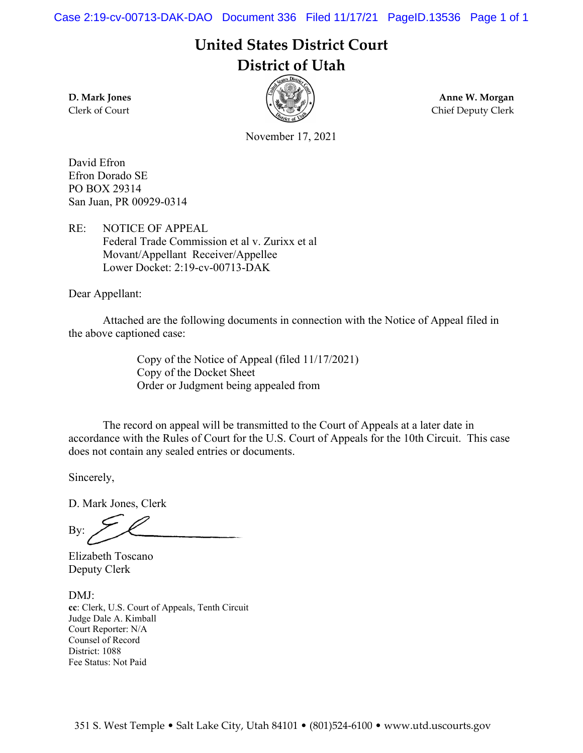Case 2:19-cv-00713-DAK-DAO Document 336 Filed 11/17/21 PageID.13536 Page 1 of 1

**United States District Court District of Utah**



**D. Mark Jones Anne W. Morgan**  Clerk of Court Chief Deputy Clerk

November 17, 2021

David Efron Efron Dorado SE PO BOX 29314 San Juan, PR 00929-0314

RE: NOTICE OF APPEAL Federal Trade Commission et al v. Zurixx et al Movant/Appellant Receiver/Appellee Lower Docket: 2:19-cv-00713-DAK

Dear Appellant:

 Attached are the following documents in connection with the Notice of Appeal filed in the above captioned case:

> Copy of the Notice of Appeal (filed 11/17/2021) Copy of the Docket Sheet Order or Judgment being appealed from

 The record on appeal will be transmitted to the Court of Appeals at a later date in accordance with the Rules of Court for the U.S. Court of Appeals for the 10th Circuit. This case does not contain any sealed entries or documents.

Sincerely,

D. Mark Jones, Clerk

By:

Elizabeth Toscano Deputy Clerk

DMJ: **cc**: Clerk, U.S. Court of Appeals, Tenth Circuit Judge Dale A. Kimball Court Reporter: N/A Counsel of Record District: 1088 Fee Status: Not Paid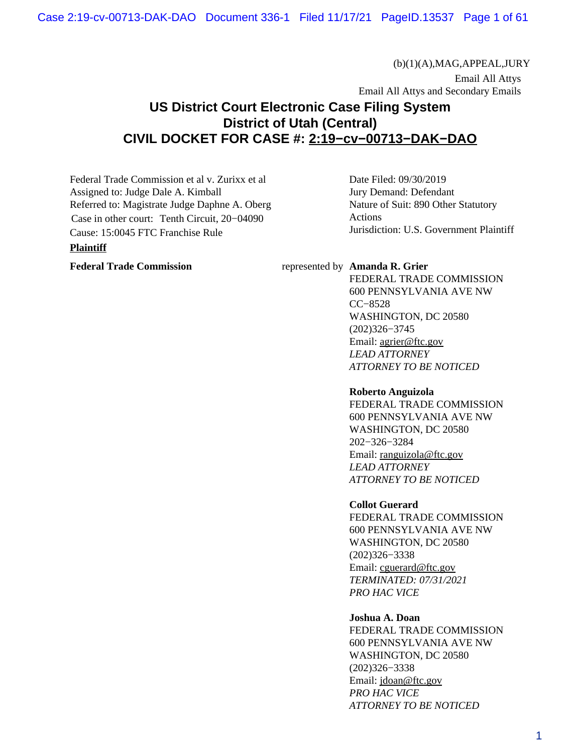(b)(1)(A),MAG,APPEAL,JURY

 Email All Attys Email All Attys and Secondary Emails

# **US District Court Electronic Case Filing System District of Utah (Central) CIVIL DOCKET FOR CASE #: [2:19−cv−00713−DAK−DAO](https://ecf.utd.uscourts.gov/cgi-bin/DktRpt.pl?116790)**

Federal Trade Commission et al v. Zurixx et al Assigned to: Judge Dale A. Kimball Referred to: Magistrate Judge Daphne A. Oberg Case in other court: Tenth Circuit, 20−04090 Cause: 15:0045 FTC Franchise Rule

#### **Plaintiff**

Date Filed: 09/30/2019 Jury Demand: Defendant Nature of Suit: 890 Other Statutory Actions Jurisdiction: U.S. Government Plaintiff

#### Federal Trade Commission represented by **Amanda R. Grier**

FEDERAL TRADE COMMISSION 600 PENNSYLVANIA AVE NW CC−8528 WASHINGTON, DC 20580 (202)326−3745 Email: [agrier@ftc.gov](mailto:agrier@ftc.gov) *LEAD ATTORNEY ATTORNEY TO BE NOTICED*

#### **Roberto Anguizola**

FEDERAL TRADE COMMISSION 600 PENNSYLVANIA AVE NW WASHINGTON, DC 20580 202−326−3284 Email: [ranguizola@ftc.gov](mailto:ranguizola@ftc.gov) *LEAD ATTORNEY ATTORNEY TO BE NOTICED*

#### **Collot Guerard**

FEDERAL TRADE COMMISSION 600 PENNSYLVANIA AVE NW WASHINGTON, DC 20580 (202)326−3338 Email: [cguerard@ftc.gov](mailto:cguerard@ftc.gov) *TERMINATED: 07/31/2021 PRO HAC VICE*

#### **Joshua A. Doan**

FEDERAL TRADE COMMISSION 600 PENNSYLVANIA AVE NW WASHINGTON, DC 20580 (202)326−3338 Email: [jdoan@ftc.gov](mailto:jdoan@ftc.gov) *PRO HAC VICE ATTORNEY TO BE NOTICED*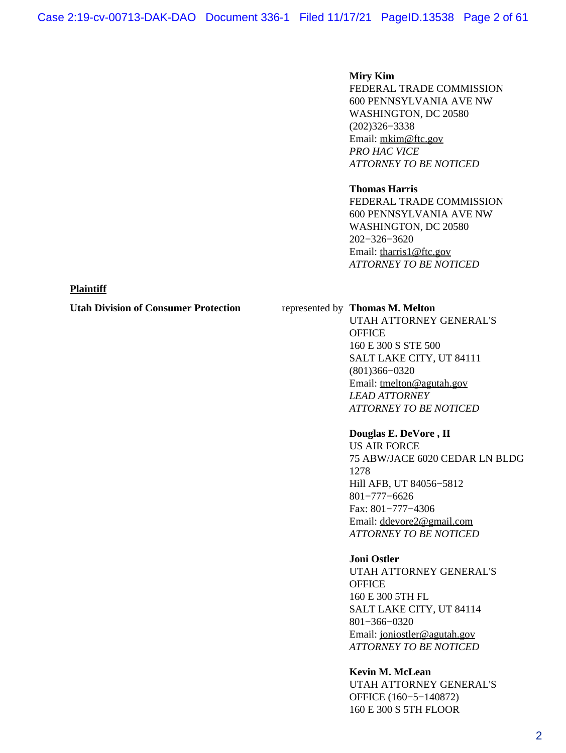#### **Miry Kim**

FEDERAL TRADE COMMISSION 600 PENNSYLVANIA AVE NW WASHINGTON, DC 20580 (202)326−3338 Email: [mkim@ftc.gov](mailto:mkim@ftc.gov) *PRO HAC VICE ATTORNEY TO BE NOTICED*

#### **Thomas Harris**

FEDERAL TRADE COMMISSION 600 PENNSYLVANIA AVE NW WASHINGTON, DC 20580 202−326−3620 Email: [tharris1@ftc.gov](mailto:tharris1@ftc.gov) *ATTORNEY TO BE NOTICED*

#### **Plaintiff**

#### **Utah Division of Consumer Protection** represented by **Thomas M. Melton**

UTAH ATTORNEY GENERAL'S **OFFICE** 160 E 300 S STE 500 SALT LAKE CITY, UT 84111 (801)366−0320 Email: [tmelton@agutah.gov](mailto:tmelton@agutah.gov) *LEAD ATTORNEY ATTORNEY TO BE NOTICED*

#### **Douglas E. DeVore , II**

US AIR FORCE 75 ABW/JACE 6020 CEDAR LN BLDG 1278 Hill AFB, UT 84056−5812 801−777−6626 Fax: 801−777−4306 Email: [ddevore2@gmail.com](mailto:ddevore2@gmail.com) *ATTORNEY TO BE NOTICED*

#### **Joni Ostler**

UTAH ATTORNEY GENERAL'S **OFFICE** 160 E 300 5TH FL SALT LAKE CITY, UT 84114 801−366−0320 Email: [joniostler@agutah.gov](mailto:joniostler@agutah.gov) *ATTORNEY TO BE NOTICED*

#### **Kevin M. McLean**

UTAH ATTORNEY GENERAL'S OFFICE (160−5−140872) 160 E 300 S 5TH FLOOR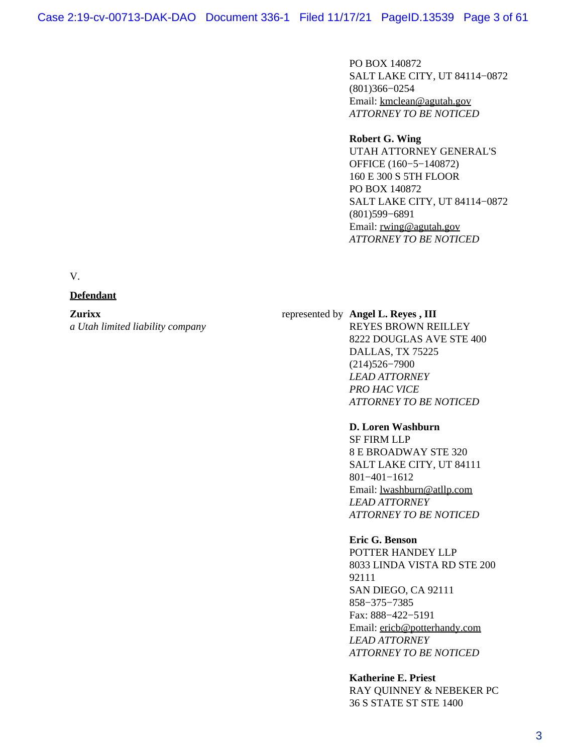PO BOX 140872 SALT LAKE CITY, UT 84114−0872 (801)366−0254 Email: [kmclean@agutah.gov](mailto:kmclean@agutah.gov) *ATTORNEY TO BE NOTICED*

# **Robert G. Wing**

UTAH ATTORNEY GENERAL'S OFFICE (160−5−140872) 160 E 300 S 5TH FLOOR PO BOX 140872 SALT LAKE CITY, UT 84114−0872 (801)599−6891 Email: [rwing@agutah.gov](mailto:rwing@agutah.gov) *ATTORNEY TO BE NOTICED*

V.

## **Defendant**

#### **Zurixx**

*a Utah limited liability company*

## represented by **Angel L. Reyes , III**

REYES BROWN REILLEY 8222 DOUGLAS AVE STE 400 DALLAS, TX 75225 (214)526−7900 *LEAD ATTORNEY PRO HAC VICE ATTORNEY TO BE NOTICED*

#### **D. Loren Washburn**

SF FIRM LLP 8 E BROADWAY STE 320 SALT LAKE CITY, UT 84111 801−401−1612 Email: [lwashburn@atllp.com](mailto:lwashburn@atllp.com) *LEAD ATTORNEY ATTORNEY TO BE NOTICED*

#### **Eric G. Benson**

POTTER HANDEY LLP 8033 LINDA VISTA RD STE 200 92111 SAN DIEGO, CA 92111 858−375−7385 Fax: 888−422−5191 Email: [ericb@potterhandy.com](mailto:ericb@potterhandy.com) *LEAD ATTORNEY ATTORNEY TO BE NOTICED*

**Katherine E. Priest** RAY QUINNEY & NEBEKER PC 36 S STATE ST STE 1400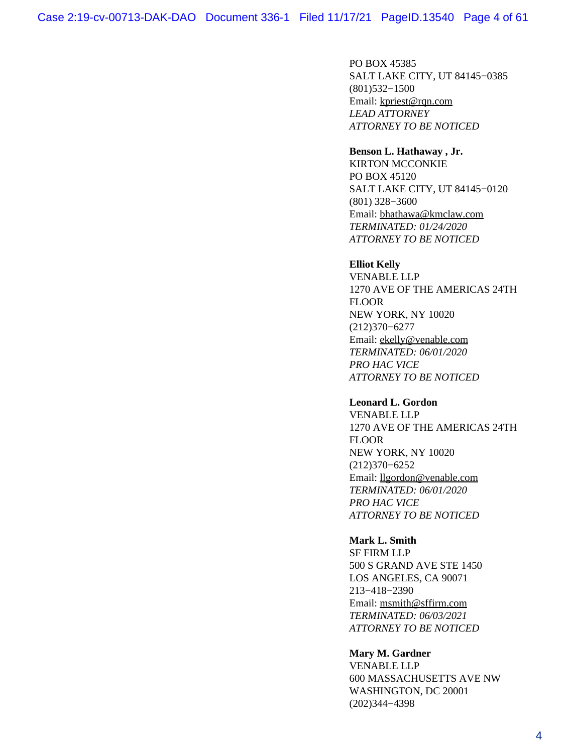PO BOX 45385 SALT LAKE CITY, UT 84145−0385 (801)532−1500 Email: [kpriest@rqn.com](mailto:kpriest@rqn.com) *LEAD ATTORNEY ATTORNEY TO BE NOTICED*

#### **Benson L. Hathaway , Jr.**

KIRTON MCCONKIE PO BOX 45120 SALT LAKE CITY, UT 84145−0120 (801) 328−3600 Email: [bhathawa@kmclaw.com](mailto:bhathawa@kmclaw.com) *TERMINATED: 01/24/2020 ATTORNEY TO BE NOTICED*

#### **Elliot Kelly**

VENABLE LLP 1270 AVE OF THE AMERICAS 24TH FLOOR NEW YORK, NY 10020 (212)370−6277 Email: [ekelly@venable.com](mailto:ekelly@venable.com) *TERMINATED: 06/01/2020 PRO HAC VICE ATTORNEY TO BE NOTICED*

#### **Leonard L. Gordon**

VENABLE LLP 1270 AVE OF THE AMERICAS 24TH FLOOR NEW YORK, NY 10020 (212)370−6252 Email: [llgordon@venable.com](mailto:llgordon@venable.com) *TERMINATED: 06/01/2020 PRO HAC VICE ATTORNEY TO BE NOTICED*

#### **Mark L. Smith**

SF FIRM LLP 500 S GRAND AVE STE 1450 LOS ANGELES, CA 90071 213−418−2390 Email: [msmith@sffirm.com](mailto:msmith@sffirm.com) *TERMINATED: 06/03/2021 ATTORNEY TO BE NOTICED*

#### **Mary M. Gardner**

VENABLE LLP 600 MASSACHUSETTS AVE NW WASHINGTON, DC 20001 (202)344−4398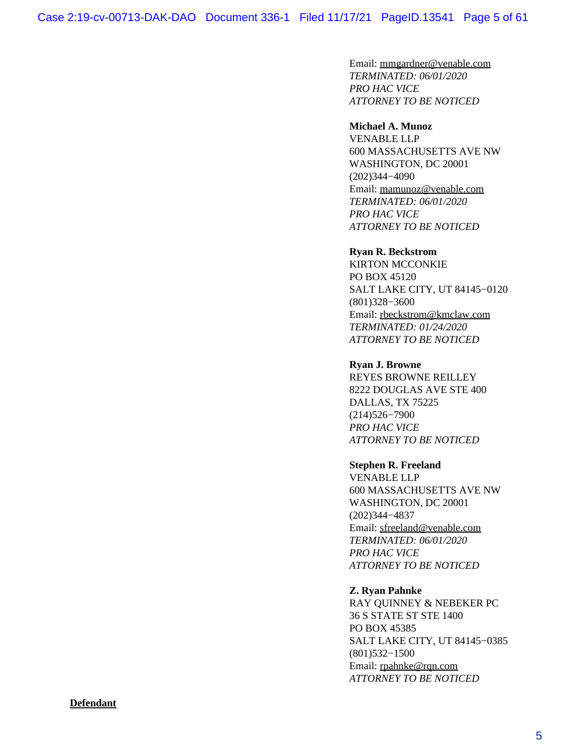Email: [mmgardner@venable.com](mailto:mmgardner@venable.com) *TERMINATED: 06/01/2020 PRO HAC VICE ATTORNEY TO BE NOTICED*

#### **Michael A. Munoz**

VENABLE LLP 600 MASSACHUSETTS AVE NW WASHINGTON, DC 20001 (202)344−4090 Email: [mamunoz@venable.com](mailto:mamunoz@venable.com) *TERMINATED: 06/01/2020 PRO HAC VICE ATTORNEY TO BE NOTICED*

#### **Ryan R. Beckstrom**

KIRTON MCCONKIE PO BOX 45120 SALT LAKE CITY, UT 84145−0120 (801)328−3600 Email: [rbeckstrom@kmclaw.com](mailto:rbeckstrom@kmclaw.com) *TERMINATED: 01/24/2020 ATTORNEY TO BE NOTICED*

#### **Ryan J. Browne**

REYES BROWNE REILLEY 8222 DOUGLAS AVE STE 400 DALLAS, TX 75225 (214)526−7900 *PRO HAC VICE ATTORNEY TO BE NOTICED*

#### **Stephen R. Freeland**

VENABLE LLP 600 MASSACHUSETTS AVE NW WASHINGTON, DC 20001 (202)344−4837 Email: [sfreeland@venable.com](mailto:sfreeland@venable.com) *TERMINATED: 06/01/2020 PRO HAC VICE ATTORNEY TO BE NOTICED*

### **Z. Ryan Pahnke**

RAY QUINNEY & NEBEKER PC 36 S STATE ST STE 1400 PO BOX 45385 SALT LAKE CITY, UT 84145−0385 (801)532−1500 Email: [rpahnke@rqn.com](mailto:rpahnke@rqn.com) *ATTORNEY TO BE NOTICED*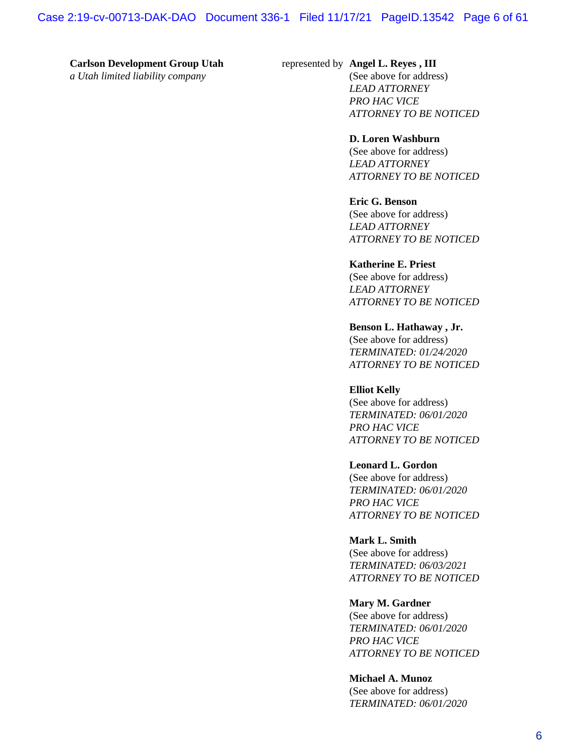#### **Carlson Development Group Utah**

*a Utah limited liability company*

#### represented by **Angel L. Reyes , III**

(See above for address) *LEAD ATTORNEY PRO HAC VICE ATTORNEY TO BE NOTICED*

#### **D. Loren Washburn**

(See above for address) *LEAD ATTORNEY ATTORNEY TO BE NOTICED*

#### **Eric G. Benson**

(See above for address) *LEAD ATTORNEY ATTORNEY TO BE NOTICED*

#### **Katherine E. Priest**

(See above for address) *LEAD ATTORNEY ATTORNEY TO BE NOTICED*

#### **Benson L. Hathaway , Jr.**

(See above for address) *TERMINATED: 01/24/2020 ATTORNEY TO BE NOTICED*

#### **Elliot Kelly**

(See above for address) *TERMINATED: 06/01/2020 PRO HAC VICE ATTORNEY TO BE NOTICED*

#### **Leonard L. Gordon**

(See above for address) *TERMINATED: 06/01/2020 PRO HAC VICE ATTORNEY TO BE NOTICED*

#### **Mark L. Smith**

(See above for address) *TERMINATED: 06/03/2021 ATTORNEY TO BE NOTICED*

#### **Mary M. Gardner**

(See above for address) *TERMINATED: 06/01/2020 PRO HAC VICE ATTORNEY TO BE NOTICED*

**Michael A. Munoz** (See above for address) *TERMINATED: 06/01/2020*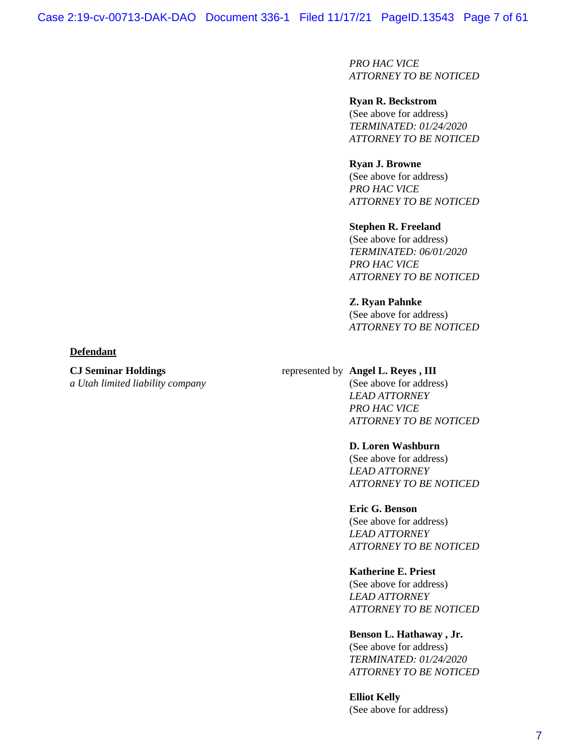*PRO HAC VICE ATTORNEY TO BE NOTICED*

**Ryan R. Beckstrom** (See above for address) *TERMINATED: 01/24/2020 ATTORNEY TO BE NOTICED*

**Ryan J. Browne** (See above for address) *PRO HAC VICE ATTORNEY TO BE NOTICED*

**Stephen R. Freeland** (See above for address) *TERMINATED: 06/01/2020 PRO HAC VICE ATTORNEY TO BE NOTICED*

**Z. Ryan Pahnke** (See above for address) *ATTORNEY TO BE NOTICED*

#### **Defendant**

**CJ Seminar Holdings** *a Utah limited liability company*

## represented by **Angel L. Reyes , III**

(See above for address) *LEAD ATTORNEY PRO HAC VICE ATTORNEY TO BE NOTICED*

#### **D. Loren Washburn**

(See above for address) *LEAD ATTORNEY ATTORNEY TO BE NOTICED*

#### **Eric G. Benson**

(See above for address) *LEAD ATTORNEY ATTORNEY TO BE NOTICED*

#### **Katherine E. Priest**

(See above for address) *LEAD ATTORNEY ATTORNEY TO BE NOTICED*

#### **Benson L. Hathaway , Jr.**

(See above for address) *TERMINATED: 01/24/2020 ATTORNEY TO BE NOTICED*

**Elliot Kelly** (See above for address)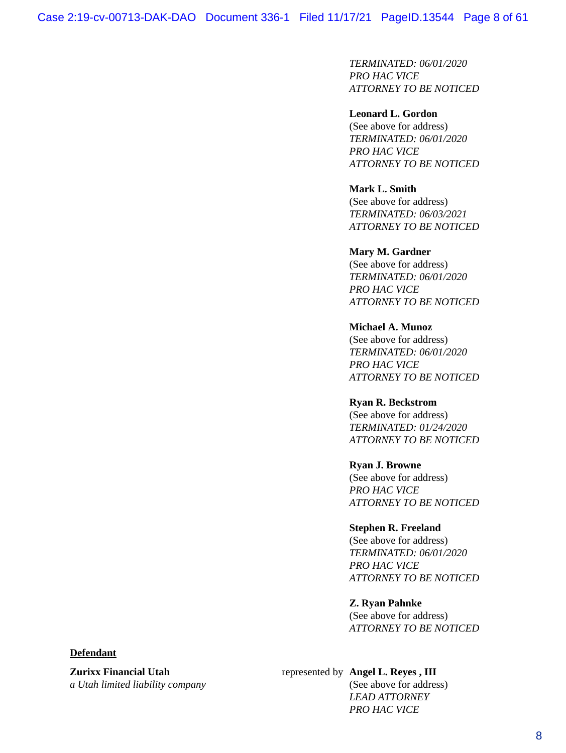*TERMINATED: 06/01/2020 PRO HAC VICE ATTORNEY TO BE NOTICED*

#### **Leonard L. Gordon**

(See above for address) *TERMINATED: 06/01/2020 PRO HAC VICE ATTORNEY TO BE NOTICED*

## **Mark L. Smith**

(See above for address) *TERMINATED: 06/03/2021 ATTORNEY TO BE NOTICED*

#### **Mary M. Gardner**

(See above for address) *TERMINATED: 06/01/2020 PRO HAC VICE ATTORNEY TO BE NOTICED*

#### **Michael A. Munoz**

(See above for address) *TERMINATED: 06/01/2020 PRO HAC VICE ATTORNEY TO BE NOTICED*

#### **Ryan R. Beckstrom**

(See above for address) *TERMINATED: 01/24/2020 ATTORNEY TO BE NOTICED*

#### **Ryan J. Browne**

(See above for address) *PRO HAC VICE ATTORNEY TO BE NOTICED*

#### **Stephen R. Freeland**

(See above for address) *TERMINATED: 06/01/2020 PRO HAC VICE ATTORNEY TO BE NOTICED*

#### **Z. Ryan Pahnke**

(See above for address) *ATTORNEY TO BE NOTICED*

## **Defendant**

**Zurixx Financial Utah** *a Utah limited liability company*

#### represented by **Angel L. Reyes , III**

(See above for address) *LEAD ATTORNEY PRO HAC VICE*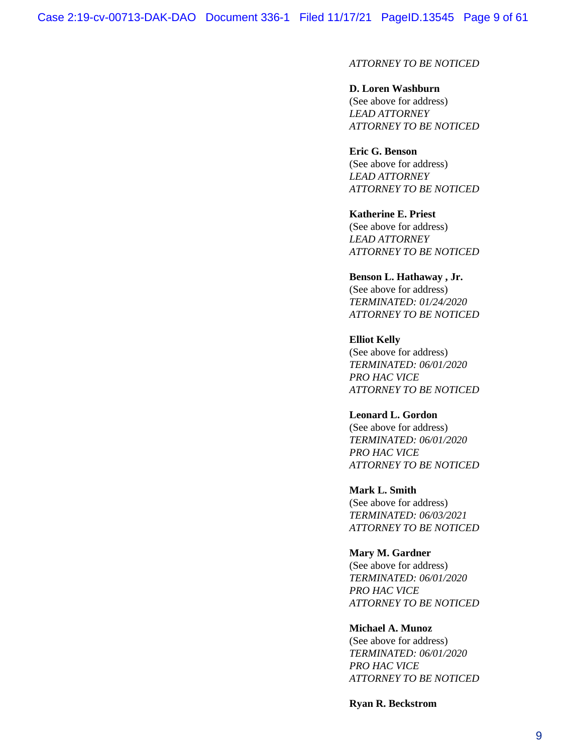## *ATTORNEY TO BE NOTICED*

#### **D. Loren Washburn**

(See above for address) *LEAD ATTORNEY ATTORNEY TO BE NOTICED*

#### **Eric G. Benson**

(See above for address) *LEAD ATTORNEY ATTORNEY TO BE NOTICED*

#### **Katherine E. Priest**

(See above for address) *LEAD ATTORNEY ATTORNEY TO BE NOTICED*

#### **Benson L. Hathaway , Jr.**

(See above for address) *TERMINATED: 01/24/2020 ATTORNEY TO BE NOTICED*

#### **Elliot Kelly**

(See above for address) *TERMINATED: 06/01/2020 PRO HAC VICE ATTORNEY TO BE NOTICED*

#### **Leonard L. Gordon**

(See above for address) *TERMINATED: 06/01/2020 PRO HAC VICE ATTORNEY TO BE NOTICED*

#### **Mark L. Smith**

(See above for address) *TERMINATED: 06/03/2021 ATTORNEY TO BE NOTICED*

#### **Mary M. Gardner**

(See above for address) *TERMINATED: 06/01/2020 PRO HAC VICE ATTORNEY TO BE NOTICED*

#### **Michael A. Munoz**

(See above for address) *TERMINATED: 06/01/2020 PRO HAC VICE ATTORNEY TO BE NOTICED*

**Ryan R. Beckstrom**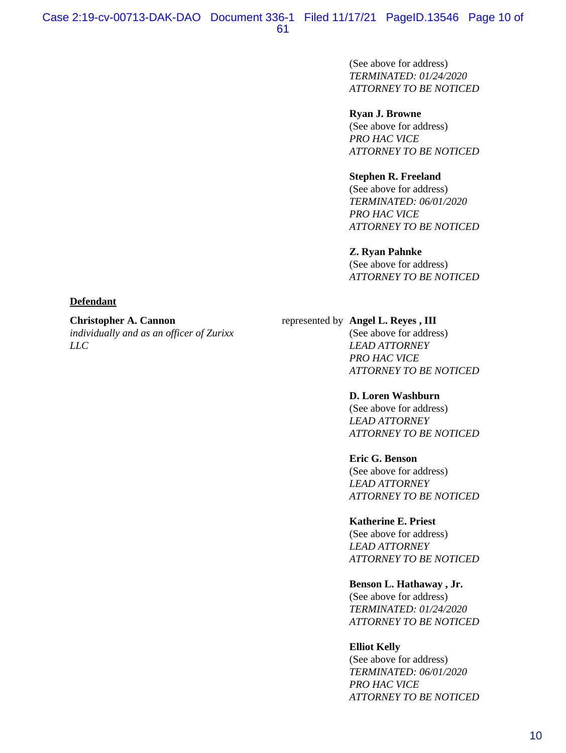(See above for address) *TERMINATED: 01/24/2020 ATTORNEY TO BE NOTICED*

#### **Ryan J. Browne**

(See above for address) *PRO HAC VICE ATTORNEY TO BE NOTICED*

#### **Stephen R. Freeland**

(See above for address) *TERMINATED: 06/01/2020 PRO HAC VICE ATTORNEY TO BE NOTICED*

#### **Z. Ryan Pahnke**

(See above for address) *ATTORNEY TO BE NOTICED*

#### **Defendant**

#### **Christopher A. Cannon**

*individually and as an officer of Zurixx LLC*

## represented by **Angel L. Reyes , III**

(See above for address) *LEAD ATTORNEY PRO HAC VICE ATTORNEY TO BE NOTICED*

#### **D. Loren Washburn**

(See above for address) *LEAD ATTORNEY ATTORNEY TO BE NOTICED*

#### **Eric G. Benson**

(See above for address) *LEAD ATTORNEY ATTORNEY TO BE NOTICED*

#### **Katherine E. Priest**

(See above for address) *LEAD ATTORNEY ATTORNEY TO BE NOTICED*

#### **Benson L. Hathaway , Jr.**

(See above for address) *TERMINATED: 01/24/2020 ATTORNEY TO BE NOTICED*

#### **Elliot Kelly**

(See above for address) *TERMINATED: 06/01/2020 PRO HAC VICE ATTORNEY TO BE NOTICED*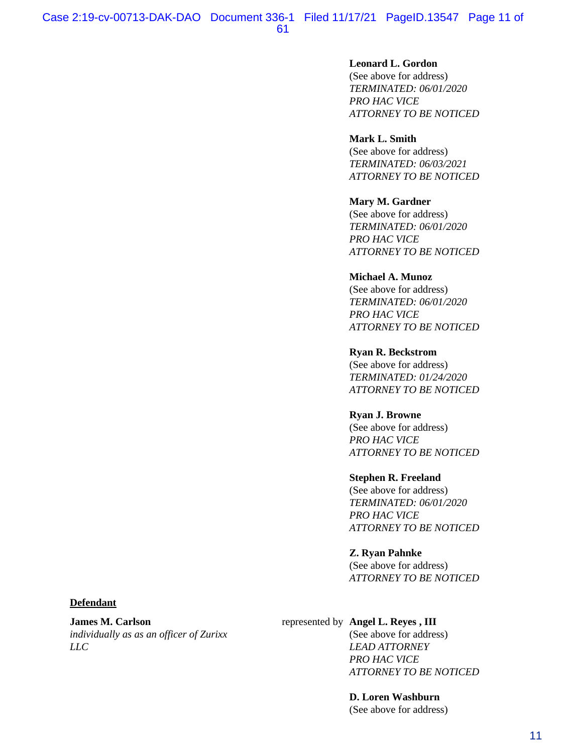#### **Leonard L. Gordon**

(See above for address) *TERMINATED: 06/01/2020 PRO HAC VICE ATTORNEY TO BE NOTICED*

#### **Mark L. Smith**

(See above for address) *TERMINATED: 06/03/2021 ATTORNEY TO BE NOTICED*

#### **Mary M. Gardner**

(See above for address) *TERMINATED: 06/01/2020 PRO HAC VICE ATTORNEY TO BE NOTICED*

#### **Michael A. Munoz**

(See above for address) *TERMINATED: 06/01/2020 PRO HAC VICE ATTORNEY TO BE NOTICED*

#### **Ryan R. Beckstrom**

(See above for address) *TERMINATED: 01/24/2020 ATTORNEY TO BE NOTICED*

#### **Ryan J. Browne**

(See above for address) *PRO HAC VICE ATTORNEY TO BE NOTICED*

#### **Stephen R. Freeland**

(See above for address) *TERMINATED: 06/01/2020 PRO HAC VICE ATTORNEY TO BE NOTICED*

#### **Z. Ryan Pahnke**

(See above for address) *ATTORNEY TO BE NOTICED*

#### **Defendant**

**James M. Carlson** *individually as as an officer of Zurixx LLC*

#### represented by **Angel L. Reyes , III**

(See above for address) *LEAD ATTORNEY PRO HAC VICE ATTORNEY TO BE NOTICED*

# **D. Loren Washburn**

(See above for address)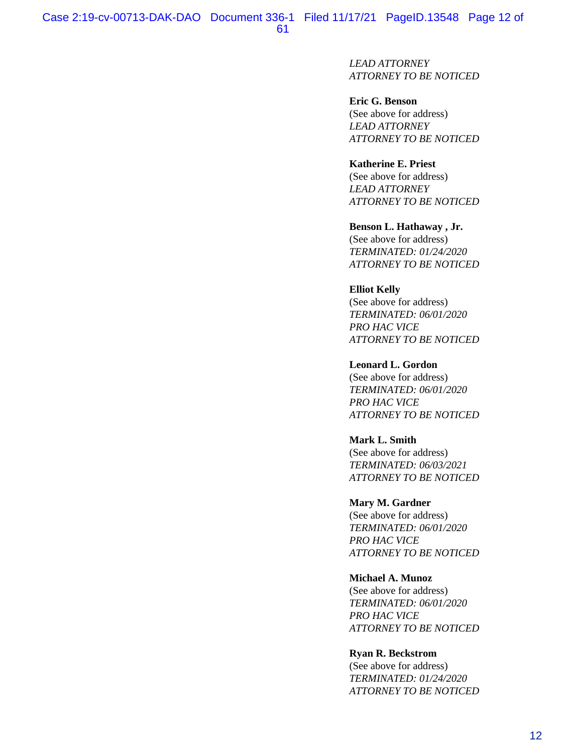*LEAD ATTORNEY ATTORNEY TO BE NOTICED*

**Eric G. Benson** (See above for address) *LEAD ATTORNEY ATTORNEY TO BE NOTICED*

## **Katherine E. Priest**

(See above for address) *LEAD ATTORNEY ATTORNEY TO BE NOTICED*

#### **Benson L. Hathaway , Jr.**

(See above for address) *TERMINATED: 01/24/2020 ATTORNEY TO BE NOTICED*

#### **Elliot Kelly**

(See above for address) *TERMINATED: 06/01/2020 PRO HAC VICE ATTORNEY TO BE NOTICED*

#### **Leonard L. Gordon**

(See above for address) *TERMINATED: 06/01/2020 PRO HAC VICE ATTORNEY TO BE NOTICED*

#### **Mark L. Smith**

(See above for address) *TERMINATED: 06/03/2021 ATTORNEY TO BE NOTICED*

#### **Mary M. Gardner**

(See above for address) *TERMINATED: 06/01/2020 PRO HAC VICE ATTORNEY TO BE NOTICED*

#### **Michael A. Munoz**

(See above for address) *TERMINATED: 06/01/2020 PRO HAC VICE ATTORNEY TO BE NOTICED*

## **Ryan R. Beckstrom**

(See above for address) *TERMINATED: 01/24/2020 ATTORNEY TO BE NOTICED*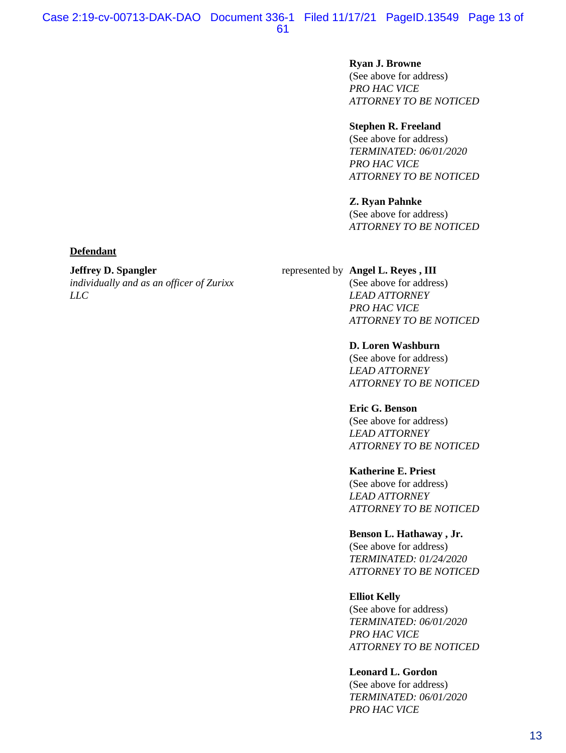#### **Ryan J. Browne**

(See above for address) *PRO HAC VICE ATTORNEY TO BE NOTICED*

## **Stephen R. Freeland**

(See above for address) *TERMINATED: 06/01/2020 PRO HAC VICE ATTORNEY TO BE NOTICED*

#### **Z. Ryan Pahnke**

(See above for address) *ATTORNEY TO BE NOTICED*

#### **Defendant**

#### **Jeffrey D. Spangler**

*individually and as an officer of Zurixx LLC*

represented by **Angel L. Reyes , III**

(See above for address) *LEAD ATTORNEY PRO HAC VICE ATTORNEY TO BE NOTICED*

**D. Loren Washburn** (See above for address) *LEAD ATTORNEY ATTORNEY TO BE NOTICED*

**Eric G. Benson** (See above for address) *LEAD ATTORNEY ATTORNEY TO BE NOTICED*

#### **Katherine E. Priest**

(See above for address) *LEAD ATTORNEY ATTORNEY TO BE NOTICED*

### **Benson L. Hathaway , Jr.**

(See above for address) *TERMINATED: 01/24/2020 ATTORNEY TO BE NOTICED*

#### **Elliot Kelly**

(See above for address) *TERMINATED: 06/01/2020 PRO HAC VICE ATTORNEY TO BE NOTICED*

#### **Leonard L. Gordon**

(See above for address) *TERMINATED: 06/01/2020 PRO HAC VICE*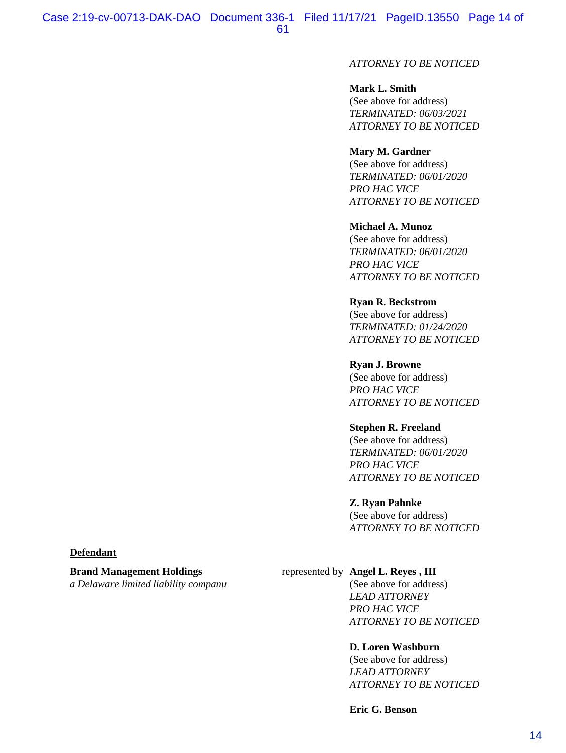## *ATTORNEY TO BE NOTICED*

## **Mark L. Smith**

(See above for address) *TERMINATED: 06/03/2021 ATTORNEY TO BE NOTICED*

#### **Mary M. Gardner**

(See above for address) *TERMINATED: 06/01/2020 PRO HAC VICE ATTORNEY TO BE NOTICED*

#### **Michael A. Munoz**

(See above for address) *TERMINATED: 06/01/2020 PRO HAC VICE ATTORNEY TO BE NOTICED*

#### **Ryan R. Beckstrom**

(See above for address) *TERMINATED: 01/24/2020 ATTORNEY TO BE NOTICED*

#### **Ryan J. Browne**

(See above for address) *PRO HAC VICE ATTORNEY TO BE NOTICED*

#### **Stephen R. Freeland**

(See above for address) *TERMINATED: 06/01/2020 PRO HAC VICE ATTORNEY TO BE NOTICED*

#### **Z. Ryan Pahnke**

(See above for address) *ATTORNEY TO BE NOTICED*

#### **Defendant**

**Brand Management Holdings** *a Delaware limited liability companu*

## represented by **Angel L. Reyes , III**

(See above for address) *LEAD ATTORNEY PRO HAC VICE ATTORNEY TO BE NOTICED*

#### **D. Loren Washburn**

(See above for address) *LEAD ATTORNEY ATTORNEY TO BE NOTICED*

**Eric G. Benson**

#### 14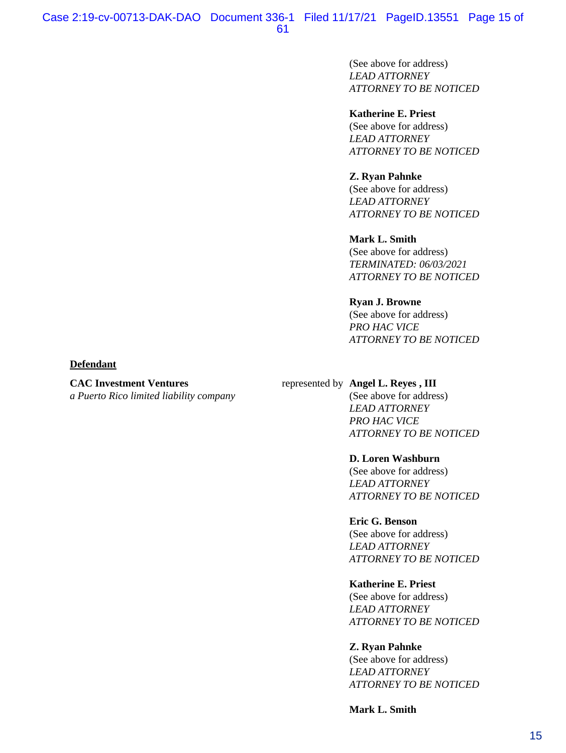(See above for address) *LEAD ATTORNEY ATTORNEY TO BE NOTICED*

#### **Katherine E. Priest**

(See above for address) *LEAD ATTORNEY ATTORNEY TO BE NOTICED*

#### **Z. Ryan Pahnke**

(See above for address) *LEAD ATTORNEY ATTORNEY TO BE NOTICED*

#### **Mark L. Smith**

(See above for address) *TERMINATED: 06/03/2021 ATTORNEY TO BE NOTICED*

#### **Ryan J. Browne**

(See above for address) *PRO HAC VICE ATTORNEY TO BE NOTICED*

#### **Defendant**

#### **CAC Investment Ventures**

*a Puerto Rico limited liability company*

## represented by **Angel L. Reyes , III**

(See above for address) *LEAD ATTORNEY PRO HAC VICE ATTORNEY TO BE NOTICED*

#### **D. Loren Washburn**

(See above for address) *LEAD ATTORNEY ATTORNEY TO BE NOTICED*

#### **Eric G. Benson**

(See above for address) *LEAD ATTORNEY ATTORNEY TO BE NOTICED*

#### **Katherine E. Priest**

(See above for address) *LEAD ATTORNEY ATTORNEY TO BE NOTICED*

#### **Z. Ryan Pahnke**

(See above for address) *LEAD ATTORNEY ATTORNEY TO BE NOTICED*

**Mark L. Smith**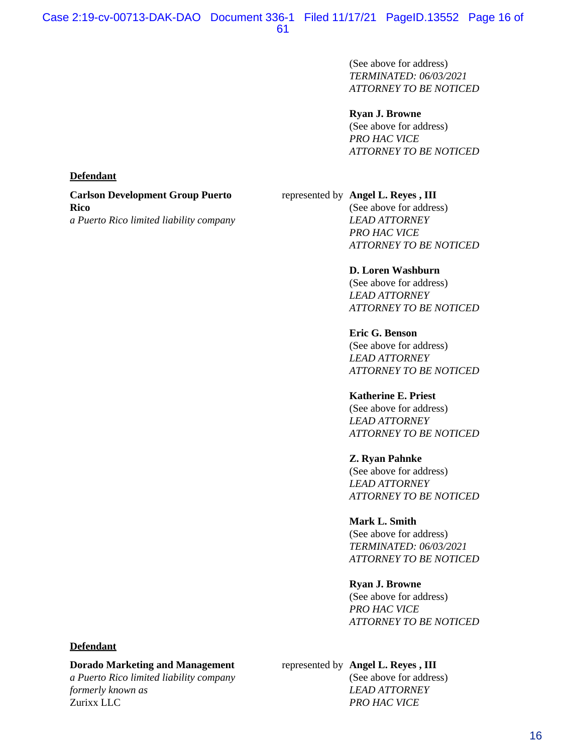(See above for address) *TERMINATED: 06/03/2021 ATTORNEY TO BE NOTICED*

#### **Ryan J. Browne**

(See above for address) *PRO HAC VICE ATTORNEY TO BE NOTICED*

#### **Defendant**

**Carlson Development Group Puerto Rico** *a Puerto Rico limited liability company*

## represented by **Angel L. Reyes , III**

(See above for address) *LEAD ATTORNEY PRO HAC VICE ATTORNEY TO BE NOTICED*

**D. Loren Washburn** (See above for address) *LEAD ATTORNEY ATTORNEY TO BE NOTICED*

**Eric G. Benson** (See above for address) *LEAD ATTORNEY ATTORNEY TO BE NOTICED*

**Katherine E. Priest** (See above for address) *LEAD ATTORNEY ATTORNEY TO BE NOTICED*

**Z. Ryan Pahnke**

(See above for address) *LEAD ATTORNEY ATTORNEY TO BE NOTICED*

**Mark L. Smith** (See above for address) *TERMINATED: 06/03/2021 ATTORNEY TO BE NOTICED*

**Ryan J. Browne**

(See above for address) *PRO HAC VICE ATTORNEY TO BE NOTICED*

#### **Defendant**

#### **Dorado Marketing and Management**

*a Puerto Rico limited liability company formerly known as* Zurixx LLC

## represented by **Angel L. Reyes , III**

(See above for address) *LEAD ATTORNEY PRO HAC VICE*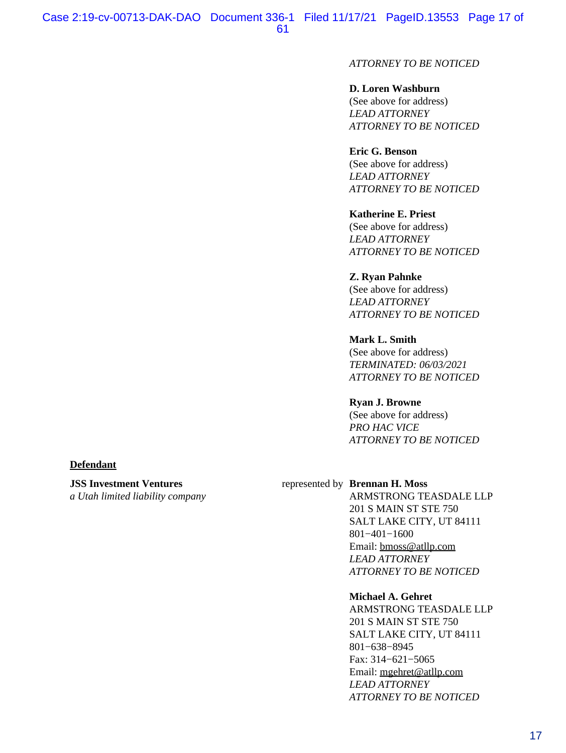## *ATTORNEY TO BE NOTICED*

#### **D. Loren Washburn**

(See above for address) *LEAD ATTORNEY ATTORNEY TO BE NOTICED*

#### **Eric G. Benson**

(See above for address) *LEAD ATTORNEY ATTORNEY TO BE NOTICED*

### **Katherine E. Priest**

(See above for address) *LEAD ATTORNEY ATTORNEY TO BE NOTICED*

## **Z. Ryan Pahnke**

(See above for address) *LEAD ATTORNEY ATTORNEY TO BE NOTICED*

## **Mark L. Smith**

(See above for address) *TERMINATED: 06/03/2021 ATTORNEY TO BE NOTICED*

## **Ryan J. Browne**

(See above for address) *PRO HAC VICE ATTORNEY TO BE NOTICED*

#### **Defendant**

## **JSS Investment Ventures**

*a Utah limited liability company*

#### represented by **Brennan H. Moss**

ARMSTRONG TEASDALE LLP 201 S MAIN ST STE 750 SALT LAKE CITY, UT 84111 801−401−1600 Email: [bmoss@atllp.com](mailto:bmoss@atllp.com) *LEAD ATTORNEY ATTORNEY TO BE NOTICED*

#### **Michael A. Gehret**

ARMSTRONG TEASDALE LLP 201 S MAIN ST STE 750 SALT LAKE CITY, UT 84111 801−638−8945 Fax: 314−621−5065 Email: [mgehret@atllp.com](mailto:mgehret@atllp.com) *LEAD ATTORNEY ATTORNEY TO BE NOTICED*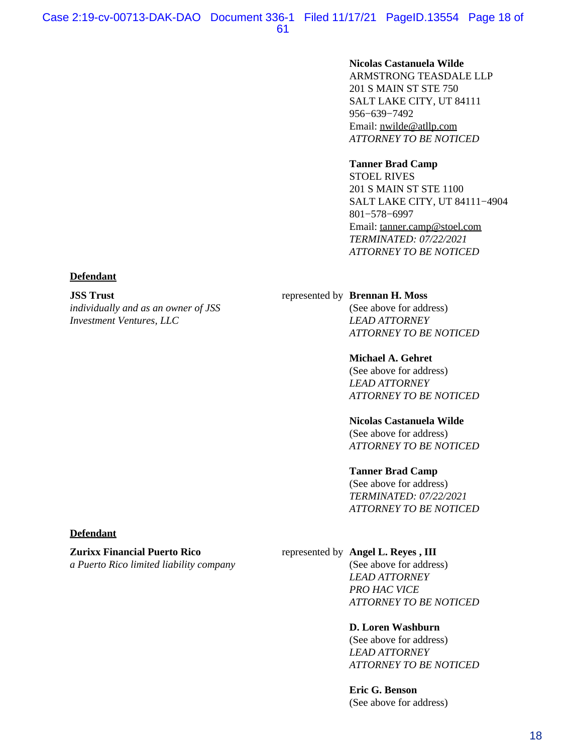#### **Nicolas Castanuela Wilde**

ARMSTRONG TEASDALE LLP 201 S MAIN ST STE 750 SALT LAKE CITY, UT 84111 956−639−7492 Email: [nwilde@atllp.com](mailto:nwilde@atllp.com) *ATTORNEY TO BE NOTICED*

#### **Tanner Brad Camp**

STOEL RIVES 201 S MAIN ST STE 1100 SALT LAKE CITY, UT 84111−4904 801−578−6997 Email: [tanner.camp@stoel.com](mailto:tanner.camp@stoel.com) *TERMINATED: 07/22/2021 ATTORNEY TO BE NOTICED*

#### **Defendant**

**JSS Trust**

*individually and as an owner of JSS Investment Ventures, LLC*

#### represented by **Brennan H. Moss**

(See above for address) *LEAD ATTORNEY ATTORNEY TO BE NOTICED*

#### **Michael A. Gehret**

(See above for address) *LEAD ATTORNEY ATTORNEY TO BE NOTICED*

#### **Nicolas Castanuela Wilde**

(See above for address) *ATTORNEY TO BE NOTICED*

#### **Tanner Brad Camp**

(See above for address) *TERMINATED: 07/22/2021 ATTORNEY TO BE NOTICED*

### **Defendant**

#### **Zurixx Financial Puerto Rico**

*a Puerto Rico limited liability company*

#### represented by **Angel L. Reyes , III**

(See above for address) *LEAD ATTORNEY PRO HAC VICE ATTORNEY TO BE NOTICED*

#### **D. Loren Washburn**

(See above for address) *LEAD ATTORNEY ATTORNEY TO BE NOTICED*

**Eric G. Benson** (See above for address)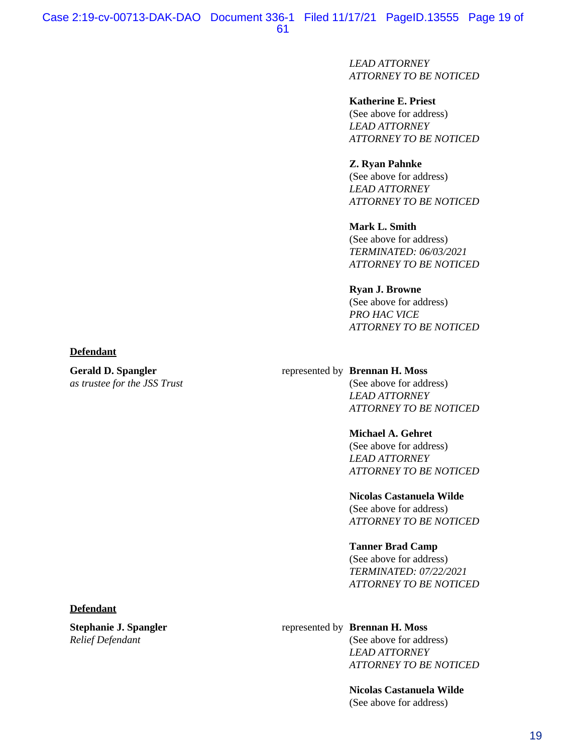*LEAD ATTORNEY ATTORNEY TO BE NOTICED*

**Katherine E. Priest** (See above for address) *LEAD ATTORNEY ATTORNEY TO BE NOTICED*

**Z. Ryan Pahnke** (See above for address) *LEAD ATTORNEY ATTORNEY TO BE NOTICED*

**Mark L. Smith** (See above for address) *TERMINATED: 06/03/2021 ATTORNEY TO BE NOTICED*

**Ryan J. Browne** (See above for address) *PRO HAC VICE ATTORNEY TO BE NOTICED*

#### **Defendant**

**Gerald D. Spangler** *as trustee for the JSS Trust*

#### represented by **Brennan H. Moss**

(See above for address) *LEAD ATTORNEY ATTORNEY TO BE NOTICED*

#### **Michael A. Gehret**

(See above for address) *LEAD ATTORNEY ATTORNEY TO BE NOTICED*

**Nicolas Castanuela Wilde**

(See above for address) *ATTORNEY TO BE NOTICED*

#### **Tanner Brad Camp**

(See above for address) *TERMINATED: 07/22/2021 ATTORNEY TO BE NOTICED*

#### **Defendant**

**Stephanie J. Spangler** *Relief Defendant*

#### represented by **Brennan H. Moss**

(See above for address) *LEAD ATTORNEY ATTORNEY TO BE NOTICED*

**Nicolas Castanuela Wilde** (See above for address)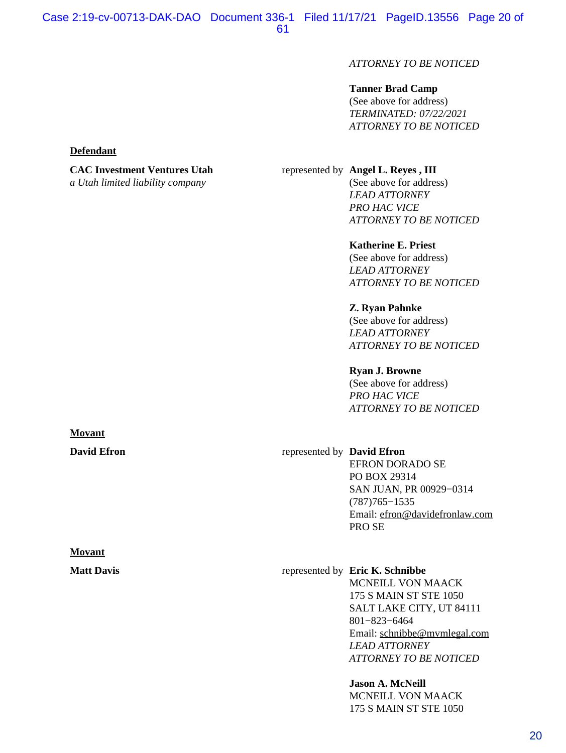## *ATTORNEY TO BE NOTICED*

## **Tanner Brad Camp**

(See above for address) *TERMINATED: 07/22/2021 ATTORNEY TO BE NOTICED*

#### **Defendant**

# **CAC Investment Ventures Utah**

*a Utah limited liability company*

#### represented by **Angel L. Reyes , III**

(See above for address) *LEAD ATTORNEY PRO HAC VICE ATTORNEY TO BE NOTICED*

#### **Katherine E. Priest**

(See above for address) *LEAD ATTORNEY ATTORNEY TO BE NOTICED*

#### **Z. Ryan Pahnke**

(See above for address) *LEAD ATTORNEY ATTORNEY TO BE NOTICED*

#### **Ryan J. Browne**

(See above for address) *PRO HAC VICE ATTORNEY TO BE NOTICED*

## **David Efron** represented by **David Efron**

EFRON DORADO SE PO BOX 29314 SAN JUAN, PR 00929−0314 (787)765−1535 Email: [efron@davidefronlaw.com](mailto:efron@davidefronlaw.com) PRO SE

**Matt Davis** represented by **Eric K. Schnibbe** MCNEILL VON MAACK 175 S MAIN ST STE 1050 SALT LAKE CITY, UT 84111 801−823−6464 Email: [schnibbe@mvmlegal.com](mailto:schnibbe@mvmlegal.com) *LEAD ATTORNEY ATTORNEY TO BE NOTICED*

> **Jason A. McNeill** MCNEILL VON MAACK 175 S MAIN ST STE 1050

# **Movant**

# **Movant**

## 20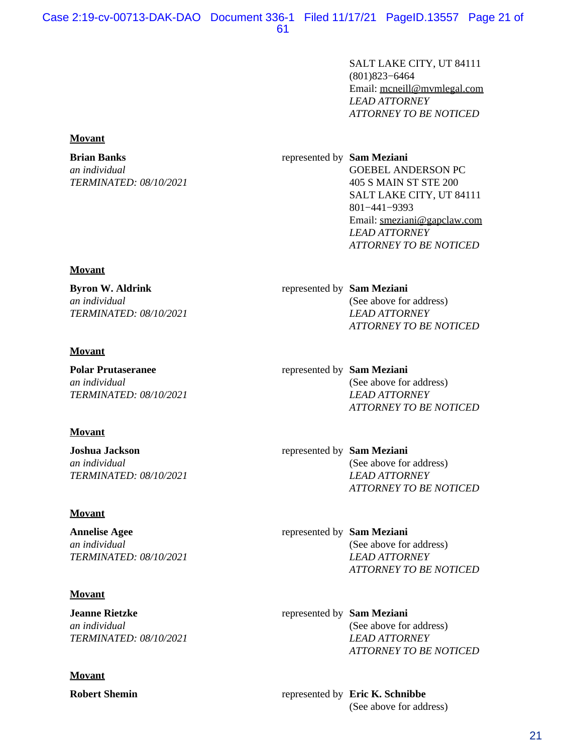SALT LAKE CITY, UT 84111 (801)823−6464 Email: [mcneill@mvmlegal.com](mailto:mcneill@mvmlegal.com) *LEAD ATTORNEY ATTORNEY TO BE NOTICED*

represented by **Sam Meziani** GOEBEL ANDERSON PC 405 S MAIN ST STE 200 SALT LAKE CITY, UT 84111 801−441−9393 Email: [smeziani@gapclaw.com](mailto:smeziani@gapclaw.com) *LEAD ATTORNEY ATTORNEY TO BE NOTICED*

represented by **Sam Meziani** (See above for address) *LEAD ATTORNEY ATTORNEY TO BE NOTICED*

represented by **Sam Meziani** (See above for address) *LEAD ATTORNEY ATTORNEY TO BE NOTICED*

represented by **Sam Meziani** (See above for address) *LEAD ATTORNEY ATTORNEY TO BE NOTICED*

represented by **Sam Meziani** (See above for address) *LEAD ATTORNEY ATTORNEY TO BE NOTICED*

represented by **Sam Meziani** (See above for address) *LEAD ATTORNEY ATTORNEY TO BE NOTICED*

**Robert Shemin** represented by **Eric K. Schnibbe** (See above for address)

#### **Movant**

#### **Brian Banks**

*an individual TERMINATED: 08/10/2021*

#### **Movant**

**Byron W. Aldrink** *an individual TERMINATED: 08/10/2021*

## **Movant**

**Polar Prutaseranee** *an individual TERMINATED: 08/10/2021*

## **Movant**

**Joshua Jackson** *an individual TERMINATED: 08/10/2021*

## **Movant**

**Annelise Agee** *an individual TERMINATED: 08/10/2021*

## **Movant**

**Jeanne Rietzke** *an individual TERMINATED: 08/10/2021*

## **Movant**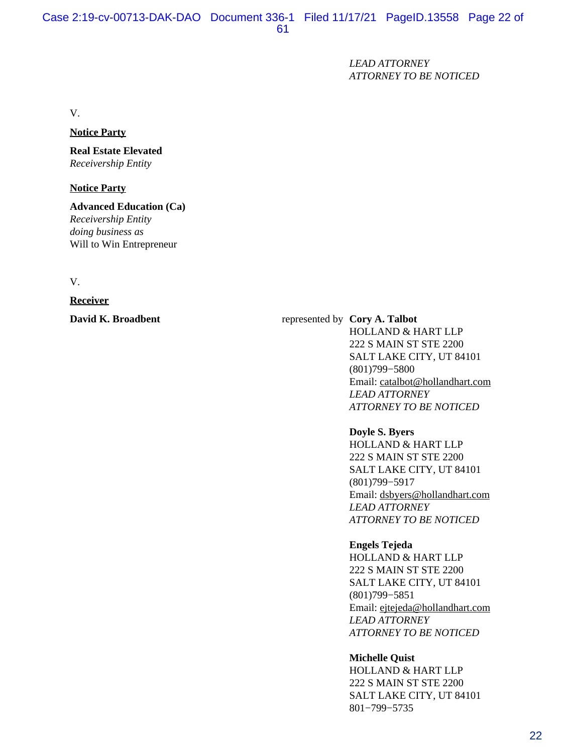*LEAD ATTORNEY ATTORNEY TO BE NOTICED*

V.

#### **Notice Party**

# **Real Estate Elevated**

*Receivership Entity*

## **Notice Party**

**Advanced Education (Ca)** *Receivership Entity doing business as* Will to Win Entrepreneur

V.

**Receiver**

### **David K. Broadbent** represented by **Cory A. Talbot**

HOLLAND & HART LLP 222 S MAIN ST STE 2200 SALT LAKE CITY, UT 84101 (801)799−5800 Email: [catalbot@hollandhart.com](mailto:catalbot@hollandhart.com) *LEAD ATTORNEY ATTORNEY TO BE NOTICED*

#### **Doyle S. Byers**

HOLLAND & HART LLP 222 S MAIN ST STE 2200 SALT LAKE CITY, UT 84101 (801)799−5917 Email: [dsbyers@hollandhart.com](mailto:dsbyers@hollandhart.com) *LEAD ATTORNEY ATTORNEY TO BE NOTICED*

#### **Engels Tejeda**

HOLLAND & HART LLP 222 S MAIN ST STE 2200 SALT LAKE CITY, UT 84101 (801)799−5851 Email: [ejtejeda@hollandhart.com](mailto:ejtejeda@hollandhart.com) *LEAD ATTORNEY ATTORNEY TO BE NOTICED*

## **Michelle Quist**

HOLLAND & HART LLP 222 S MAIN ST STE 2200 SALT LAKE CITY, UT 84101 801−799−5735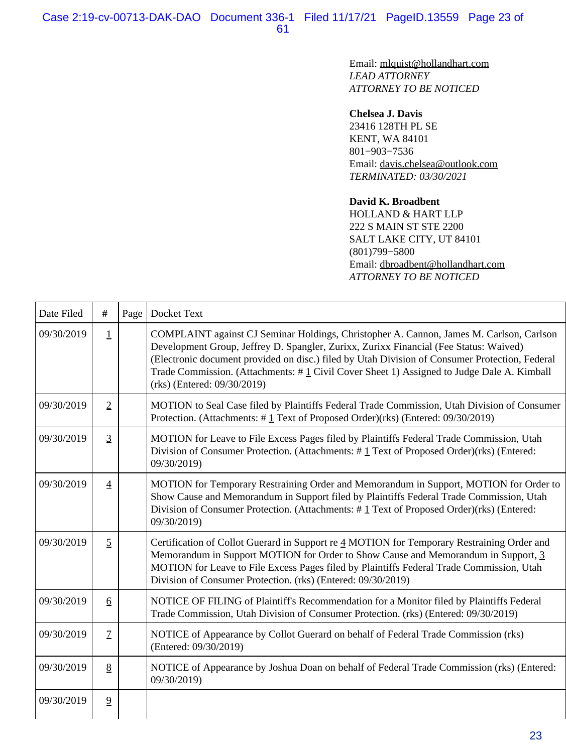Email: [mlquist@hollandhart.com](mailto:mlquist@hollandhart.com) *LEAD ATTORNEY ATTORNEY TO BE NOTICED*

#### **Chelsea J. Davis**

23416 128TH PL SE KENT, WA 84101 801−903−7536 Email: [davis.chelsea@outlook.com](mailto:davis.chelsea@outlook.com) *TERMINATED: 03/30/2021*

#### **David K. Broadbent**

HOLLAND & HART LLP 222 S MAIN ST STE 2200 SALT LAKE CITY, UT 84101 (801)799−5800 Email: [dbroadbent@hollandhart.com](mailto:dbroadbent@hollandhart.com) *ATTORNEY TO BE NOTICED*

| Date Filed | $\#$            | Page | Docket Text                                                                                                                                                                                                                                                                                                                                                                                                      |
|------------|-----------------|------|------------------------------------------------------------------------------------------------------------------------------------------------------------------------------------------------------------------------------------------------------------------------------------------------------------------------------------------------------------------------------------------------------------------|
| 09/30/2019 | $\mathbf 1$     |      | COMPLAINT against CJ Seminar Holdings, Christopher A. Cannon, James M. Carlson, Carlson<br>Development Group, Jeffrey D. Spangler, Zurixx, Zurixx Financial (Fee Status: Waived)<br>(Electronic document provided on disc.) filed by Utah Division of Consumer Protection, Federal<br>Trade Commission. (Attachments: #1 Civil Cover Sheet 1) Assigned to Judge Dale A. Kimball<br>$(rks)$ (Entered: 09/30/2019) |
| 09/30/2019 | $\overline{2}$  |      | MOTION to Seal Case filed by Plaintiffs Federal Trade Commission, Utah Division of Consumer<br>Protection. (Attachments: #1 Text of Proposed Order)(rks) (Entered: 09/30/2019)                                                                                                                                                                                                                                   |
| 09/30/2019 | $\overline{3}$  |      | MOTION for Leave to File Excess Pages filed by Plaintiffs Federal Trade Commission, Utah<br>Division of Consumer Protection. (Attachments: $\#$ 1 Text of Proposed Order)(rks) (Entered:<br>09/30/2019)                                                                                                                                                                                                          |
| 09/30/2019 | $\overline{4}$  |      | MOTION for Temporary Restraining Order and Memorandum in Support, MOTION for Order to<br>Show Cause and Memorandum in Support filed by Plaintiffs Federal Trade Commission, Utah<br>Division of Consumer Protection. (Attachments: $\#$ 1 Text of Proposed Order)(rks) (Entered:<br>09/30/2019)                                                                                                                  |
| 09/30/2019 | $\overline{2}$  |      | Certification of Collot Guerard in Support re 4 MOTION for Temporary Restraining Order and<br>Memorandum in Support MOTION for Order to Show Cause and Memorandum in Support, 3<br>MOTION for Leave to File Excess Pages filed by Plaintiffs Federal Trade Commission, Utah<br>Division of Consumer Protection. (rks) (Entered: 09/30/2019)                                                                      |
| 09/30/2019 | $6\overline{6}$ |      | NOTICE OF FILING of Plaintiff's Recommendation for a Monitor filed by Plaintiffs Federal<br>Trade Commission, Utah Division of Consumer Protection. (rks) (Entered: 09/30/2019)                                                                                                                                                                                                                                  |
| 09/30/2019 | $\mathcal{I}$   |      | NOTICE of Appearance by Collot Guerard on behalf of Federal Trade Commission (rks)<br>(Entered: 09/30/2019)                                                                                                                                                                                                                                                                                                      |
| 09/30/2019 | 8               |      | NOTICE of Appearance by Joshua Doan on behalf of Federal Trade Commission (rks) (Entered:<br>09/30/2019)                                                                                                                                                                                                                                                                                                         |
| 09/30/2019 | $\overline{2}$  |      |                                                                                                                                                                                                                                                                                                                                                                                                                  |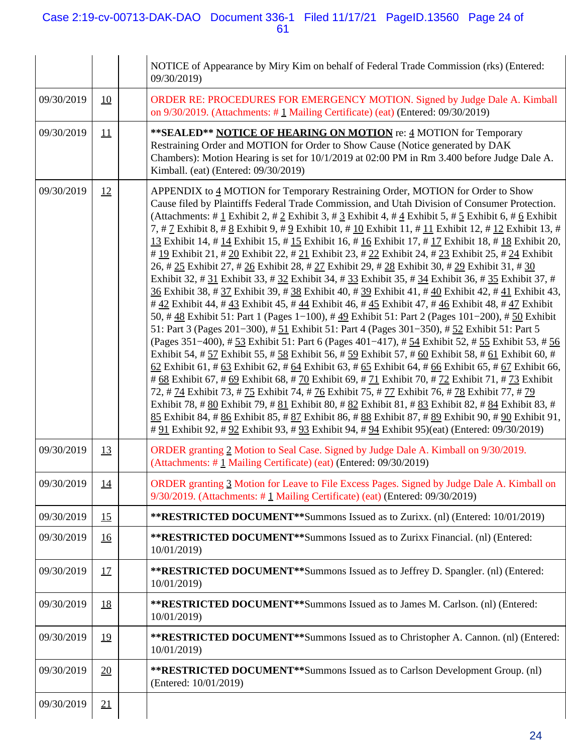## Case 2:19-cv-00713-DAK-DAO Document 336-1 Filed 11/17/21 PageID.13560 Page 24 of 61

|            |           | NOTICE of Appearance by Miry Kim on behalf of Federal Trade Commission (rks) (Entered:<br>09/30/2019)                                                                                                                                                                                                                                                                                                                                                                                                                                                                                                                                                                                                                                                                                                                                                                                                                                                                                                                                                                                                                                                                                                                                                                                                                                                                                                                                                                                                                                                                                                                                                                                                                                                                                                                                                                                                                                                                                                                                                                                                           |
|------------|-----------|-----------------------------------------------------------------------------------------------------------------------------------------------------------------------------------------------------------------------------------------------------------------------------------------------------------------------------------------------------------------------------------------------------------------------------------------------------------------------------------------------------------------------------------------------------------------------------------------------------------------------------------------------------------------------------------------------------------------------------------------------------------------------------------------------------------------------------------------------------------------------------------------------------------------------------------------------------------------------------------------------------------------------------------------------------------------------------------------------------------------------------------------------------------------------------------------------------------------------------------------------------------------------------------------------------------------------------------------------------------------------------------------------------------------------------------------------------------------------------------------------------------------------------------------------------------------------------------------------------------------------------------------------------------------------------------------------------------------------------------------------------------------------------------------------------------------------------------------------------------------------------------------------------------------------------------------------------------------------------------------------------------------------------------------------------------------------------------------------------------------|
| 09/30/2019 | 10        | ORDER RE: PROCEDURES FOR EMERGENCY MOTION. Signed by Judge Dale A. Kimball<br>on $9/30/2019$ . (Attachments: #1 Mailing Certificate) (eat) (Entered: 09/30/2019)                                                                                                                                                                                                                                                                                                                                                                                                                                                                                                                                                                                                                                                                                                                                                                                                                                                                                                                                                                                                                                                                                                                                                                                                                                                                                                                                                                                                                                                                                                                                                                                                                                                                                                                                                                                                                                                                                                                                                |
| 09/30/2019 | 11        | **SEALED** NOTICE OF HEARING ON MOTION re: 4 MOTION for Temporary<br>Restraining Order and MOTION for Order to Show Cause (Notice generated by DAK<br>Chambers): Motion Hearing is set for 10/1/2019 at 02:00 PM in Rm 3.400 before Judge Dale A.<br>Kimball. (eat) (Entered: 09/30/2019)                                                                                                                                                                                                                                                                                                                                                                                                                                                                                                                                                                                                                                                                                                                                                                                                                                                                                                                                                                                                                                                                                                                                                                                                                                                                                                                                                                                                                                                                                                                                                                                                                                                                                                                                                                                                                       |
| 09/30/2019 | 12        | APPENDIX to 4 MOTION for Temporary Restraining Order, MOTION for Order to Show<br>Cause filed by Plaintiffs Federal Trade Commission, and Utah Division of Consumer Protection.<br>(Attachments: # $1$ Exhibit 2, # $2$ Exhibit 3, # $3$ Exhibit 4, # $4$ Exhibit 5, # $5$ Exhibit 6, # $6$ Exhibit<br>7, # 7 Exhibit 8, # 8 Exhibit 9, # 9 Exhibit 10, # 10 Exhibit 11, # 11 Exhibit 12, # 12 Exhibit 13, #<br>13 Exhibit 14, # 14 Exhibit 15, # 15 Exhibit 16, # 16 Exhibit 17, # 17 Exhibit 18, # 18 Exhibit 20,<br># 19 Exhibit 21, # 20 Exhibit 22, # 21 Exhibit 23, # 22 Exhibit 24, # 23 Exhibit 25, # 24 Exhibit<br>26, # 25 Exhibit 27, # 26 Exhibit 28, # 27 Exhibit 29, # 28 Exhibit 30, # 29 Exhibit 31, # 30<br>Exhibit 32, # $31$ Exhibit 33, # $32$ Exhibit 34, # $33$ Exhibit 35, # $34$ Exhibit 36, # $35$ Exhibit 37, #<br>36 Exhibit 38, # 37 Exhibit 39, # 38 Exhibit 40, # 39 Exhibit 41, # 40 Exhibit 42, # 41 Exhibit 43,<br># 42 Exhibit 44, # 43 Exhibit 45, # 44 Exhibit 46, # 45 Exhibit 47, # 46 Exhibit 48, # 47 Exhibit<br>50, # $48$ Exhibit 51: Part 1 (Pages 1–100), # $49$ Exhibit 51: Part 2 (Pages 101–200), # $50$ Exhibit<br>51: Part 3 (Pages 201–300), # 51 Exhibit 51: Part 4 (Pages 301–350), # 52 Exhibit 51: Part 5<br>(Pages 351-400), # 53 Exhibit 51: Part 6 (Pages 401-417), # 54 Exhibit 52, # 55 Exhibit 53, # 56<br>Exhibit 54, # $57$ Exhibit 55, # $58$ Exhibit 56, # $59$ Exhibit 57, # $60$ Exhibit 58, # $61$ Exhibit 60, #<br>62 Exhibit 61, # 63 Exhibit 62, # 64 Exhibit 63, # 65 Exhibit 64, # 66 Exhibit 65, # 67 Exhibit 66,<br># 68 Exhibit 67, # 69 Exhibit 68, # 70 Exhibit 69, # 71 Exhibit 70, # 72 Exhibit 71, # 73 Exhibit<br>72, # 74 Exhibit 73, # 75 Exhibit 74, # 76 Exhibit 75, # 77 Exhibit 76, # 78 Exhibit 77, # 79<br>Exhibit 78, # 80 Exhibit 79, # 81 Exhibit 80, # 82 Exhibit 81, # 83 Exhibit 82, # 84 Exhibit 83, #<br>85 Exhibit 84, # 86 Exhibit 85, # 87 Exhibit 86, # 88 Exhibit 87, # 89 Exhibit 90, # 90 Exhibit 91,<br># 91 Exhibit 92, # 92 Exhibit 93, # 93 Exhibit 94, # 94 Exhibit 95)(eat) (Entered: 09/30/2019) |
| 09/30/2019 | 13        | ORDER granting 2 Motion to Seal Case. Signed by Judge Dale A. Kimball on 9/30/2019.<br>(Attachments: #1 Mailing Certificate) (eat) (Entered: 09/30/2019)                                                                                                                                                                                                                                                                                                                                                                                                                                                                                                                                                                                                                                                                                                                                                                                                                                                                                                                                                                                                                                                                                                                                                                                                                                                                                                                                                                                                                                                                                                                                                                                                                                                                                                                                                                                                                                                                                                                                                        |
| 09/30/2019 | <u>14</u> | ORDER granting 3 Motion for Leave to File Excess Pages. Signed by Judge Dale A. Kimball on<br>9/30/2019. (Attachments: #1 Mailing Certificate) (eat) (Entered: 09/30/2019)                                                                                                                                                                                                                                                                                                                                                                                                                                                                                                                                                                                                                                                                                                                                                                                                                                                                                                                                                                                                                                                                                                                                                                                                                                                                                                                                                                                                                                                                                                                                                                                                                                                                                                                                                                                                                                                                                                                                      |
| 09/30/2019 | 15        | **RESTRICTED DOCUMENT**Summons Issued as to Zurixx. (nl) (Entered: 10/01/2019)                                                                                                                                                                                                                                                                                                                                                                                                                                                                                                                                                                                                                                                                                                                                                                                                                                                                                                                                                                                                                                                                                                                                                                                                                                                                                                                                                                                                                                                                                                                                                                                                                                                                                                                                                                                                                                                                                                                                                                                                                                  |
| 09/30/2019 | <u>16</u> | <b>**RESTRICTED DOCUMENT**Summons Issued as to Zurixx Financial. (nl) (Entered:</b><br>10/01/2019)                                                                                                                                                                                                                                                                                                                                                                                                                                                                                                                                                                                                                                                                                                                                                                                                                                                                                                                                                                                                                                                                                                                                                                                                                                                                                                                                                                                                                                                                                                                                                                                                                                                                                                                                                                                                                                                                                                                                                                                                              |
| 09/30/2019 | <u>17</u> | **RESTRICTED DOCUMENT**Summons Issued as to Jeffrey D. Spangler. (nl) (Entered:<br>10/01/2019)                                                                                                                                                                                                                                                                                                                                                                                                                                                                                                                                                                                                                                                                                                                                                                                                                                                                                                                                                                                                                                                                                                                                                                                                                                                                                                                                                                                                                                                                                                                                                                                                                                                                                                                                                                                                                                                                                                                                                                                                                  |
| 09/30/2019 | <u>18</u> | **RESTRICTED DOCUMENT**Summons Issued as to James M. Carlson. (nl) (Entered:<br>10/01/2019)                                                                                                                                                                                                                                                                                                                                                                                                                                                                                                                                                                                                                                                                                                                                                                                                                                                                                                                                                                                                                                                                                                                                                                                                                                                                                                                                                                                                                                                                                                                                                                                                                                                                                                                                                                                                                                                                                                                                                                                                                     |
| 09/30/2019 | <u>19</u> | <b>**RESTRICTED DOCUMENT**Summons Issued as to Christopher A. Cannon. (nl) (Entered:</b><br>10/01/2019)                                                                                                                                                                                                                                                                                                                                                                                                                                                                                                                                                                                                                                                                                                                                                                                                                                                                                                                                                                                                                                                                                                                                                                                                                                                                                                                                                                                                                                                                                                                                                                                                                                                                                                                                                                                                                                                                                                                                                                                                         |
| 09/30/2019 | 20        | <b>**RESTRICTED DOCUMENT**Summons Issued as to Carlson Development Group. (nl)</b><br>(Entered: 10/01/2019)                                                                                                                                                                                                                                                                                                                                                                                                                                                                                                                                                                                                                                                                                                                                                                                                                                                                                                                                                                                                                                                                                                                                                                                                                                                                                                                                                                                                                                                                                                                                                                                                                                                                                                                                                                                                                                                                                                                                                                                                     |
| 09/30/2019 | 21        |                                                                                                                                                                                                                                                                                                                                                                                                                                                                                                                                                                                                                                                                                                                                                                                                                                                                                                                                                                                                                                                                                                                                                                                                                                                                                                                                                                                                                                                                                                                                                                                                                                                                                                                                                                                                                                                                                                                                                                                                                                                                                                                 |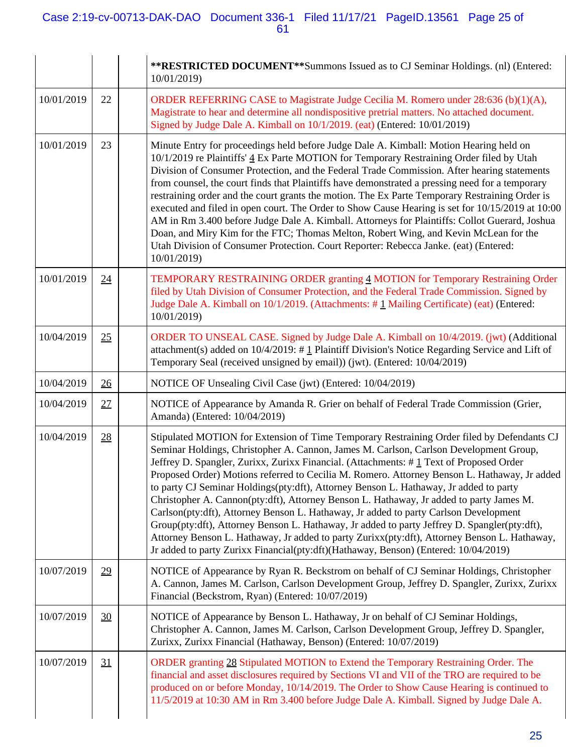|            |    | **RESTRICTED DOCUMENT**Summons Issued as to CJ Seminar Holdings. (nl) (Entered:<br>10/01/2019)                                                                                                                                                                                                                                                                                                                                                                                                                                                                                                                                                                                                                                                                                                                                                                                                                                                   |
|------------|----|--------------------------------------------------------------------------------------------------------------------------------------------------------------------------------------------------------------------------------------------------------------------------------------------------------------------------------------------------------------------------------------------------------------------------------------------------------------------------------------------------------------------------------------------------------------------------------------------------------------------------------------------------------------------------------------------------------------------------------------------------------------------------------------------------------------------------------------------------------------------------------------------------------------------------------------------------|
| 10/01/2019 | 22 | ORDER REFERRING CASE to Magistrate Judge Cecilia M. Romero under $28:636(b)(1)(A)$ ,<br>Magistrate to hear and determine all nondispositive pretrial matters. No attached document.<br>Signed by Judge Dale A. Kimball on 10/1/2019. (eat) (Entered: 10/01/2019)                                                                                                                                                                                                                                                                                                                                                                                                                                                                                                                                                                                                                                                                                 |
| 10/01/2019 | 23 | Minute Entry for proceedings held before Judge Dale A. Kimball: Motion Hearing held on<br>10/1/2019 re Plaintiffs' 4 Ex Parte MOTION for Temporary Restraining Order filed by Utah<br>Division of Consumer Protection, and the Federal Trade Commission. After hearing statements<br>from counsel, the court finds that Plaintiffs have demonstrated a pressing need for a temporary<br>restraining order and the court grants the motion. The Ex Parte Temporary Restraining Order is<br>executed and filed in open court. The Order to Show Cause Hearing is set for 10/15/2019 at 10:00<br>AM in Rm 3.400 before Judge Dale A. Kimball. Attorneys for Plaintiffs: Collot Guerard, Joshua<br>Doan, and Miry Kim for the FTC; Thomas Melton, Robert Wing, and Kevin McLean for the<br>Utah Division of Consumer Protection. Court Reporter: Rebecca Janke. (eat) (Entered:<br>10/01/2019)                                                       |
| 10/01/2019 | 24 | TEMPORARY RESTRAINING ORDER granting 4 MOTION for Temporary Restraining Order<br>filed by Utah Division of Consumer Protection, and the Federal Trade Commission. Signed by<br>Judge Dale A. Kimball on 10/1/2019. (Attachments: #1 Mailing Certificate) (eat) (Entered:<br>10/01/2019)                                                                                                                                                                                                                                                                                                                                                                                                                                                                                                                                                                                                                                                          |
| 10/04/2019 | 25 | ORDER TO UNSEAL CASE. Signed by Judge Dale A. Kimball on 10/4/2019. (jwt) (Additional<br>attachment(s) added on $10/4/2019$ : # 1 Plaintiff Division's Notice Regarding Service and Lift of<br>Temporary Seal (received unsigned by email)) (jwt). (Entered: 10/04/2019)                                                                                                                                                                                                                                                                                                                                                                                                                                                                                                                                                                                                                                                                         |
| 10/04/2019 | 26 | NOTICE OF Unsealing Civil Case (jwt) (Entered: 10/04/2019)                                                                                                                                                                                                                                                                                                                                                                                                                                                                                                                                                                                                                                                                                                                                                                                                                                                                                       |
| 10/04/2019 | 27 | NOTICE of Appearance by Amanda R. Grier on behalf of Federal Trade Commission (Grier,<br>Amanda) (Entered: 10/04/2019)                                                                                                                                                                                                                                                                                                                                                                                                                                                                                                                                                                                                                                                                                                                                                                                                                           |
| 10/04/2019 | 28 | Stipulated MOTION for Extension of Time Temporary Restraining Order filed by Defendants CJ<br>Seminar Holdings, Christopher A. Cannon, James M. Carlson, Carlson Development Group,<br>Jeffrey D. Spangler, Zurixx, Zurixx Financial. (Attachments: #1 Text of Proposed Order<br>Proposed Order) Motions referred to Cecilia M. Romero. Attorney Benson L. Hathaway, Jr added<br>to party CJ Seminar Holdings(pty:dft), Attorney Benson L. Hathaway, Jr added to party<br>Christopher A. Cannon(pty:dft), Attorney Benson L. Hathaway, Jr added to party James M.<br>Carlson(pty:dft), Attorney Benson L. Hathaway, Jr added to party Carlson Development<br>Group(pty:dft), Attorney Benson L. Hathaway, Jr added to party Jeffrey D. Spangler(pty:dft),<br>Attorney Benson L. Hathaway, Jr added to party Zurixx(pty:dft), Attorney Benson L. Hathaway,<br>Jr added to party Zurixx Financial(pty:dft)(Hathaway, Benson) (Entered: 10/04/2019) |
| 10/07/2019 | 29 | NOTICE of Appearance by Ryan R. Beckstrom on behalf of CJ Seminar Holdings, Christopher<br>A. Cannon, James M. Carlson, Carlson Development Group, Jeffrey D. Spangler, Zurixx, Zurixx<br>Financial (Beckstrom, Ryan) (Entered: 10/07/2019)                                                                                                                                                                                                                                                                                                                                                                                                                                                                                                                                                                                                                                                                                                      |
| 10/07/2019 | 30 | NOTICE of Appearance by Benson L. Hathaway, Jr on behalf of CJ Seminar Holdings,<br>Christopher A. Cannon, James M. Carlson, Carlson Development Group, Jeffrey D. Spangler,<br>Zurixx, Zurixx Financial (Hathaway, Benson) (Entered: 10/07/2019)                                                                                                                                                                                                                                                                                                                                                                                                                                                                                                                                                                                                                                                                                                |
| 10/07/2019 | 31 | ORDER granting 28 Stipulated MOTION to Extend the Temporary Restraining Order. The<br>financial and asset disclosures required by Sections VI and VII of the TRO are required to be<br>produced on or before Monday, 10/14/2019. The Order to Show Cause Hearing is continued to<br>11/5/2019 at 10:30 AM in Rm 3.400 before Judge Dale A. Kimball. Signed by Judge Dale A.                                                                                                                                                                                                                                                                                                                                                                                                                                                                                                                                                                      |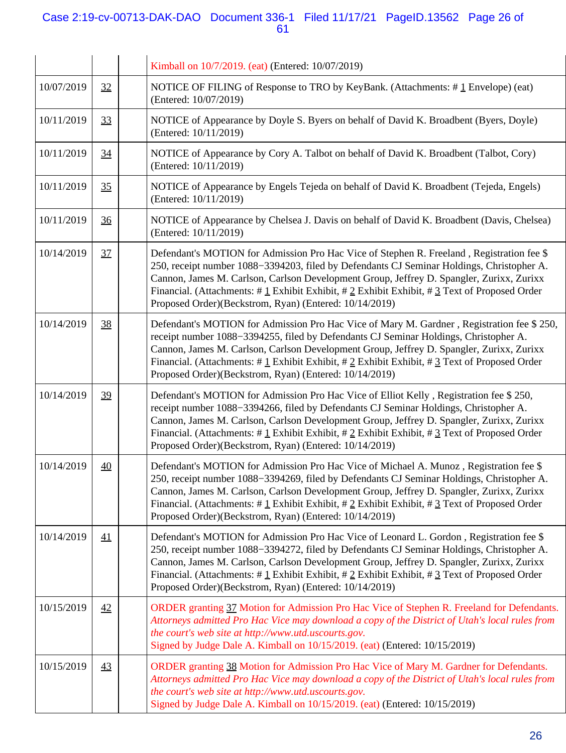## Case 2:19-cv-00713-DAK-DAO Document 336-1 Filed 11/17/21 PageID.13562 Page 26 of 61

|            |                 | Kimball on 10/7/2019. (eat) (Entered: 10/07/2019)                                                                                                                                                                                                                                                                                                                                                                                                            |
|------------|-----------------|--------------------------------------------------------------------------------------------------------------------------------------------------------------------------------------------------------------------------------------------------------------------------------------------------------------------------------------------------------------------------------------------------------------------------------------------------------------|
| 10/07/2019 | 32              | NOTICE OF FILING of Response to TRO by KeyBank. (Attachments: $\#$ 1 Envelope) (eat)<br>(Entered: 10/07/2019)                                                                                                                                                                                                                                                                                                                                                |
| 10/11/2019 | 33              | NOTICE of Appearance by Doyle S. Byers on behalf of David K. Broadbent (Byers, Doyle)<br>(Entered: 10/11/2019)                                                                                                                                                                                                                                                                                                                                               |
| 10/11/2019 | 34              | NOTICE of Appearance by Cory A. Talbot on behalf of David K. Broadbent (Talbot, Cory)<br>(Entered: 10/11/2019)                                                                                                                                                                                                                                                                                                                                               |
| 10/11/2019 | 35              | NOTICE of Appearance by Engels Tejeda on behalf of David K. Broadbent (Tejeda, Engels)<br>(Entered: 10/11/2019)                                                                                                                                                                                                                                                                                                                                              |
| 10/11/2019 | $\frac{36}{5}$  | NOTICE of Appearance by Chelsea J. Davis on behalf of David K. Broadbent (Davis, Chelsea)<br>(Entered: 10/11/2019)                                                                                                                                                                                                                                                                                                                                           |
| 10/14/2019 | 37              | Defendant's MOTION for Admission Pro Hac Vice of Stephen R. Freeland, Registration fee \$<br>250, receipt number 1088–3394203, filed by Defendants CJ Seminar Holdings, Christopher A.<br>Cannon, James M. Carlson, Carlson Development Group, Jeffrey D. Spangler, Zurixx, Zurixx<br>Financial. (Attachments: $\#$ 1 Exhibit Exhibit, $\#$ 2 Exhibit Exhibit, $\#$ 3 Text of Proposed Order<br>Proposed Order)(Beckstrom, Ryan) (Entered: 10/14/2019)       |
| 10/14/2019 | 38              | Defendant's MOTION for Admission Pro Hac Vice of Mary M. Gardner, Registration fee \$250,<br>receipt number 1088-3394255, filed by Defendants CJ Seminar Holdings, Christopher A.<br>Cannon, James M. Carlson, Carlson Development Group, Jeffrey D. Spangler, Zurixx, Zurixx<br>Financial. (Attachments: #1 Exhibit Exhibit, #2 Exhibit Exhibit, #3 Text of Proposed Order<br>Proposed Order)(Beckstrom, Ryan) (Entered: 10/14/2019)                        |
| 10/14/2019 | 39              | Defendant's MOTION for Admission Pro Hac Vice of Elliot Kelly, Registration fee \$250,<br>receipt number 1088-3394266, filed by Defendants CJ Seminar Holdings, Christopher A.<br>Cannon, James M. Carlson, Carlson Development Group, Jeffrey D. Spangler, Zurixx, Zurixx<br>Financial. (Attachments: # $1$ Exhibit Exhibit, # $2$ Exhibit Exhibit, # $3$ Text of Proposed Order<br>Proposed Order)(Beckstrom, Ryan) (Entered: 10/14/2019)                  |
| 10/14/2019 | 40              | Defendant's MOTION for Admission Pro Hac Vice of Michael A. Munoz, Registration fee \$<br>250, receipt number 1088-3394269, filed by Defendants CJ Seminar Holdings, Christopher A.<br>Cannon, James M. Carlson, Carlson Development Group, Jeffrey D. Spangler, Zurixx, Zurixx<br>Financial. (Attachments: $\#\perp$ Exhibit Exhibit, $\#\perp$ Exhibit Exhibit, $\#\perp$ Text of Proposed Order<br>Proposed Order)(Beckstrom, Ryan) (Entered: 10/14/2019) |
| 10/14/2019 | 41              | Defendant's MOTION for Admission Pro Hac Vice of Leonard L. Gordon, Registration fee \$<br>250, receipt number 1088–3394272, filed by Defendants CJ Seminar Holdings, Christopher A.<br>Cannon, James M. Carlson, Carlson Development Group, Jeffrey D. Spangler, Zurixx, Zurixx<br>Financial. (Attachments: # $1$ Exhibit Exhibit, # $2$ Exhibit Exhibit, # $3$ Text of Proposed Order<br>Proposed Order)(Beckstrom, Ryan) (Entered: 10/14/2019)            |
| 10/15/2019 | 42              | ORDER granting 37 Motion for Admission Pro Hac Vice of Stephen R. Freeland for Defendants.<br>Attorneys admitted Pro Hac Vice may download a copy of the District of Utah's local rules from<br>the court's web site at http://www.utd.uscourts.gov.<br>Signed by Judge Dale A. Kimball on 10/15/2019. (eat) (Entered: 10/15/2019)                                                                                                                           |
| 10/15/2019 | $\overline{43}$ | ORDER granting 38 Motion for Admission Pro Hac Vice of Mary M. Gardner for Defendants.<br>Attorneys admitted Pro Hac Vice may download a copy of the District of Utah's local rules from<br>the court's web site at http://www.utd.uscourts.gov.<br>Signed by Judge Dale A. Kimball on 10/15/2019. (eat) (Entered: 10/15/2019)                                                                                                                               |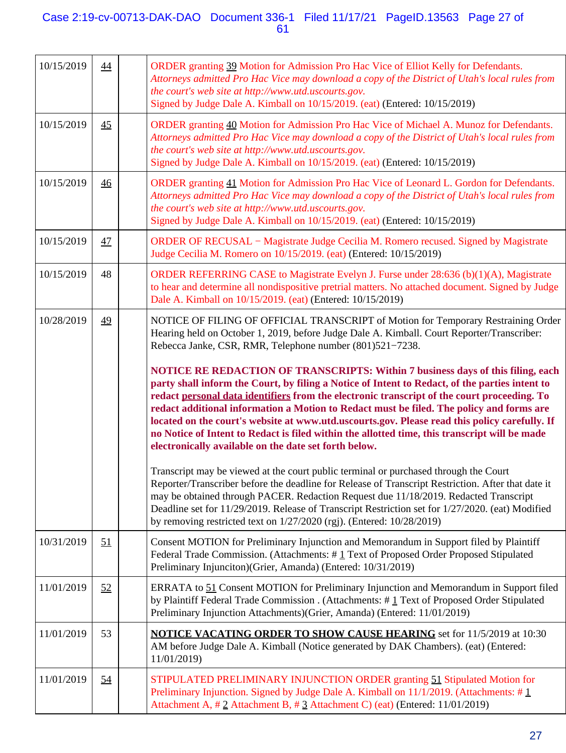## Case 2:19-cv-00713-DAK-DAO Document 336-1 Filed 11/17/21 PageID.13563 Page 27 of 61

| 10/15/2019 | $\overline{44}$ | ORDER granting 39 Motion for Admission Pro Hac Vice of Elliot Kelly for Defendants.<br>Attorneys admitted Pro Hac Vice may download a copy of the District of Utah's local rules from<br>the court's web site at http://www.utd.uscourts.gov.<br>Signed by Judge Dale A. Kimball on 10/15/2019. (eat) (Entered: 10/15/2019)                                                                                                                                                                                                                                                                                                             |
|------------|-----------------|-----------------------------------------------------------------------------------------------------------------------------------------------------------------------------------------------------------------------------------------------------------------------------------------------------------------------------------------------------------------------------------------------------------------------------------------------------------------------------------------------------------------------------------------------------------------------------------------------------------------------------------------|
| 10/15/2019 | 45              | ORDER granting 40 Motion for Admission Pro Hac Vice of Michael A. Munoz for Defendants.<br>Attorneys admitted Pro Hac Vice may download a copy of the District of Utah's local rules from<br>the court's web site at http://www.utd.uscourts.gov.<br>Signed by Judge Dale A. Kimball on 10/15/2019. (eat) (Entered: 10/15/2019)                                                                                                                                                                                                                                                                                                         |
| 10/15/2019 | $\overline{46}$ | ORDER granting 41 Motion for Admission Pro Hac Vice of Leonard L. Gordon for Defendants.<br>Attorneys admitted Pro Hac Vice may download a copy of the District of Utah's local rules from<br>the court's web site at http://www.utd.uscourts.gov.<br>Signed by Judge Dale A. Kimball on 10/15/2019. (eat) (Entered: 10/15/2019)                                                                                                                                                                                                                                                                                                        |
| 10/15/2019 | 47              | ORDER OF RECUSAL – Magistrate Judge Cecilia M. Romero recused. Signed by Magistrate<br>Judge Cecilia M. Romero on 10/15/2019. (eat) (Entered: 10/15/2019)                                                                                                                                                                                                                                                                                                                                                                                                                                                                               |
| 10/15/2019 | 48              | ORDER REFERRING CASE to Magistrate Evelyn J. Furse under $28:636$ (b) $(1)(A)$ , Magistrate<br>to hear and determine all nondispositive pretrial matters. No attached document. Signed by Judge<br>Dale A. Kimball on 10/15/2019. (eat) (Entered: 10/15/2019)                                                                                                                                                                                                                                                                                                                                                                           |
| 10/28/2019 | 49              | NOTICE OF FILING OF OFFICIAL TRANSCRIPT of Motion for Temporary Restraining Order<br>Hearing held on October 1, 2019, before Judge Dale A. Kimball. Court Reporter/Transcriber:<br>Rebecca Janke, CSR, RMR, Telephone number (801)521-7238.                                                                                                                                                                                                                                                                                                                                                                                             |
|            |                 | NOTICE RE REDACTION OF TRANSCRIPTS: Within 7 business days of this filing, each<br>party shall inform the Court, by filing a Notice of Intent to Redact, of the parties intent to<br>redact personal data identifiers from the electronic transcript of the court proceeding. To<br>redact additional information a Motion to Redact must be filed. The policy and forms are<br>located on the court's website at www.utd.uscourts.gov. Please read this policy carefully. If<br>no Notice of Intent to Redact is filed within the allotted time, this transcript will be made<br>electronically available on the date set forth below. |
|            |                 | Transcript may be viewed at the court public terminal or purchased through the Court<br>Reporter/Transcriber before the deadline for Release of Transcript Restriction. After that date it<br>may be obtained through PACER. Redaction Request due 11/18/2019. Redacted Transcript<br>Deadline set for 11/29/2019. Release of Transcript Restriction set for 1/27/2020. (eat) Modified<br>by removing restricted text on $1/27/2020$ (rgj). (Entered: $10/28/2019$ )                                                                                                                                                                    |
| 10/31/2019 | <u>51</u>       | Consent MOTION for Preliminary Injunction and Memorandum in Support filed by Plaintiff<br>Federal Trade Commission. (Attachments: #1 Text of Proposed Order Proposed Stipulated<br>Preliminary Injunciton)(Grier, Amanda) (Entered: 10/31/2019)                                                                                                                                                                                                                                                                                                                                                                                         |
| 11/01/2019 | 52              | ERRATA to 51 Consent MOTION for Preliminary Injunction and Memorandum in Support filed<br>by Plaintiff Federal Trade Commission . (Attachments: $\#$ 1 Text of Proposed Order Stipulated<br>Preliminary Injunction Attachments)(Grier, Amanda) (Entered: 11/01/2019)                                                                                                                                                                                                                                                                                                                                                                    |
| 11/01/2019 | 53              | <b>NOTICE VACATING ORDER TO SHOW CAUSE HEARING</b> set for 11/5/2019 at 10:30<br>AM before Judge Dale A. Kimball (Notice generated by DAK Chambers). (eat) (Entered:<br>11/01/2019)                                                                                                                                                                                                                                                                                                                                                                                                                                                     |
| 11/01/2019 | 54              | STIPULATED PRELIMINARY INJUNCTION ORDER granting 51 Stipulated Motion for<br>Preliminary Injunction. Signed by Judge Dale A. Kimball on $11/1/2019$ . (Attachments: # 1<br>Attachment A, #2 Attachment B, #3 Attachment C) (eat) (Entered: 11/01/2019)                                                                                                                                                                                                                                                                                                                                                                                  |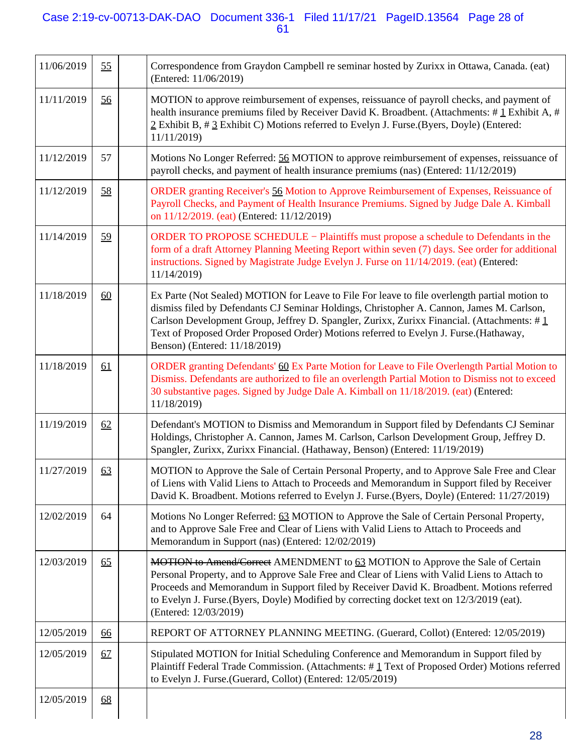## Case 2:19-cv-00713-DAK-DAO Document 336-1 Filed 11/17/21 PageID.13564 Page 28 of 61

| 11/06/2019 | 55 | Correspondence from Graydon Campbell re seminar hosted by Zurixx in Ottawa, Canada. (eat)<br>(Entered: 11/06/2019)                                                                                                                                                                                                                                                                                                 |
|------------|----|--------------------------------------------------------------------------------------------------------------------------------------------------------------------------------------------------------------------------------------------------------------------------------------------------------------------------------------------------------------------------------------------------------------------|
| 11/11/2019 | 56 | MOTION to approve reimbursement of expenses, reissuance of payroll checks, and payment of<br>health insurance premiums filed by Receiver David K. Broadbent. (Attachments: $\# \mathbf{1}$ Exhibit A, $\#$<br>2 Exhibit B, # 3 Exhibit C) Motions referred to Evelyn J. Furse. (Byers, Doyle) (Entered:<br>11/11/2019)                                                                                             |
| 11/12/2019 | 57 | Motions No Longer Referred: 56 MOTION to approve reimbursement of expenses, reissuance of<br>payroll checks, and payment of health insurance premiums (nas) (Entered: 11/12/2019)                                                                                                                                                                                                                                  |
| 11/12/2019 | 58 | ORDER granting Receiver's 56 Motion to Approve Reimbursement of Expenses, Reissuance of<br>Payroll Checks, and Payment of Health Insurance Premiums. Signed by Judge Dale A. Kimball<br>on 11/12/2019. (eat) (Entered: 11/12/2019)                                                                                                                                                                                 |
| 11/14/2019 | 59 | ORDER TO PROPOSE SCHEDULE – Plaintiffs must propose a schedule to Defendants in the<br>form of a draft Attorney Planning Meeting Report within seven (7) days. See order for additional<br>instructions. Signed by Magistrate Judge Evelyn J. Furse on 11/14/2019. (eat) (Entered:<br>11/14/2019)                                                                                                                  |
| 11/18/2019 | 60 | Ex Parte (Not Sealed) MOTION for Leave to File For leave to file overlength partial motion to<br>dismiss filed by Defendants CJ Seminar Holdings, Christopher A. Cannon, James M. Carlson,<br>Carlson Development Group, Jeffrey D. Spangler, Zurixx, Zurixx Financial. (Attachments: #1<br>Text of Proposed Order Proposed Order) Motions referred to Evelyn J. Furse.(Hathaway,<br>Benson) (Entered: 11/18/2019) |
| 11/18/2019 | 61 | ORDER granting Defendants' 60 Ex Parte Motion for Leave to File Overlength Partial Motion to<br>Dismiss. Defendants are authorized to file an overlength Partial Motion to Dismiss not to exceed<br>30 substantive pages. Signed by Judge Dale A. Kimball on 11/18/2019. (eat) (Entered:<br>11/18/2019)                                                                                                            |
| 11/19/2019 | 62 | Defendant's MOTION to Dismiss and Memorandum in Support filed by Defendants CJ Seminar<br>Holdings, Christopher A. Cannon, James M. Carlson, Carlson Development Group, Jeffrey D.<br>Spangler, Zurixx, Zurixx Financial. (Hathaway, Benson) (Entered: 11/19/2019)                                                                                                                                                 |
| 11/27/2019 | 63 | MOTION to Approve the Sale of Certain Personal Property, and to Approve Sale Free and Clear<br>of Liens with Valid Liens to Attach to Proceeds and Memorandum in Support filed by Receiver<br>David K. Broadbent. Motions referred to Evelyn J. Furse.(Byers, Doyle) (Entered: 11/27/2019)                                                                                                                         |
| 12/02/2019 | 64 | Motions No Longer Referred: 63 MOTION to Approve the Sale of Certain Personal Property,<br>and to Approve Sale Free and Clear of Liens with Valid Liens to Attach to Proceeds and<br>Memorandum in Support (nas) (Entered: 12/02/2019)                                                                                                                                                                             |
| 12/03/2019 | 65 | <b>MOTION</b> to Amend/Correct AMENDMENT to 63 MOTION to Approve the Sale of Certain<br>Personal Property, and to Approve Sale Free and Clear of Liens with Valid Liens to Attach to<br>Proceeds and Memorandum in Support filed by Receiver David K. Broadbent. Motions referred<br>to Evelyn J. Furse.(Byers, Doyle) Modified by correcting docket text on 12/3/2019 (eat).<br>(Entered: 12/03/2019)             |
| 12/05/2019 | 66 | REPORT OF ATTORNEY PLANNING MEETING. (Guerard, Collot) (Entered: 12/05/2019)                                                                                                                                                                                                                                                                                                                                       |
| 12/05/2019 | 67 | Stipulated MOTION for Initial Scheduling Conference and Memorandum in Support filed by<br>Plaintiff Federal Trade Commission. (Attachments: #1 Text of Proposed Order) Motions referred<br>to Evelyn J. Furse.(Guerard, Collot) (Entered: 12/05/2019)                                                                                                                                                              |
| 12/05/2019 | 68 |                                                                                                                                                                                                                                                                                                                                                                                                                    |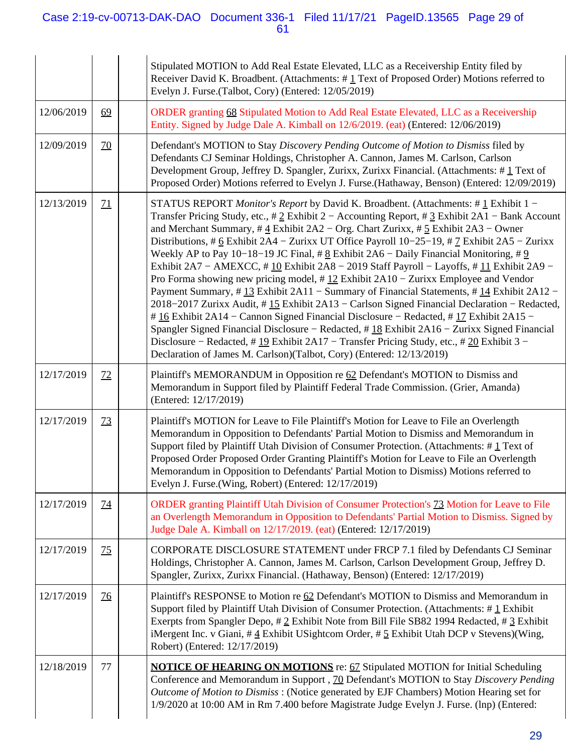## Case 2:19-cv-00713-DAK-DAO Document 336-1 Filed 11/17/21 PageID.13565 Page 29 of 61

|            |                 | Stipulated MOTION to Add Real Estate Elevated, LLC as a Receivership Entity filed by<br>Receiver David K. Broadbent. (Attachments: #1 Text of Proposed Order) Motions referred to<br>Evelyn J. Furse. (Talbot, Cory) (Entered: 12/05/2019)                                                                                                                                                                                                                                                                                                                                                                                                                                                                                                                                                                                                                                                                                                                                                                                                                                                                                                                                                                                                                                     |
|------------|-----------------|--------------------------------------------------------------------------------------------------------------------------------------------------------------------------------------------------------------------------------------------------------------------------------------------------------------------------------------------------------------------------------------------------------------------------------------------------------------------------------------------------------------------------------------------------------------------------------------------------------------------------------------------------------------------------------------------------------------------------------------------------------------------------------------------------------------------------------------------------------------------------------------------------------------------------------------------------------------------------------------------------------------------------------------------------------------------------------------------------------------------------------------------------------------------------------------------------------------------------------------------------------------------------------|
| 12/06/2019 | 69              | ORDER granting 68 Stipulated Motion to Add Real Estate Elevated, LLC as a Receivership<br>Entity. Signed by Judge Dale A. Kimball on 12/6/2019. (eat) (Entered: 12/06/2019)                                                                                                                                                                                                                                                                                                                                                                                                                                                                                                                                                                                                                                                                                                                                                                                                                                                                                                                                                                                                                                                                                                    |
| 12/09/2019 | $\overline{20}$ | Defendant's MOTION to Stay Discovery Pending Outcome of Motion to Dismiss filed by<br>Defendants CJ Seminar Holdings, Christopher A. Cannon, James M. Carlson, Carlson<br>Development Group, Jeffrey D. Spangler, Zurixx, Zurixx Financial. (Attachments: #1 Text of<br>Proposed Order) Motions referred to Evelyn J. Furse.(Hathaway, Benson) (Entered: 12/09/2019)                                                                                                                                                                                                                                                                                                                                                                                                                                                                                                                                                                                                                                                                                                                                                                                                                                                                                                           |
| 12/13/2019 | 71              | STATUS REPORT <i>Monitor's Report</i> by David K. Broadbent. (Attachments: # $\frac{1}{1}$ Exhibit 1 –<br>Transfer Pricing Study, etc., # $2$ Exhibit 2 – Accounting Report, # $3$ Exhibit 2A1 – Bank Account<br>and Merchant Summary, # $\underline{4}$ Exhibit 2A2 – Org. Chart Zurixx, # $\underline{5}$ Exhibit 2A3 – Owner<br>Distributions, # 6 Exhibit 2A4 – Zurixx UT Office Payroll $10-25-19$ , # 7 Exhibit 2A5 – Zurixx<br>Weekly AP to Pay 10–18–19 JC Final, # $8$ Exhibit 2A6 – Daily Financial Monitoring, # 9<br>Exhibit 2A7 – AMEXCC, #10 Exhibit 2A8 – 2019 Staff Payroll – Layoffs, #11 Exhibit 2A9 –<br>Pro Forma showing new pricing model, $\#$ 12 Exhibit 2A10 – Zurixx Employee and Vendor<br>Payment Summary, #13 Exhibit 2A11 - Summary of Financial Statements, #14 Exhibit 2A12 -<br>2018–2017 Zurixx Audit, #15 Exhibit 2A13 - Carlson Signed Financial Declaration - Redacted,<br>$\#$ 16 Exhibit 2A14 – Cannon Signed Financial Disclosure – Redacted, $\#$ 17 Exhibit 2A15 –<br>Spangler Signed Financial Disclosure - Redacted, #18 Exhibit 2A16 - Zurixx Signed Financial<br>Disclosure – Redacted, #19 Exhibit 2A17 – Transfer Pricing Study, etc., #20 Exhibit 3 –<br>Declaration of James M. Carlson)(Talbot, Cory) (Entered: 12/13/2019) |
| 12/17/2019 | 72              | Plaintiff's MEMORANDUM in Opposition re 62 Defendant's MOTION to Dismiss and<br>Memorandum in Support filed by Plaintiff Federal Trade Commission. (Grier, Amanda)<br>(Entered: 12/17/2019)                                                                                                                                                                                                                                                                                                                                                                                                                                                                                                                                                                                                                                                                                                                                                                                                                                                                                                                                                                                                                                                                                    |
| 12/17/2019 | 73              | Plaintiff's MOTION for Leave to File Plaintiff's Motion for Leave to File an Overlength<br>Memorandum in Opposition to Defendants' Partial Motion to Dismiss and Memorandum in<br>Support filed by Plaintiff Utah Division of Consumer Protection. (Attachments: $\# \underline{1}$ Text of<br>Proposed Order Proposed Order Granting Plaintiff's Motion for Leave to File an Overlength<br>Memorandum in Opposition to Defendants' Partial Motion to Dismiss) Motions referred to<br>Evelyn J. Furse. (Wing, Robert) (Entered: 12/17/2019)                                                                                                                                                                                                                                                                                                                                                                                                                                                                                                                                                                                                                                                                                                                                    |
| 12/17/2019 | <u>74</u>       | ORDER granting Plaintiff Utah Division of Consumer Protection's 73 Motion for Leave to File<br>an Overlength Memorandum in Opposition to Defendants' Partial Motion to Dismiss. Signed by<br>Judge Dale A. Kimball on 12/17/2019. (eat) (Entered: 12/17/2019)                                                                                                                                                                                                                                                                                                                                                                                                                                                                                                                                                                                                                                                                                                                                                                                                                                                                                                                                                                                                                  |
| 12/17/2019 | 75              | CORPORATE DISCLOSURE STATEMENT under FRCP 7.1 filed by Defendants CJ Seminar<br>Holdings, Christopher A. Cannon, James M. Carlson, Carlson Development Group, Jeffrey D.<br>Spangler, Zurixx, Zurixx Financial. (Hathaway, Benson) (Entered: 12/17/2019)                                                                                                                                                                                                                                                                                                                                                                                                                                                                                                                                                                                                                                                                                                                                                                                                                                                                                                                                                                                                                       |
| 12/17/2019 | <u>76</u>       | Plaintiff's RESPONSE to Motion re 62 Defendant's MOTION to Dismiss and Memorandum in<br>Support filed by Plaintiff Utah Division of Consumer Protection. (Attachments: $\#\bot$ Exhibit<br>Exerpts from Spangler Depo, $\#\, 2$ Exhibit Note from Bill File SB82 1994 Redacted, $\#\, 3$ Exhibit<br>iMergent Inc. v Giani, $\#\underline{4}$ Exhibit USightcom Order, $\#\underline{5}$ Exhibit Utah DCP v Stevens)(Wing,<br>Robert) (Entered: 12/17/2019)                                                                                                                                                                                                                                                                                                                                                                                                                                                                                                                                                                                                                                                                                                                                                                                                                     |
| 12/18/2019 | 77              | <b>NOTICE OF HEARING ON MOTIONS</b> re: 67 Stipulated MOTION for Initial Scheduling<br>Conference and Memorandum in Support, 70 Defendant's MOTION to Stay Discovery Pending<br>Outcome of Motion to Dismiss: (Notice generated by EJF Chambers) Motion Hearing set for<br>1/9/2020 at 10:00 AM in Rm 7.400 before Magistrate Judge Evelyn J. Furse. (lnp) (Entered:                                                                                                                                                                                                                                                                                                                                                                                                                                                                                                                                                                                                                                                                                                                                                                                                                                                                                                           |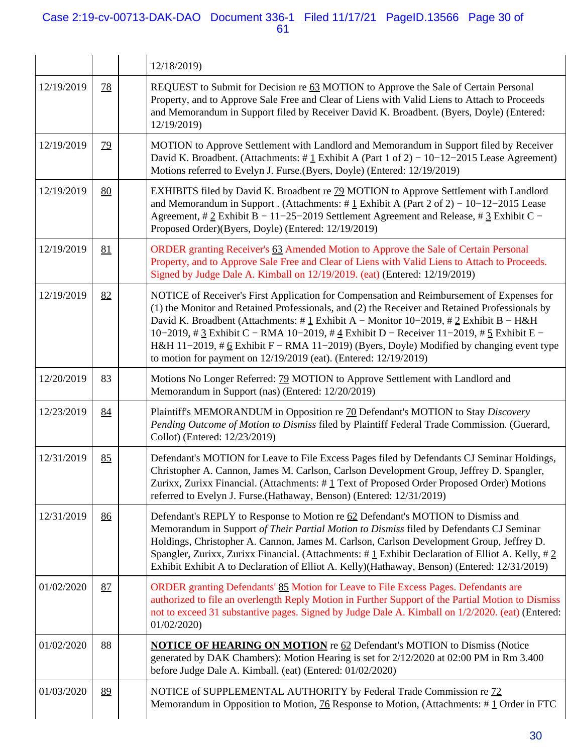## Case 2:19-cv-00713-DAK-DAO Document 336-1 Filed 11/17/21 PageID.13566 Page 30 of 61

|            |           | 12/18/2019)                                                                                                                                                                                                                                                                                                                                                                                                                                                                                                                                                                         |
|------------|-----------|-------------------------------------------------------------------------------------------------------------------------------------------------------------------------------------------------------------------------------------------------------------------------------------------------------------------------------------------------------------------------------------------------------------------------------------------------------------------------------------------------------------------------------------------------------------------------------------|
| 12/19/2019 | <u>78</u> | REQUEST to Submit for Decision re 63 MOTION to Approve the Sale of Certain Personal<br>Property, and to Approve Sale Free and Clear of Liens with Valid Liens to Attach to Proceeds<br>and Memorandum in Support filed by Receiver David K. Broadbent. (Byers, Doyle) (Entered:<br>12/19/2019)                                                                                                                                                                                                                                                                                      |
| 12/19/2019 | <u>79</u> | MOTION to Approve Settlement with Landlord and Memorandum in Support filed by Receiver<br>David K. Broadbent. (Attachments: #1 Exhibit A (Part 1 of 2) – 10–12–2015 Lease Agreement)<br>Motions referred to Evelyn J. Furse. (Byers, Doyle) (Entered: 12/19/2019)                                                                                                                                                                                                                                                                                                                   |
| 12/19/2019 | 80        | EXHIBITS filed by David K. Broadbent re 79 MOTION to Approve Settlement with Landlord<br>and Memorandum in Support. (Attachments: # $\frac{1}{2}$ Exhibit A (Part 2 of 2) – 10–12–2015 Lease<br>Agreement, # $2$ Exhibit B - 11-25-2019 Settlement Agreement and Release, # $3$ Exhibit C -<br>Proposed Order)(Byers, Doyle) (Entered: 12/19/2019)                                                                                                                                                                                                                                  |
| 12/19/2019 | 81        | ORDER granting Receiver's 63 Amended Motion to Approve the Sale of Certain Personal<br>Property, and to Approve Sale Free and Clear of Liens with Valid Liens to Attach to Proceeds.<br>Signed by Judge Dale A. Kimball on 12/19/2019. (eat) (Entered: 12/19/2019)                                                                                                                                                                                                                                                                                                                  |
| 12/19/2019 | 82        | NOTICE of Receiver's First Application for Compensation and Reimbursement of Expenses for<br>(1) the Monitor and Retained Professionals, and (2) the Receiver and Retained Professionals by<br>David K. Broadbent (Attachments: # $\underline{1}$ Exhibit A – Monitor 10–2019, # $\underline{2}$ Exhibit B – H&H<br>10–2019, # $3$ Exhibit C – RMA 10–2019, # $4$ Exhibit D – Receiver 11–2019, # $5$ Exhibit E –<br>H&H 11-2019, # $6$ Exhibit F – RMA 11-2019) (Byers, Doyle) Modified by changing event type<br>to motion for payment on 12/19/2019 (eat). (Entered: 12/19/2019) |
| 12/20/2019 | 83        | Motions No Longer Referred: 79 MOTION to Approve Settlement with Landlord and<br>Memorandum in Support (nas) (Entered: 12/20/2019)                                                                                                                                                                                                                                                                                                                                                                                                                                                  |
| 12/23/2019 | 84        | Plaintiff's MEMORANDUM in Opposition re 70 Defendant's MOTION to Stay Discovery<br>Pending Outcome of Motion to Dismiss filed by Plaintiff Federal Trade Commission. (Guerard,<br>Collot) (Entered: 12/23/2019)                                                                                                                                                                                                                                                                                                                                                                     |
| 12/31/2019 | 85        | Defendant's MOTION for Leave to File Excess Pages filed by Defendants CJ Seminar Holdings,<br>Christopher A. Cannon, James M. Carlson, Carlson Development Group, Jeffrey D. Spangler,<br>Zurixx, Zurixx Financial. (Attachments: #1 Text of Proposed Order Proposed Order) Motions<br>referred to Evelyn J. Furse.(Hathaway, Benson) (Entered: 12/31/2019)                                                                                                                                                                                                                         |
| 12/31/2019 | 86        | Defendant's REPLY to Response to Motion re 62 Defendant's MOTION to Dismiss and<br>Memorandum in Support of Their Partial Motion to Dismiss filed by Defendants CJ Seminar<br>Holdings, Christopher A. Cannon, James M. Carlson, Carlson Development Group, Jeffrey D.<br>Spangler, Zurixx, Zurixx Financial. (Attachments: $\# \underline{1}$ Exhibit Declaration of Elliot A. Kelly, $\# \underline{2}$<br>Exhibit Exhibit A to Declaration of Elliot A. Kelly)(Hathaway, Benson) (Entered: 12/31/2019)                                                                           |
| 01/02/2020 | 87        | ORDER granting Defendants' 85 Motion for Leave to File Excess Pages. Defendants are<br>authorized to file an overlength Reply Motion in Further Support of the Partial Motion to Dismiss<br>not to exceed 31 substantive pages. Signed by Judge Dale A. Kimball on 1/2/2020. (eat) (Entered:<br>01/02/2020)                                                                                                                                                                                                                                                                         |
| 01/02/2020 | 88        | <b>NOTICE OF HEARING ON MOTION</b> re 62 Defendant's MOTION to Dismiss (Notice<br>generated by DAK Chambers): Motion Hearing is set for 2/12/2020 at 02:00 PM in Rm 3.400<br>before Judge Dale A. Kimball. (eat) (Entered: 01/02/2020)                                                                                                                                                                                                                                                                                                                                              |
| 01/03/2020 | 89        | NOTICE of SUPPLEMENTAL AUTHORITY by Federal Trade Commission re 72<br>Memorandum in Opposition to Motion, $\frac{76}{6}$ Response to Motion, (Attachments: #1 Order in FTC                                                                                                                                                                                                                                                                                                                                                                                                          |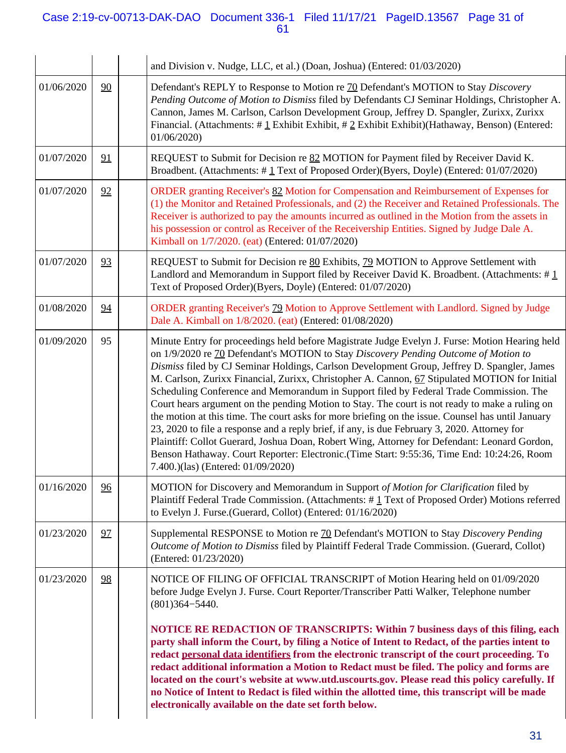## Case 2:19-cv-00713-DAK-DAO Document 336-1 Filed 11/17/21 PageID.13567 Page 31 of 61

|            |    | and Division v. Nudge, LLC, et al.) (Doan, Joshua) (Entered: 01/03/2020)                                                                                                                                                                                                                                                                                                                                                                                                                                                                                                                                                                                                                                                                                                                                                                                                                                                                                                                                                   |
|------------|----|----------------------------------------------------------------------------------------------------------------------------------------------------------------------------------------------------------------------------------------------------------------------------------------------------------------------------------------------------------------------------------------------------------------------------------------------------------------------------------------------------------------------------------------------------------------------------------------------------------------------------------------------------------------------------------------------------------------------------------------------------------------------------------------------------------------------------------------------------------------------------------------------------------------------------------------------------------------------------------------------------------------------------|
| 01/06/2020 | 90 | Defendant's REPLY to Response to Motion re 70 Defendant's MOTION to Stay Discovery<br>Pending Outcome of Motion to Dismiss filed by Defendants CJ Seminar Holdings, Christopher A.<br>Cannon, James M. Carlson, Carlson Development Group, Jeffrey D. Spangler, Zurixx, Zurixx<br>Financial. (Attachments: $\#$ 1 Exhibit Exhibit, $\#$ 2 Exhibit Exhibit)(Hathaway, Benson) (Entered:<br>01/06/2020                                                                                                                                                                                                                                                                                                                                                                                                                                                                                                                                                                                                                       |
| 01/07/2020 | 91 | REQUEST to Submit for Decision re 82 MOTION for Payment filed by Receiver David K.<br>Broadbent. (Attachments: #1 Text of Proposed Order)(Byers, Doyle) (Entered: 01/07/2020)                                                                                                                                                                                                                                                                                                                                                                                                                                                                                                                                                                                                                                                                                                                                                                                                                                              |
| 01/07/2020 | 92 | ORDER granting Receiver's 82 Motion for Compensation and Reimbursement of Expenses for<br>(1) the Monitor and Retained Professionals, and (2) the Receiver and Retained Professionals. The<br>Receiver is authorized to pay the amounts incurred as outlined in the Motion from the assets in<br>his possession or control as Receiver of the Receivership Entities. Signed by Judge Dale A.<br>Kimball on 1/7/2020. (eat) (Entered: 01/07/2020)                                                                                                                                                                                                                                                                                                                                                                                                                                                                                                                                                                           |
| 01/07/2020 | 93 | REQUEST to Submit for Decision re 80 Exhibits, 79 MOTION to Approve Settlement with<br>Landlord and Memorandum in Support filed by Receiver David K. Broadbent. (Attachments: #1<br>Text of Proposed Order)(Byers, Doyle) (Entered: 01/07/2020)                                                                                                                                                                                                                                                                                                                                                                                                                                                                                                                                                                                                                                                                                                                                                                            |
| 01/08/2020 | 94 | ORDER granting Receiver's 79 Motion to Approve Settlement with Landlord. Signed by Judge<br>Dale A. Kimball on 1/8/2020. (eat) (Entered: 01/08/2020)                                                                                                                                                                                                                                                                                                                                                                                                                                                                                                                                                                                                                                                                                                                                                                                                                                                                       |
| 01/09/2020 | 95 | Minute Entry for proceedings held before Magistrate Judge Evelyn J. Furse: Motion Hearing held<br>on 1/9/2020 re 70 Defendant's MOTION to Stay Discovery Pending Outcome of Motion to<br>Dismiss filed by CJ Seminar Holdings, Carlson Development Group, Jeffrey D. Spangler, James<br>M. Carlson, Zurixx Financial, Zurixx, Christopher A. Cannon, 67 Stipulated MOTION for Initial<br>Scheduling Conference and Memorandum in Support filed by Federal Trade Commission. The<br>Court hears argument on the pending Motion to Stay. The court is not ready to make a ruling on<br>the motion at this time. The court asks for more briefing on the issue. Counsel has until January<br>23, 2020 to file a response and a reply brief, if any, is due February 3, 2020. Attorney for<br>Plaintiff: Collot Guerard, Joshua Doan, Robert Wing, Attorney for Defendant: Leonard Gordon,<br>Benson Hathaway. Court Reporter: Electronic.(Time Start: 9:55:36, Time End: 10:24:26, Room<br>7.400.)(las) (Entered: 01/09/2020) |
| 01/16/2020 | 96 | MOTION for Discovery and Memorandum in Support of Motion for Clarification filed by<br>Plaintiff Federal Trade Commission. (Attachments: #1 Text of Proposed Order) Motions referred<br>to Evelyn J. Furse.(Guerard, Collot) (Entered: 01/16/2020)                                                                                                                                                                                                                                                                                                                                                                                                                                                                                                                                                                                                                                                                                                                                                                         |
| 01/23/2020 | 97 | Supplemental RESPONSE to Motion re 70 Defendant's MOTION to Stay Discovery Pending<br>Outcome of Motion to Dismiss filed by Plaintiff Federal Trade Commission. (Guerard, Collot)<br>(Entered: 01/23/2020)                                                                                                                                                                                                                                                                                                                                                                                                                                                                                                                                                                                                                                                                                                                                                                                                                 |
| 01/23/2020 | 98 | NOTICE OF FILING OF OFFICIAL TRANSCRIPT of Motion Hearing held on 01/09/2020<br>before Judge Evelyn J. Furse. Court Reporter/Transcriber Patti Walker, Telephone number<br>$(801)364 - 5440.$<br><b>NOTICE RE REDACTION OF TRANSCRIPTS: Within 7 business days of this filing, each</b><br>party shall inform the Court, by filing a Notice of Intent to Redact, of the parties intent to<br>redact personal data identifiers from the electronic transcript of the court proceeding. To<br>redact additional information a Motion to Redact must be filed. The policy and forms are<br>located on the court's website at www.utd.uscourts.gov. Please read this policy carefully. If<br>no Notice of Intent to Redact is filed within the allotted time, this transcript will be made<br>electronically available on the date set forth below.                                                                                                                                                                            |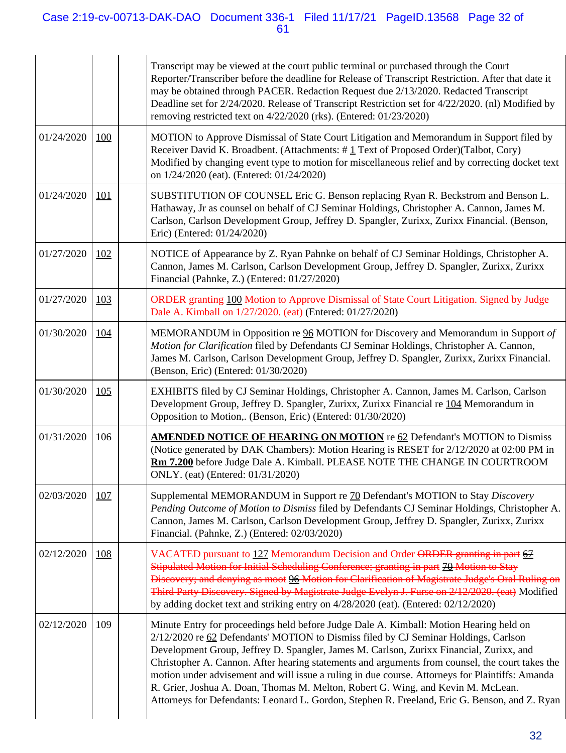## Case 2:19-cv-00713-DAK-DAO Document 336-1 Filed 11/17/21 PageID.13568 Page 32 of 61

|            |            | Transcript may be viewed at the court public terminal or purchased through the Court<br>Reporter/Transcriber before the deadline for Release of Transcript Restriction. After that date it<br>may be obtained through PACER. Redaction Request due 2/13/2020. Redacted Transcript<br>Deadline set for 2/24/2020. Release of Transcript Restriction set for 4/22/2020. (nl) Modified by<br>removing restricted text on 4/22/2020 (rks). (Entered: 01/23/2020)                                                                                                                                                                                                        |
|------------|------------|---------------------------------------------------------------------------------------------------------------------------------------------------------------------------------------------------------------------------------------------------------------------------------------------------------------------------------------------------------------------------------------------------------------------------------------------------------------------------------------------------------------------------------------------------------------------------------------------------------------------------------------------------------------------|
| 01/24/2020 | <u>100</u> | MOTION to Approve Dismissal of State Court Litigation and Memorandum in Support filed by<br>Receiver David K. Broadbent. (Attachments: #1 Text of Proposed Order)(Talbot, Cory)<br>Modified by changing event type to motion for miscellaneous relief and by correcting docket text<br>on 1/24/2020 (eat). (Entered: 01/24/2020)                                                                                                                                                                                                                                                                                                                                    |
| 01/24/2020 | <u>101</u> | SUBSTITUTION OF COUNSEL Eric G. Benson replacing Ryan R. Beckstrom and Benson L.<br>Hathaway, Jr as counsel on behalf of CJ Seminar Holdings, Christopher A. Cannon, James M.<br>Carlson, Carlson Development Group, Jeffrey D. Spangler, Zurixx, Zurixx Financial. (Benson,<br>Eric) (Entered: 01/24/2020)                                                                                                                                                                                                                                                                                                                                                         |
| 01/27/2020 | <u>102</u> | NOTICE of Appearance by Z. Ryan Pahnke on behalf of CJ Seminar Holdings, Christopher A.<br>Cannon, James M. Carlson, Carlson Development Group, Jeffrey D. Spangler, Zurixx, Zurixx<br>Financial (Pahnke, Z.) (Entered: 01/27/2020)                                                                                                                                                                                                                                                                                                                                                                                                                                 |
| 01/27/2020 | <u>103</u> | ORDER granting 100 Motion to Approve Dismissal of State Court Litigation. Signed by Judge<br>Dale A. Kimball on 1/27/2020. (eat) (Entered: 01/27/2020)                                                                                                                                                                                                                                                                                                                                                                                                                                                                                                              |
| 01/30/2020 | <u>104</u> | MEMORANDUM in Opposition re 96 MOTION for Discovery and Memorandum in Support of<br>Motion for Clarification filed by Defendants CJ Seminar Holdings, Christopher A. Cannon,<br>James M. Carlson, Carlson Development Group, Jeffrey D. Spangler, Zurixx, Zurixx Financial.<br>(Benson, Eric) (Entered: 01/30/2020)                                                                                                                                                                                                                                                                                                                                                 |
| 01/30/2020 | 105        | EXHIBITS filed by CJ Seminar Holdings, Christopher A. Cannon, James M. Carlson, Carlson<br>Development Group, Jeffrey D. Spangler, Zurixx, Zurixx Financial re 104 Memorandum in<br>Opposition to Motion,. (Benson, Eric) (Entered: 01/30/2020)                                                                                                                                                                                                                                                                                                                                                                                                                     |
| 01/31/2020 | 106        | <b>AMENDED NOTICE OF HEARING ON MOTION</b> re 62 Defendant's MOTION to Dismiss<br>(Notice generated by DAK Chambers): Motion Hearing is RESET for 2/12/2020 at 02:00 PM in<br>Rm 7.200 before Judge Dale A. Kimball. PLEASE NOTE THE CHANGE IN COURTROOM<br>ONLY. (eat) (Entered: 01/31/2020)                                                                                                                                                                                                                                                                                                                                                                       |
| 02/03/2020 | <u>107</u> | Supplemental MEMORANDUM in Support re 70 Defendant's MOTION to Stay Discovery<br>Pending Outcome of Motion to Dismiss filed by Defendants CJ Seminar Holdings, Christopher A.<br>Cannon, James M. Carlson, Carlson Development Group, Jeffrey D. Spangler, Zurixx, Zurixx<br>Financial. (Pahnke, Z.) (Entered: 02/03/2020)                                                                                                                                                                                                                                                                                                                                          |
| 02/12/2020 | <u>108</u> | VACATED pursuant to 127 Memorandum Decision and Order ORDER granting in part 67<br>Stipulated Motion for Initial Scheduling Conference; granting in part 70 Motion to Stay<br>Discovery; and denying as moot 96 Motion for Clarification of Magistrate Judge's Oral Ruling on<br>Third Party Discovery. Signed by Magistrate Judge Evelyn J. Furse on 2/12/2020. (eat) Modified<br>by adding docket text and striking entry on $4/28/2020$ (eat). (Entered: $02/12/2020$ )                                                                                                                                                                                          |
| 02/12/2020 | 109        | Minute Entry for proceedings held before Judge Dale A. Kimball: Motion Hearing held on<br>2/12/2020 re 62 Defendants' MOTION to Dismiss filed by CJ Seminar Holdings, Carlson<br>Development Group, Jeffrey D. Spangler, James M. Carlson, Zurixx Financial, Zurixx, and<br>Christopher A. Cannon. After hearing statements and arguments from counsel, the court takes the<br>motion under advisement and will issue a ruling in due course. Attorneys for Plaintiffs: Amanda<br>R. Grier, Joshua A. Doan, Thomas M. Melton, Robert G. Wing, and Kevin M. McLean.<br>Attorneys for Defendants: Leonard L. Gordon, Stephen R. Freeland, Eric G. Benson, and Z. Ryan |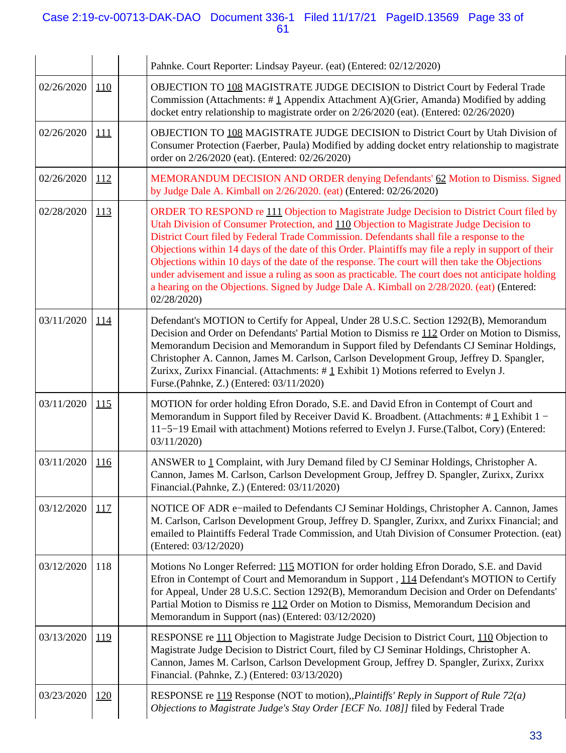## Case 2:19-cv-00713-DAK-DAO Document 336-1 Filed 11/17/21 PageID.13569 Page 33 of 61

|            |             | Pahnke. Court Reporter: Lindsay Payeur. (eat) (Entered: 02/12/2020)                                                                                                                                                                                                                                                                                                                                                                                                                                                                                                                                                                                                                                           |
|------------|-------------|---------------------------------------------------------------------------------------------------------------------------------------------------------------------------------------------------------------------------------------------------------------------------------------------------------------------------------------------------------------------------------------------------------------------------------------------------------------------------------------------------------------------------------------------------------------------------------------------------------------------------------------------------------------------------------------------------------------|
| 02/26/2020 | <b>110</b>  | OBJECTION TO 108 MAGISTRATE JUDGE DECISION to District Court by Federal Trade<br>Commission (Attachments: #1 Appendix Attachment A)(Grier, Amanda) Modified by adding<br>docket entry relationship to magistrate order on 2/26/2020 (eat). (Entered: 02/26/2020)                                                                                                                                                                                                                                                                                                                                                                                                                                              |
| 02/26/2020 | <u> 111</u> | OBJECTION TO 108 MAGISTRATE JUDGE DECISION to District Court by Utah Division of<br>Consumer Protection (Faerber, Paula) Modified by adding docket entry relationship to magistrate<br>order on 2/26/2020 (eat). (Entered: 02/26/2020)                                                                                                                                                                                                                                                                                                                                                                                                                                                                        |
| 02/26/2020 | <u>112</u>  | MEMORANDUM DECISION AND ORDER denying Defendants' 62 Motion to Dismiss. Signed<br>by Judge Dale A. Kimball on 2/26/2020. (eat) (Entered: 02/26/2020)                                                                                                                                                                                                                                                                                                                                                                                                                                                                                                                                                          |
| 02/28/2020 | <u>113</u>  | ORDER TO RESPOND re 111 Objection to Magistrate Judge Decision to District Court filed by<br>Utah Division of Consumer Protection, and 110 Objection to Magistrate Judge Decision to<br>District Court filed by Federal Trade Commission. Defendants shall file a response to the<br>Objections within 14 days of the date of this Order. Plaintiffs may file a reply in support of their<br>Objections within 10 days of the date of the response. The court will then take the Objections<br>under advisement and issue a ruling as soon as practicable. The court does not anticipate holding<br>a hearing on the Objections. Signed by Judge Dale A. Kimball on 2/28/2020. (eat) (Entered:<br>02/28/2020) |
| 03/11/2020 | <u>114</u>  | Defendant's MOTION to Certify for Appeal, Under 28 U.S.C. Section 1292(B), Memorandum<br>Decision and Order on Defendants' Partial Motion to Dismiss re 112 Order on Motion to Dismiss,<br>Memorandum Decision and Memorandum in Support filed by Defendants CJ Seminar Holdings,<br>Christopher A. Cannon, James M. Carlson, Carlson Development Group, Jeffrey D. Spangler,<br>Zurixx, Zurixx Financial. (Attachments: #1 Exhibit 1) Motions referred to Evelyn J.<br>Furse.(Pahnke, Z.) (Entered: 03/11/2020)                                                                                                                                                                                              |
| 03/11/2020 | 115         | MOTION for order holding Efron Dorado, S.E. and David Efron in Contempt of Court and<br>Memorandum in Support filed by Receiver David K. Broadbent. (Attachments: #1 Exhibit 1 -<br>11-5-19 Email with attachment) Motions referred to Evelyn J. Furse. (Talbot, Cory) (Entered:<br>03/11/2020                                                                                                                                                                                                                                                                                                                                                                                                                |
| 03/11/2020 | <u>116</u>  | ANSWER to 1 Complaint, with Jury Demand filed by CJ Seminar Holdings, Christopher A.<br>Cannon, James M. Carlson, Carlson Development Group, Jeffrey D. Spangler, Zurixx, Zurixx<br>Financial.(Pahnke, Z.) (Entered: 03/11/2020)                                                                                                                                                                                                                                                                                                                                                                                                                                                                              |
| 03/12/2020 | 117         | NOTICE OF ADR e-mailed to Defendants CJ Seminar Holdings, Christopher A. Cannon, James<br>M. Carlson, Carlson Development Group, Jeffrey D. Spangler, Zurixx, and Zurixx Financial; and<br>emailed to Plaintiffs Federal Trade Commission, and Utah Division of Consumer Protection. (eat)<br>(Entered: 03/12/2020)                                                                                                                                                                                                                                                                                                                                                                                           |
| 03/12/2020 | 118         | Motions No Longer Referred: 115 MOTION for order holding Efron Dorado, S.E. and David<br>Efron in Contempt of Court and Memorandum in Support, 114 Defendant's MOTION to Certify<br>for Appeal, Under 28 U.S.C. Section 1292(B), Memorandum Decision and Order on Defendants'<br>Partial Motion to Dismiss re 112 Order on Motion to Dismiss, Memorandum Decision and<br>Memorandum in Support (nas) (Entered: 03/12/2020)                                                                                                                                                                                                                                                                                    |
| 03/13/2020 | <u>119</u>  | RESPONSE re 111 Objection to Magistrate Judge Decision to District Court, 110 Objection to<br>Magistrate Judge Decision to District Court, filed by CJ Seminar Holdings, Christopher A.<br>Cannon, James M. Carlson, Carlson Development Group, Jeffrey D. Spangler, Zurixx, Zurixx<br>Financial. (Pahnke, Z.) (Entered: 03/13/2020)                                                                                                                                                                                                                                                                                                                                                                          |
| 03/23/2020 | <u>120</u>  | RESPONSE re 119 Response (NOT to motion), <i>Plaintiffs' Reply in Support of Rule 72(a)</i><br>Objections to Magistrate Judge's Stay Order [ECF No. 108]] filed by Federal Trade                                                                                                                                                                                                                                                                                                                                                                                                                                                                                                                              |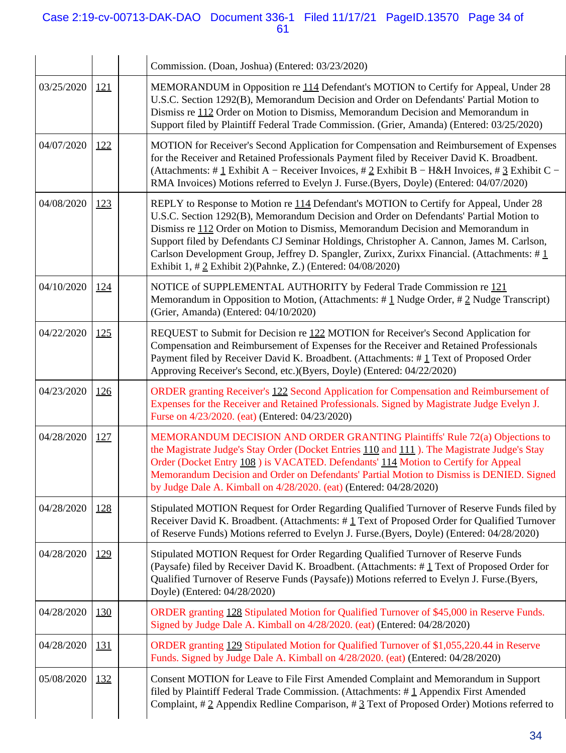## Case 2:19-cv-00713-DAK-DAO Document 336-1 Filed 11/17/21 PageID.13570 Page 34 of 61

|            |            | Commission. (Doan, Joshua) (Entered: 03/23/2020)                                                                                                                                                                                                                                                                                                                                                                                                                                                                              |
|------------|------------|-------------------------------------------------------------------------------------------------------------------------------------------------------------------------------------------------------------------------------------------------------------------------------------------------------------------------------------------------------------------------------------------------------------------------------------------------------------------------------------------------------------------------------|
| 03/25/2020 | <u>121</u> | MEMORANDUM in Opposition re 114 Defendant's MOTION to Certify for Appeal, Under 28<br>U.S.C. Section 1292(B), Memorandum Decision and Order on Defendants' Partial Motion to<br>Dismiss re 112 Order on Motion to Dismiss, Memorandum Decision and Memorandum in<br>Support filed by Plaintiff Federal Trade Commission. (Grier, Amanda) (Entered: 03/25/2020)                                                                                                                                                                |
| 04/07/2020 | <u>122</u> | MOTION for Receiver's Second Application for Compensation and Reimbursement of Expenses<br>for the Receiver and Retained Professionals Payment filed by Receiver David K. Broadbent.<br>(Attachments: # 1 Exhibit A – Receiver Invoices, # 2 Exhibit B – H&H Invoices, # 3 Exhibit C –<br>RMA Invoices) Motions referred to Evelyn J. Furse. (Byers, Doyle) (Entered: 04/07/2020)                                                                                                                                             |
| 04/08/2020 | 123        | REPLY to Response to Motion re 114 Defendant's MOTION to Certify for Appeal, Under 28<br>U.S.C. Section 1292(B), Memorandum Decision and Order on Defendants' Partial Motion to<br>Dismiss re 112 Order on Motion to Dismiss, Memorandum Decision and Memorandum in<br>Support filed by Defendants CJ Seminar Holdings, Christopher A. Cannon, James M. Carlson,<br>Carlson Development Group, Jeffrey D. Spangler, Zurixx, Zurixx Financial. (Attachments: #1<br>Exhibit 1, # 2 Exhibit 2)(Pahnke, Z.) (Entered: 04/08/2020) |
| 04/10/2020 | <u>124</u> | NOTICE of SUPPLEMENTAL AUTHORITY by Federal Trade Commission re 121<br>Memorandum in Opposition to Motion, (Attachments: $\# \underline{1}$ Nudge Order, $\# \underline{2}$ Nudge Transcript)<br>(Grier, Amanda) (Entered: 04/10/2020)                                                                                                                                                                                                                                                                                        |
| 04/22/2020 | 125        | REQUEST to Submit for Decision re 122 MOTION for Receiver's Second Application for<br>Compensation and Reimbursement of Expenses for the Receiver and Retained Professionals<br>Payment filed by Receiver David K. Broadbent. (Attachments: #1 Text of Proposed Order<br>Approving Receiver's Second, etc.)(Byers, Doyle) (Entered: 04/22/2020)                                                                                                                                                                               |
| 04/23/2020 | <u>126</u> | ORDER granting Receiver's 122 Second Application for Compensation and Reimbursement of<br>Expenses for the Receiver and Retained Professionals. Signed by Magistrate Judge Evelyn J.<br>Furse on 4/23/2020. (eat) (Entered: 04/23/2020)                                                                                                                                                                                                                                                                                       |
| 04/28/2020 | <u>127</u> | MEMORANDUM DECISION AND ORDER GRANTING Plaintiffs' Rule 72(a) Objections to<br>the Magistrate Judge's Stay Order (Docket Entries 110 and 111). The Magistrate Judge's Stay<br>Order (Docket Entry 108) is VACATED. Defendants' 114 Motion to Certify for Appeal<br>Memorandum Decision and Order on Defendants' Partial Motion to Dismiss is DENIED. Signed<br>by Judge Dale A. Kimball on 4/28/2020. (eat) (Entered: 04/28/2020)                                                                                             |
| 04/28/2020 | 128        | Stipulated MOTION Request for Order Regarding Qualified Turnover of Reserve Funds filed by<br>Receiver David K. Broadbent. (Attachments: #1 Text of Proposed Order for Qualified Turnover<br>of Reserve Funds) Motions referred to Evelyn J. Furse.(Byers, Doyle) (Entered: 04/28/2020)                                                                                                                                                                                                                                       |
| 04/28/2020 | <u>129</u> | Stipulated MOTION Request for Order Regarding Qualified Turnover of Reserve Funds<br>(Paysafe) filed by Receiver David K. Broadbent. (Attachments: #1 Text of Proposed Order for<br>Qualified Turnover of Reserve Funds (Paysafe)) Motions referred to Evelyn J. Furse.(Byers,<br>Doyle) (Entered: 04/28/2020)                                                                                                                                                                                                                |
| 04/28/2020 | <u>130</u> | ORDER granting 128 Stipulated Motion for Qualified Turnover of \$45,000 in Reserve Funds.<br>Signed by Judge Dale A. Kimball on 4/28/2020. (eat) (Entered: 04/28/2020)                                                                                                                                                                                                                                                                                                                                                        |
| 04/28/2020 | <u>131</u> | ORDER granting 129 Stipulated Motion for Qualified Turnover of \$1,055,220.44 in Reserve<br>Funds. Signed by Judge Dale A. Kimball on 4/28/2020. (eat) (Entered: 04/28/2020)                                                                                                                                                                                                                                                                                                                                                  |
| 05/08/2020 | 132        | Consent MOTION for Leave to File First Amended Complaint and Memorandum in Support<br>filed by Plaintiff Federal Trade Commission. (Attachments: $\#$ 1 Appendix First Amended<br>Complaint, #2 Appendix Redline Comparison, #3 Text of Proposed Order) Motions referred to                                                                                                                                                                                                                                                   |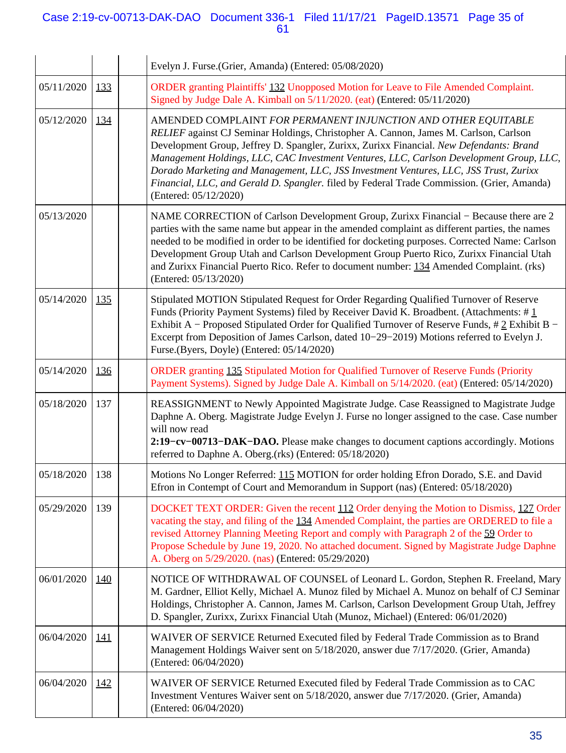## Case 2:19-cv-00713-DAK-DAO Document 336-1 Filed 11/17/21 PageID.13571 Page 35 of 61

|                |            | Evelyn J. Furse.(Grier, Amanda) (Entered: 05/08/2020)                                                                                                                                                                                                                                                                                                                                                                                                                                                                                                        |
|----------------|------------|--------------------------------------------------------------------------------------------------------------------------------------------------------------------------------------------------------------------------------------------------------------------------------------------------------------------------------------------------------------------------------------------------------------------------------------------------------------------------------------------------------------------------------------------------------------|
| 05/11/2020     | 133        | ORDER granting Plaintiffs' 132 Unopposed Motion for Leave to File Amended Complaint.<br>Signed by Judge Dale A. Kimball on 5/11/2020. (eat) (Entered: 05/11/2020)                                                                                                                                                                                                                                                                                                                                                                                            |
| 05/12/2020     | 134        | AMENDED COMPLAINT FOR PERMANENT INJUNCTION AND OTHER EQUITABLE<br>RELIEF against CJ Seminar Holdings, Christopher A. Cannon, James M. Carlson, Carlson<br>Development Group, Jeffrey D. Spangler, Zurixx, Zurixx Financial. New Defendants: Brand<br>Management Holdings, LLC, CAC Investment Ventures, LLC, Carlson Development Group, LLC,<br>Dorado Marketing and Management, LLC, JSS Investment Ventures, LLC, JSS Trust, Zurixx<br>Financial, LLC, and Gerald D. Spangler. filed by Federal Trade Commission. (Grier, Amanda)<br>(Entered: 05/12/2020) |
| 05/13/2020     |            | NAME CORRECTION of Carlson Development Group, Zurixx Financial – Because there are 2<br>parties with the same name but appear in the amended complaint as different parties, the names<br>needed to be modified in order to be identified for docketing purposes. Corrected Name: Carlson<br>Development Group Utah and Carlson Development Group Puerto Rico, Zurixx Financial Utah<br>and Zurixx Financial Puerto Rico. Refer to document number: 134 Amended Complaint. (rks)<br>(Entered: 05/13/2020)                                                    |
| 05/14/2020     | 135        | Stipulated MOTION Stipulated Request for Order Regarding Qualified Turnover of Reserve<br>Funds (Priority Payment Systems) filed by Receiver David K. Broadbent. (Attachments: $\#$ 1<br>Exhibit A – Proposed Stipulated Order for Qualified Turnover of Reserve Funds, $\# 2$ Exhibit B –<br>Excerpt from Deposition of James Carlson, dated 10-29-2019) Motions referred to Evelyn J.<br>Furse.(Byers, Doyle) (Entered: 05/14/2020)                                                                                                                        |
| 05/14/2020     | <u>136</u> | ORDER granting 135 Stipulated Motion for Qualified Turnover of Reserve Funds (Priority<br>Payment Systems). Signed by Judge Dale A. Kimball on 5/14/2020. (eat) (Entered: 05/14/2020)                                                                                                                                                                                                                                                                                                                                                                        |
| 05/18/2020     | 137        | REASSIGNMENT to Newly Appointed Magistrate Judge. Case Reassigned to Magistrate Judge<br>Daphne A. Oberg. Magistrate Judge Evelyn J. Furse no longer assigned to the case. Case number<br>will now read<br>2:19–cv–00713–DAK–DAO. Please make changes to document captions accordingly. Motions<br>referred to Daphne A. Oberg.(rks) (Entered: 05/18/2020)                                                                                                                                                                                                   |
| 05/18/2020 138 |            | Motions No Longer Referred: 115 MOTION for order holding Efron Dorado, S.E. and David<br>Efron in Contempt of Court and Memorandum in Support (nas) (Entered: 05/18/2020)                                                                                                                                                                                                                                                                                                                                                                                    |
| 05/29/2020     | 139        | DOCKET TEXT ORDER: Given the recent 112 Order denying the Motion to Dismiss, 127 Order<br>vacating the stay, and filing of the 134 Amended Complaint, the parties are ORDERED to file a<br>revised Attorney Planning Meeting Report and comply with Paragraph 2 of the 59 Order to<br>Propose Schedule by June 19, 2020. No attached document. Signed by Magistrate Judge Daphne<br>A. Oberg on 5/29/2020. (nas) (Entered: 05/29/2020)                                                                                                                       |
| 06/01/2020     | <u>140</u> | NOTICE OF WITHDRAWAL OF COUNSEL of Leonard L. Gordon, Stephen R. Freeland, Mary<br>M. Gardner, Elliot Kelly, Michael A. Munoz filed by Michael A. Munoz on behalf of CJ Seminar<br>Holdings, Christopher A. Cannon, James M. Carlson, Carlson Development Group Utah, Jeffrey<br>D. Spangler, Zurixx, Zurixx Financial Utah (Munoz, Michael) (Entered: 06/01/2020)                                                                                                                                                                                           |
| 06/04/2020     | <u>141</u> | WAIVER OF SERVICE Returned Executed filed by Federal Trade Commission as to Brand<br>Management Holdings Waiver sent on 5/18/2020, answer due 7/17/2020. (Grier, Amanda)<br>(Entered: 06/04/2020)                                                                                                                                                                                                                                                                                                                                                            |
| 06/04/2020     | 142        | WAIVER OF SERVICE Returned Executed filed by Federal Trade Commission as to CAC<br>Investment Ventures Waiver sent on 5/18/2020, answer due 7/17/2020. (Grier, Amanda)<br>(Entered: 06/04/2020)                                                                                                                                                                                                                                                                                                                                                              |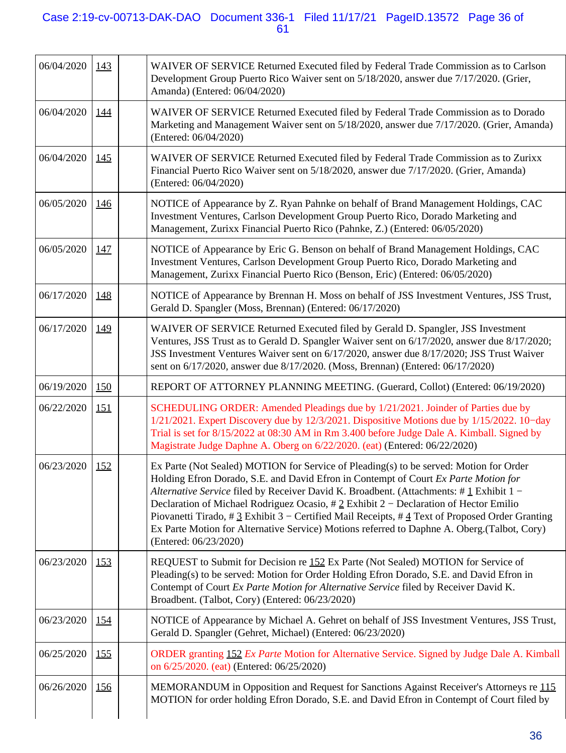## Case 2:19-cv-00713-DAK-DAO Document 336-1 Filed 11/17/21 PageID.13572 Page 36 of 61

| 06/04/2020 | 143         | WAIVER OF SERVICE Returned Executed filed by Federal Trade Commission as to Carlson<br>Development Group Puerto Rico Waiver sent on 5/18/2020, answer due 7/17/2020. (Grier,<br>Amanda) (Entered: 06/04/2020)                                                                                                                                                                                                                                                                                                                                                                                   |
|------------|-------------|-------------------------------------------------------------------------------------------------------------------------------------------------------------------------------------------------------------------------------------------------------------------------------------------------------------------------------------------------------------------------------------------------------------------------------------------------------------------------------------------------------------------------------------------------------------------------------------------------|
| 06/04/2020 | <u> 144</u> | WAIVER OF SERVICE Returned Executed filed by Federal Trade Commission as to Dorado<br>Marketing and Management Waiver sent on 5/18/2020, answer due 7/17/2020. (Grier, Amanda)<br>(Entered: 06/04/2020)                                                                                                                                                                                                                                                                                                                                                                                         |
| 06/04/2020 | 145         | WAIVER OF SERVICE Returned Executed filed by Federal Trade Commission as to Zurixx<br>Financial Puerto Rico Waiver sent on 5/18/2020, answer due 7/17/2020. (Grier, Amanda)<br>(Entered: 06/04/2020)                                                                                                                                                                                                                                                                                                                                                                                            |
| 06/05/2020 | <u>146</u>  | NOTICE of Appearance by Z. Ryan Pahnke on behalf of Brand Management Holdings, CAC<br>Investment Ventures, Carlson Development Group Puerto Rico, Dorado Marketing and<br>Management, Zurixx Financial Puerto Rico (Pahnke, Z.) (Entered: 06/05/2020)                                                                                                                                                                                                                                                                                                                                           |
| 06/05/2020 | <u>147</u>  | NOTICE of Appearance by Eric G. Benson on behalf of Brand Management Holdings, CAC<br>Investment Ventures, Carlson Development Group Puerto Rico, Dorado Marketing and<br>Management, Zurixx Financial Puerto Rico (Benson, Eric) (Entered: 06/05/2020)                                                                                                                                                                                                                                                                                                                                         |
| 06/17/2020 | 148         | NOTICE of Appearance by Brennan H. Moss on behalf of JSS Investment Ventures, JSS Trust,<br>Gerald D. Spangler (Moss, Brennan) (Entered: 06/17/2020)                                                                                                                                                                                                                                                                                                                                                                                                                                            |
| 06/17/2020 | <u>149</u>  | WAIVER OF SERVICE Returned Executed filed by Gerald D. Spangler, JSS Investment<br>Ventures, JSS Trust as to Gerald D. Spangler Waiver sent on 6/17/2020, answer due 8/17/2020;<br>JSS Investment Ventures Waiver sent on 6/17/2020, answer due 8/17/2020; JSS Trust Waiver<br>sent on 6/17/2020, answer due 8/17/2020. (Moss, Brennan) (Entered: 06/17/2020)                                                                                                                                                                                                                                   |
| 06/19/2020 | 150         | REPORT OF ATTORNEY PLANNING MEETING. (Guerard, Collot) (Entered: 06/19/2020)                                                                                                                                                                                                                                                                                                                                                                                                                                                                                                                    |
| 06/22/2020 | <u>151</u>  | SCHEDULING ORDER: Amended Pleadings due by 1/21/2021. Joinder of Parties due by<br>1/21/2021. Expert Discovery due by 12/3/2021. Dispositive Motions due by 1/15/2022. 10-day<br>Trial is set for 8/15/2022 at 08:30 AM in Rm 3.400 before Judge Dale A. Kimball. Signed by<br>Magistrate Judge Daphne A. Oberg on 6/22/2020. (eat) (Entered: 06/22/2020)                                                                                                                                                                                                                                       |
| 06/23/2020 | 152         | Ex Parte (Not Sealed) MOTION for Service of Pleading(s) to be served: Motion for Order<br>Holding Efron Dorado, S.E. and David Efron in Contempt of Court Ex Parte Motion for<br>Alternative Service filed by Receiver David K. Broadbent. (Attachments: #1 Exhibit 1 -<br>Declaration of Michael Rodriguez Ocasio, # 2 Exhibit 2 – Declaration of Hector Emilio<br>Piovanetti Tirado, # $3$ Exhibit 3 – Certified Mail Receipts, # $4$ Text of Proposed Order Granting<br>Ex Parte Motion for Alternative Service) Motions referred to Daphne A. Oberg.(Talbot, Cory)<br>(Entered: 06/23/2020) |
| 06/23/2020 | <u>153</u>  | REQUEST to Submit for Decision re 152 Ex Parte (Not Sealed) MOTION for Service of<br>Pleading(s) to be served: Motion for Order Holding Efron Dorado, S.E. and David Efron in<br>Contempt of Court Ex Parte Motion for Alternative Service filed by Receiver David K.<br>Broadbent. (Talbot, Cory) (Entered: 06/23/2020)                                                                                                                                                                                                                                                                        |
| 06/23/2020 | <u>154</u>  | NOTICE of Appearance by Michael A. Gehret on behalf of JSS Investment Ventures, JSS Trust,<br>Gerald D. Spangler (Gehret, Michael) (Entered: 06/23/2020)                                                                                                                                                                                                                                                                                                                                                                                                                                        |
| 06/25/2020 | <u>155</u>  | ORDER granting 152 Ex Parte Motion for Alternative Service. Signed by Judge Dale A. Kimball<br>on 6/25/2020. (eat) (Entered: 06/25/2020)                                                                                                                                                                                                                                                                                                                                                                                                                                                        |
| 06/26/2020 | <u>156</u>  | MEMORANDUM in Opposition and Request for Sanctions Against Receiver's Attorneys re 115<br>MOTION for order holding Efron Dorado, S.E. and David Efron in Contempt of Court filed by                                                                                                                                                                                                                                                                                                                                                                                                             |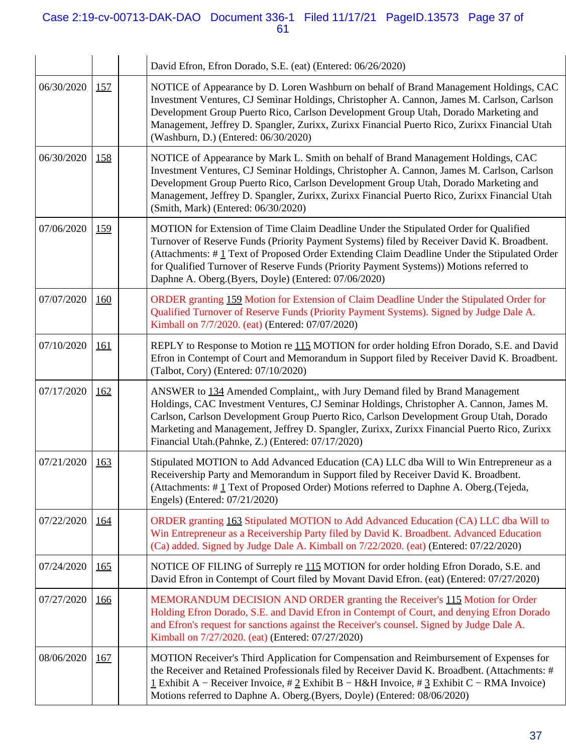## Case 2:19-cv-00713-DAK-DAO Document 336-1 Filed 11/17/21 PageID.13573 Page 37 of 61

|            |             | David Efron, Efron Dorado, S.E. (eat) (Entered: 06/26/2020)                                                                                                                                                                                                                                                                                                                                                                          |
|------------|-------------|--------------------------------------------------------------------------------------------------------------------------------------------------------------------------------------------------------------------------------------------------------------------------------------------------------------------------------------------------------------------------------------------------------------------------------------|
| 06/30/2020 | <u>157</u>  | NOTICE of Appearance by D. Loren Washburn on behalf of Brand Management Holdings, CAC<br>Investment Ventures, CJ Seminar Holdings, Christopher A. Cannon, James M. Carlson, Carlson<br>Development Group Puerto Rico, Carlson Development Group Utah, Dorado Marketing and<br>Management, Jeffrey D. Spangler, Zurixx, Zurixx Financial Puerto Rico, Zurixx Financial Utah<br>(Washburn, D.) (Entered: 06/30/2020)                   |
| 06/30/2020 | 158         | NOTICE of Appearance by Mark L. Smith on behalf of Brand Management Holdings, CAC<br>Investment Ventures, CJ Seminar Holdings, Christopher A. Cannon, James M. Carlson, Carlson<br>Development Group Puerto Rico, Carlson Development Group Utah, Dorado Marketing and<br>Management, Jeffrey D. Spangler, Zurixx, Zurixx Financial Puerto Rico, Zurixx Financial Utah<br>(Smith, Mark) (Entered: 06/30/2020)                        |
| 07/06/2020 | 159         | MOTION for Extension of Time Claim Deadline Under the Stipulated Order for Qualified<br>Turnover of Reserve Funds (Priority Payment Systems) filed by Receiver David K. Broadbent.<br>(Attachments: #1 Text of Proposed Order Extending Claim Deadline Under the Stipulated Order<br>for Qualified Turnover of Reserve Funds (Priority Payment Systems)) Motions referred to<br>Daphne A. Oberg.(Byers, Doyle) (Entered: 07/06/2020) |
| 07/07/2020 | <u>160</u>  | ORDER granting 159 Motion for Extension of Claim Deadline Under the Stipulated Order for<br>Qualified Turnover of Reserve Funds (Priority Payment Systems). Signed by Judge Dale A.<br>Kimball on 7/7/2020. (eat) (Entered: 07/07/2020)                                                                                                                                                                                              |
| 07/10/2020 | <u> 161</u> | REPLY to Response to Motion re 115 MOTION for order holding Efron Dorado, S.E. and David<br>Efron in Contempt of Court and Memorandum in Support filed by Receiver David K. Broadbent.<br>(Talbot, Cory) (Entered: 07/10/2020)                                                                                                                                                                                                       |
| 07/17/2020 | <u>162</u>  | ANSWER to 134 Amended Complaint,, with Jury Demand filed by Brand Management<br>Holdings, CAC Investment Ventures, CJ Seminar Holdings, Christopher A. Cannon, James M.<br>Carlson, Carlson Development Group Puerto Rico, Carlson Development Group Utah, Dorado<br>Marketing and Management, Jeffrey D. Spangler, Zurixx, Zurixx Financial Puerto Rico, Zurixx<br>Financial Utah.(Pahnke, Z.) (Entered: 07/17/2020)                |
| 07/21/2020 | <u>163</u>  | Stipulated MOTION to Add Advanced Education (CA) LLC dba Will to Win Entrepreneur as a<br>Receivership Party and Memorandum in Support filed by Receiver David K. Broadbent.<br>(Attachments: #1 Text of Proposed Order) Motions referred to Daphne A. Oberg. (Tejeda,<br>Engels) (Entered: 07/21/2020)                                                                                                                              |
| 07/22/2020 | <u>164</u>  | ORDER granting 163 Stipulated MOTION to Add Advanced Education (CA) LLC dba Will to<br>Win Entrepreneur as a Receivership Party filed by David K. Broadbent. Advanced Education<br>(Ca) added. Signed by Judge Dale A. Kimball on 7/22/2020. (eat) (Entered: 07/22/2020)                                                                                                                                                             |
| 07/24/2020 | <u>165</u>  | NOTICE OF FILING of Surreply re 115 MOTION for order holding Efron Dorado, S.E. and<br>David Efron in Contempt of Court filed by Movant David Efron. (eat) (Entered: 07/27/2020)                                                                                                                                                                                                                                                     |
| 07/27/2020 | <u>166</u>  | MEMORANDUM DECISION AND ORDER granting the Receiver's 115 Motion for Order<br>Holding Efron Dorado, S.E. and David Efron in Contempt of Court, and denying Efron Dorado<br>and Efron's request for sanctions against the Receiver's counsel. Signed by Judge Dale A.<br>Kimball on 7/27/2020. (eat) (Entered: 07/27/2020)                                                                                                            |
| 08/06/2020 | <u>167</u>  | MOTION Receiver's Third Application for Compensation and Reimbursement of Expenses for<br>the Receiver and Retained Professionals filed by Receiver David K. Broadbent. (Attachments: #<br>1 Exhibit A – Receiver Invoice, # 2 Exhibit B – H&H Invoice, # 3 Exhibit C – RMA Invoice)<br>Motions referred to Daphne A. Oberg.(Byers, Doyle) (Entered: 08/06/2020)                                                                     |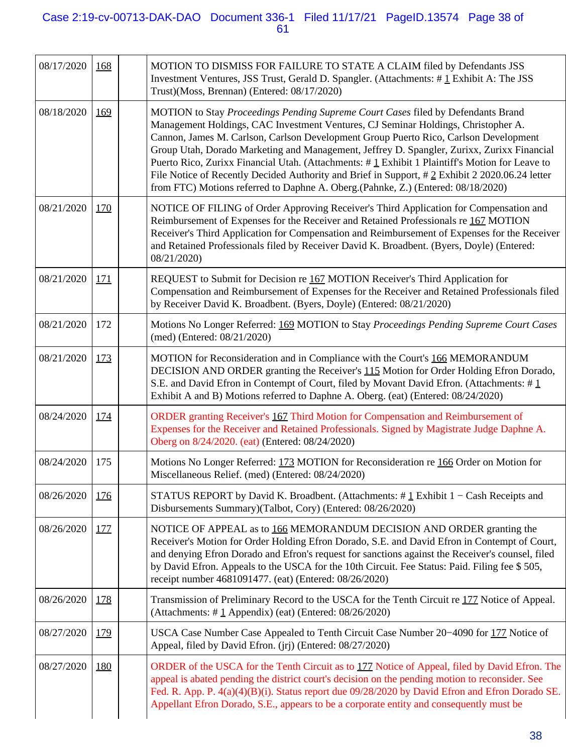## Case 2:19-cv-00713-DAK-DAO Document 336-1 Filed 11/17/21 PageID.13574 Page 38 of 61

| 08/17/2020<br>MOTION TO DISMISS FOR FAILURE TO STATE A CLAIM filed by Defendants JSS<br>168<br>Investment Ventures, JSS Trust, Gerald D. Spangler. (Attachments: #1 Exhibit A: The JSS<br>Trust)(Moss, Brennan) (Entered: 08/17/2020)<br>08/18/2020<br>MOTION to Stay Proceedings Pending Supreme Court Cases filed by Defendants Brand<br>169<br>Management Holdings, CAC Investment Ventures, CJ Seminar Holdings, Christopher A.<br>Cannon, James M. Carlson, Carlson Development Group Puerto Rico, Carlson Development<br>Group Utah, Dorado Marketing and Management, Jeffrey D. Spangler, Zurixx, Zurixx Financial<br>Puerto Rico, Zurixx Financial Utah. (Attachments: #1 Exhibit 1 Plaintiff's Motion for Leave to<br>File Notice of Recently Decided Authority and Brief in Support, #2 Exhibit 2 2020.06.24 letter<br>from FTC) Motions referred to Daphne A. Oberg.(Pahnke, Z.) (Entered: 08/18/2020)<br>08/21/2020<br>NOTICE OF FILING of Order Approving Receiver's Third Application for Compensation and<br><u>170</u><br>Reimbursement of Expenses for the Receiver and Retained Professionals re 167 MOTION<br>Receiver's Third Application for Compensation and Reimbursement of Expenses for the Receiver<br>and Retained Professionals filed by Receiver David K. Broadbent. (Byers, Doyle) (Entered:<br>08/21/2020)<br>REQUEST to Submit for Decision re 167 MOTION Receiver's Third Application for<br>08/21/2020<br><u>171</u><br>Compensation and Reimbursement of Expenses for the Receiver and Retained Professionals filed<br>by Receiver David K. Broadbent. (Byers, Doyle) (Entered: 08/21/2020)<br>Motions No Longer Referred: 169 MOTION to Stay Proceedings Pending Supreme Court Cases<br>08/21/2020<br>172<br>(med) (Entered: 08/21/2020)<br>MOTION for Reconsideration and in Compliance with the Court's 166 MEMORANDUM<br>08/21/2020<br><u>173</u><br>DECISION AND ORDER granting the Receiver's 115 Motion for Order Holding Efron Dorado,<br>S.E. and David Efron in Contempt of Court, filed by Movant David Efron. (Attachments: #1<br>Exhibit A and B) Motions referred to Daphne A. Oberg. (eat) (Entered: 08/24/2020)<br>ORDER granting Receiver's 167 Third Motion for Compensation and Reimbursement of<br>08/24/2020<br><u>174</u><br>Expenses for the Receiver and Retained Professionals. Signed by Magistrate Judge Daphne A.<br>Oberg on 8/24/2020. (eat) (Entered: 08/24/2020)<br>Motions No Longer Referred: 173 MOTION for Reconsideration re 166 Order on Motion for<br>08/24/2020<br>175<br>Miscellaneous Relief. (med) (Entered: 08/24/2020)<br>STATUS REPORT by David K. Broadbent. (Attachments: $\#$ 1 Exhibit 1 – Cash Receipts and<br>08/26/2020<br><u>176</u><br>Disbursements Summary)(Talbot, Cory) (Entered: 08/26/2020)<br>08/26/2020<br>NOTICE OF APPEAL as to 166 MEMORANDUM DECISION AND ORDER granting the<br><u>177</u><br>Receiver's Motion for Order Holding Efron Dorado, S.E. and David Efron in Contempt of Court,<br>and denying Efron Dorado and Efron's request for sanctions against the Receiver's counsel, filed<br>by David Efron. Appeals to the USCA for the 10th Circuit. Fee Status: Paid. Filing fee \$505,<br>receipt number 4681091477. (eat) (Entered: 08/26/2020) |  |
|-----------------------------------------------------------------------------------------------------------------------------------------------------------------------------------------------------------------------------------------------------------------------------------------------------------------------------------------------------------------------------------------------------------------------------------------------------------------------------------------------------------------------------------------------------------------------------------------------------------------------------------------------------------------------------------------------------------------------------------------------------------------------------------------------------------------------------------------------------------------------------------------------------------------------------------------------------------------------------------------------------------------------------------------------------------------------------------------------------------------------------------------------------------------------------------------------------------------------------------------------------------------------------------------------------------------------------------------------------------------------------------------------------------------------------------------------------------------------------------------------------------------------------------------------------------------------------------------------------------------------------------------------------------------------------------------------------------------------------------------------------------------------------------------------------------------------------------------------------------------------------------------------------------------------------------------------------------------------------------------------------------------------------------------------------------------------------------------------------------------------------------------------------------------------------------------------------------------------------------------------------------------------------------------------------------------------------------------------------------------------------------------------------------------------------------------------------------------------------------------------------------------------------------------------------------------------------------------------------------------------------------------------------------------------------------------------------------------------------------------------------------------------------------------------------------------------------------------------------------------------------------------------------------------------------------------------------------------------------------------------------------------------------------------------------------------------------------------------------------------------------------------------------------------------------------------------------------------------------------------------------------------|--|
|                                                                                                                                                                                                                                                                                                                                                                                                                                                                                                                                                                                                                                                                                                                                                                                                                                                                                                                                                                                                                                                                                                                                                                                                                                                                                                                                                                                                                                                                                                                                                                                                                                                                                                                                                                                                                                                                                                                                                                                                                                                                                                                                                                                                                                                                                                                                                                                                                                                                                                                                                                                                                                                                                                                                                                                                                                                                                                                                                                                                                                                                                                                                                                                                                                                                 |  |
|                                                                                                                                                                                                                                                                                                                                                                                                                                                                                                                                                                                                                                                                                                                                                                                                                                                                                                                                                                                                                                                                                                                                                                                                                                                                                                                                                                                                                                                                                                                                                                                                                                                                                                                                                                                                                                                                                                                                                                                                                                                                                                                                                                                                                                                                                                                                                                                                                                                                                                                                                                                                                                                                                                                                                                                                                                                                                                                                                                                                                                                                                                                                                                                                                                                                 |  |
|                                                                                                                                                                                                                                                                                                                                                                                                                                                                                                                                                                                                                                                                                                                                                                                                                                                                                                                                                                                                                                                                                                                                                                                                                                                                                                                                                                                                                                                                                                                                                                                                                                                                                                                                                                                                                                                                                                                                                                                                                                                                                                                                                                                                                                                                                                                                                                                                                                                                                                                                                                                                                                                                                                                                                                                                                                                                                                                                                                                                                                                                                                                                                                                                                                                                 |  |
|                                                                                                                                                                                                                                                                                                                                                                                                                                                                                                                                                                                                                                                                                                                                                                                                                                                                                                                                                                                                                                                                                                                                                                                                                                                                                                                                                                                                                                                                                                                                                                                                                                                                                                                                                                                                                                                                                                                                                                                                                                                                                                                                                                                                                                                                                                                                                                                                                                                                                                                                                                                                                                                                                                                                                                                                                                                                                                                                                                                                                                                                                                                                                                                                                                                                 |  |
|                                                                                                                                                                                                                                                                                                                                                                                                                                                                                                                                                                                                                                                                                                                                                                                                                                                                                                                                                                                                                                                                                                                                                                                                                                                                                                                                                                                                                                                                                                                                                                                                                                                                                                                                                                                                                                                                                                                                                                                                                                                                                                                                                                                                                                                                                                                                                                                                                                                                                                                                                                                                                                                                                                                                                                                                                                                                                                                                                                                                                                                                                                                                                                                                                                                                 |  |
|                                                                                                                                                                                                                                                                                                                                                                                                                                                                                                                                                                                                                                                                                                                                                                                                                                                                                                                                                                                                                                                                                                                                                                                                                                                                                                                                                                                                                                                                                                                                                                                                                                                                                                                                                                                                                                                                                                                                                                                                                                                                                                                                                                                                                                                                                                                                                                                                                                                                                                                                                                                                                                                                                                                                                                                                                                                                                                                                                                                                                                                                                                                                                                                                                                                                 |  |
|                                                                                                                                                                                                                                                                                                                                                                                                                                                                                                                                                                                                                                                                                                                                                                                                                                                                                                                                                                                                                                                                                                                                                                                                                                                                                                                                                                                                                                                                                                                                                                                                                                                                                                                                                                                                                                                                                                                                                                                                                                                                                                                                                                                                                                                                                                                                                                                                                                                                                                                                                                                                                                                                                                                                                                                                                                                                                                                                                                                                                                                                                                                                                                                                                                                                 |  |
|                                                                                                                                                                                                                                                                                                                                                                                                                                                                                                                                                                                                                                                                                                                                                                                                                                                                                                                                                                                                                                                                                                                                                                                                                                                                                                                                                                                                                                                                                                                                                                                                                                                                                                                                                                                                                                                                                                                                                                                                                                                                                                                                                                                                                                                                                                                                                                                                                                                                                                                                                                                                                                                                                                                                                                                                                                                                                                                                                                                                                                                                                                                                                                                                                                                                 |  |
|                                                                                                                                                                                                                                                                                                                                                                                                                                                                                                                                                                                                                                                                                                                                                                                                                                                                                                                                                                                                                                                                                                                                                                                                                                                                                                                                                                                                                                                                                                                                                                                                                                                                                                                                                                                                                                                                                                                                                                                                                                                                                                                                                                                                                                                                                                                                                                                                                                                                                                                                                                                                                                                                                                                                                                                                                                                                                                                                                                                                                                                                                                                                                                                                                                                                 |  |
|                                                                                                                                                                                                                                                                                                                                                                                                                                                                                                                                                                                                                                                                                                                                                                                                                                                                                                                                                                                                                                                                                                                                                                                                                                                                                                                                                                                                                                                                                                                                                                                                                                                                                                                                                                                                                                                                                                                                                                                                                                                                                                                                                                                                                                                                                                                                                                                                                                                                                                                                                                                                                                                                                                                                                                                                                                                                                                                                                                                                                                                                                                                                                                                                                                                                 |  |
| 08/26/2020<br>178<br>Transmission of Preliminary Record to the USCA for the Tenth Circuit re 177 Notice of Appeal.<br>(Attachments: $\#$ 1 Appendix) (eat) (Entered: 08/26/2020)                                                                                                                                                                                                                                                                                                                                                                                                                                                                                                                                                                                                                                                                                                                                                                                                                                                                                                                                                                                                                                                                                                                                                                                                                                                                                                                                                                                                                                                                                                                                                                                                                                                                                                                                                                                                                                                                                                                                                                                                                                                                                                                                                                                                                                                                                                                                                                                                                                                                                                                                                                                                                                                                                                                                                                                                                                                                                                                                                                                                                                                                                |  |
| 08/27/2020<br>179<br>USCA Case Number Case Appealed to Tenth Circuit Case Number 20–4090 for 177 Notice of<br>Appeal, filed by David Efron. (jrj) (Entered: 08/27/2020)                                                                                                                                                                                                                                                                                                                                                                                                                                                                                                                                                                                                                                                                                                                                                                                                                                                                                                                                                                                                                                                                                                                                                                                                                                                                                                                                                                                                                                                                                                                                                                                                                                                                                                                                                                                                                                                                                                                                                                                                                                                                                                                                                                                                                                                                                                                                                                                                                                                                                                                                                                                                                                                                                                                                                                                                                                                                                                                                                                                                                                                                                         |  |
| 08/27/2020<br>ORDER of the USCA for the Tenth Circuit as to 177 Notice of Appeal, filed by David Efron. The<br><u>180</u><br>appeal is abated pending the district court's decision on the pending motion to reconsider. See<br>Fed. R. App. P. 4(a)(4)(B)(i). Status report due 09/28/2020 by David Efron and Efron Dorado SE.<br>Appellant Efron Dorado, S.E., appears to be a corporate entity and consequently must be                                                                                                                                                                                                                                                                                                                                                                                                                                                                                                                                                                                                                                                                                                                                                                                                                                                                                                                                                                                                                                                                                                                                                                                                                                                                                                                                                                                                                                                                                                                                                                                                                                                                                                                                                                                                                                                                                                                                                                                                                                                                                                                                                                                                                                                                                                                                                                                                                                                                                                                                                                                                                                                                                                                                                                                                                                      |  |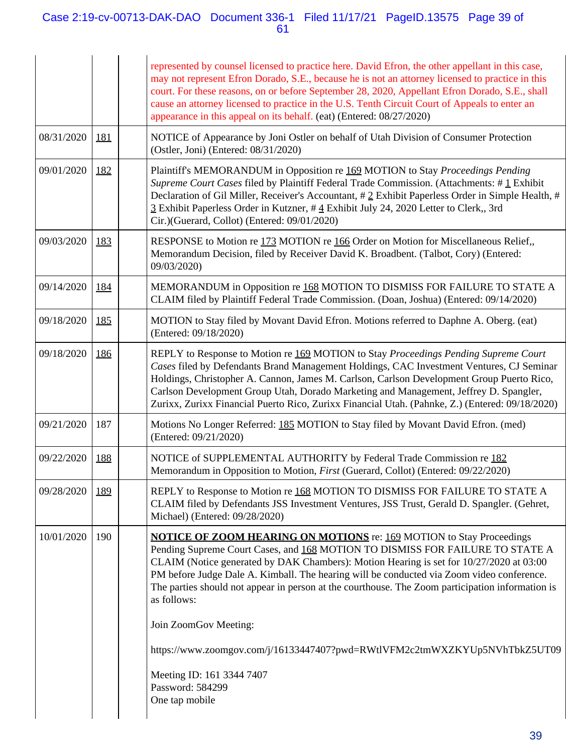## Case 2:19-cv-00713-DAK-DAO Document 336-1 Filed 11/17/21 PageID.13575 Page 39 of 61

|            |            | represented by counsel licensed to practice here. David Efron, the other appellant in this case,<br>may not represent Efron Dorado, S.E., because he is not an attorney licensed to practice in this<br>court. For these reasons, on or before September 28, 2020, Appellant Efron Dorado, S.E., shall<br>cause an attorney licensed to practice in the U.S. Tenth Circuit Court of Appeals to enter an<br>appearance in this appeal on its behalf. (eat) (Entered: 08/27/2020)                                                                                                |
|------------|------------|--------------------------------------------------------------------------------------------------------------------------------------------------------------------------------------------------------------------------------------------------------------------------------------------------------------------------------------------------------------------------------------------------------------------------------------------------------------------------------------------------------------------------------------------------------------------------------|
| 08/31/2020 | 181        | NOTICE of Appearance by Joni Ostler on behalf of Utah Division of Consumer Protection<br>(Ostler, Joni) (Entered: 08/31/2020)                                                                                                                                                                                                                                                                                                                                                                                                                                                  |
| 09/01/2020 | 182        | Plaintiff's MEMORANDUM in Opposition re 169 MOTION to Stay Proceedings Pending<br>Supreme Court Cases filed by Plaintiff Federal Trade Commission. (Attachments: #1 Exhibit<br>Declaration of Gil Miller, Receiver's Accountant, # 2 Exhibit Paperless Order in Simple Health, #<br>3 Exhibit Paperless Order in Kutzner, #4 Exhibit July 24, 2020 Letter to Clerk,, 3rd<br>Cir.)(Guerard, Collot) (Entered: 09/01/2020)                                                                                                                                                       |
| 09/03/2020 | 183        | RESPONSE to Motion re 173 MOTION re 166 Order on Motion for Miscellaneous Relief,<br>Memorandum Decision, filed by Receiver David K. Broadbent. (Talbot, Cory) (Entered:<br>09/03/2020)                                                                                                                                                                                                                                                                                                                                                                                        |
| 09/14/2020 | <u>184</u> | MEMORANDUM in Opposition re 168 MOTION TO DISMISS FOR FAILURE TO STATE A<br>CLAIM filed by Plaintiff Federal Trade Commission. (Doan, Joshua) (Entered: 09/14/2020)                                                                                                                                                                                                                                                                                                                                                                                                            |
| 09/18/2020 | 185        | MOTION to Stay filed by Movant David Efron. Motions referred to Daphne A. Oberg. (eat)<br>(Entered: 09/18/2020)                                                                                                                                                                                                                                                                                                                                                                                                                                                                |
| 09/18/2020 | 186        | REPLY to Response to Motion re 169 MOTION to Stay Proceedings Pending Supreme Court<br>Cases filed by Defendants Brand Management Holdings, CAC Investment Ventures, CJ Seminar<br>Holdings, Christopher A. Cannon, James M. Carlson, Carlson Development Group Puerto Rico,<br>Carlson Development Group Utah, Dorado Marketing and Management, Jeffrey D. Spangler,<br>Zurixx, Zurixx Financial Puerto Rico, Zurixx Financial Utah. (Pahnke, Z.) (Entered: 09/18/2020)                                                                                                       |
| 09/21/2020 | 187        | Motions No Longer Referred: 185 MOTION to Stay filed by Movant David Efron. (med)<br>(Entered: 09/21/2020)                                                                                                                                                                                                                                                                                                                                                                                                                                                                     |
| 09/22/2020 | 188        | NOTICE of SUPPLEMENTAL AUTHORITY by Federal Trade Commission re 182<br>Memorandum in Opposition to Motion, First (Guerard, Collot) (Entered: 09/22/2020)                                                                                                                                                                                                                                                                                                                                                                                                                       |
| 09/28/2020 | 189        | REPLY to Response to Motion re 168 MOTION TO DISMISS FOR FAILURE TO STATE A<br>CLAIM filed by Defendants JSS Investment Ventures, JSS Trust, Gerald D. Spangler. (Gehret,<br>Michael) (Entered: 09/28/2020)                                                                                                                                                                                                                                                                                                                                                                    |
| 10/01/2020 | 190        | <b>NOTICE OF ZOOM HEARING ON MOTIONS</b> re: 169 MOTION to Stay Proceedings<br>Pending Supreme Court Cases, and 168 MOTION TO DISMISS FOR FAILURE TO STATE A<br>CLAIM (Notice generated by DAK Chambers): Motion Hearing is set for 10/27/2020 at 03:00<br>PM before Judge Dale A. Kimball. The hearing will be conducted via Zoom video conference.<br>The parties should not appear in person at the courthouse. The Zoom participation information is<br>as follows:<br>Join ZoomGov Meeting:<br>https://www.zoomgov.com/j/16133447407?pwd=RWtlVFM2c2tmWXZKYUp5NVhTbkZ5UT09 |
|            |            | Meeting ID: 161 3344 7407<br>Password: 584299<br>One tap mobile                                                                                                                                                                                                                                                                                                                                                                                                                                                                                                                |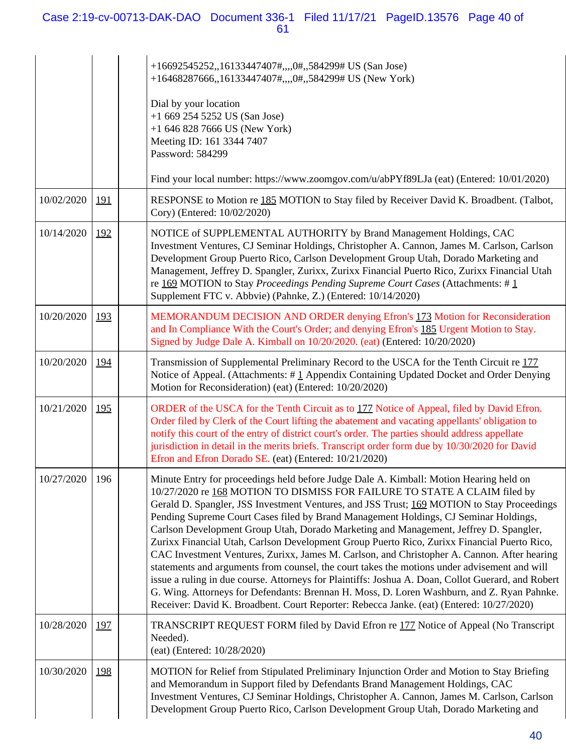## Case 2:19-cv-00713-DAK-DAO Document 336-1 Filed 11/17/21 PageID.13576 Page 40 of 61

|                |            | +16692545252,,16133447407#,,,,0#,,584299# US (San Jose)<br>+16468287666,,16133447407#,,,,0#,,584299# US (New York)<br>Dial by your location<br>$+16692545252$ US (San Jose)<br>$+1$ 646 828 7666 US (New York)<br>Meeting ID: 161 3344 7407<br>Password: 584299                                                                                                                                                                                                                                                                                                                                                                                                                                                                                                                                                                                                                                                                                                                                                                                  |
|----------------|------------|--------------------------------------------------------------------------------------------------------------------------------------------------------------------------------------------------------------------------------------------------------------------------------------------------------------------------------------------------------------------------------------------------------------------------------------------------------------------------------------------------------------------------------------------------------------------------------------------------------------------------------------------------------------------------------------------------------------------------------------------------------------------------------------------------------------------------------------------------------------------------------------------------------------------------------------------------------------------------------------------------------------------------------------------------|
|                |            | Find your local number: https://www.zoomgov.com/u/abPYf89LJa (eat) (Entered: 10/01/2020)                                                                                                                                                                                                                                                                                                                                                                                                                                                                                                                                                                                                                                                                                                                                                                                                                                                                                                                                                         |
| 10/02/2020     | <u>191</u> | RESPONSE to Motion re 185 MOTION to Stay filed by Receiver David K. Broadbent. (Talbot,<br>Cory) (Entered: 10/02/2020)                                                                                                                                                                                                                                                                                                                                                                                                                                                                                                                                                                                                                                                                                                                                                                                                                                                                                                                           |
| 10/14/2020     | 192        | NOTICE of SUPPLEMENTAL AUTHORITY by Brand Management Holdings, CAC<br>Investment Ventures, CJ Seminar Holdings, Christopher A. Cannon, James M. Carlson, Carlson<br>Development Group Puerto Rico, Carlson Development Group Utah, Dorado Marketing and<br>Management, Jeffrey D. Spangler, Zurixx, Zurixx Financial Puerto Rico, Zurixx Financial Utah<br>re 169 MOTION to Stay Proceedings Pending Supreme Court Cases (Attachments: #1<br>Supplement FTC v. Abbvie) (Pahnke, Z.) (Entered: 10/14/2020)                                                                                                                                                                                                                                                                                                                                                                                                                                                                                                                                        |
| 10/20/2020     | 193        | MEMORANDUM DECISION AND ORDER denying Efron's 173 Motion for Reconsideration<br>and In Compliance With the Court's Order; and denying Efron's 185 Urgent Motion to Stay.<br>Signed by Judge Dale A. Kimball on 10/20/2020. (eat) (Entered: 10/20/2020)                                                                                                                                                                                                                                                                                                                                                                                                                                                                                                                                                                                                                                                                                                                                                                                           |
| 10/20/2020     | <u>194</u> | Transmission of Supplemental Preliminary Record to the USCA for the Tenth Circuit re 177<br>Notice of Appeal. (Attachments: #1 Appendix Containing Updated Docket and Order Denying<br>Motion for Reconsideration) (eat) (Entered: 10/20/2020)                                                                                                                                                                                                                                                                                                                                                                                                                                                                                                                                                                                                                                                                                                                                                                                                   |
| 10/21/2020     | <u>195</u> | ORDER of the USCA for the Tenth Circuit as to 177 Notice of Appeal, filed by David Efron.<br>Order filed by Clerk of the Court lifting the abatement and vacating appellants' obligation to<br>notify this court of the entry of district court's order. The parties should address appellate<br>jurisdiction in detail in the merits briefs. Transcript order form due by 10/30/2020 for David<br>Efron and Efron Dorado SE. (eat) (Entered: 10/21/2020)                                                                                                                                                                                                                                                                                                                                                                                                                                                                                                                                                                                        |
| 10/27/2020 196 |            | Minute Entry for proceedings held before Judge Dale A. Kimball: Motion Hearing held on<br>10/27/2020 re 168 MOTION TO DISMISS FOR FAILURE TO STATE A CLAIM filed by<br>Gerald D. Spangler, JSS Investment Ventures, and JSS Trust; 169 MOTION to Stay Proceedings<br>Pending Supreme Court Cases filed by Brand Management Holdings, CJ Seminar Holdings,<br>Carlson Development Group Utah, Dorado Marketing and Management, Jeffrey D. Spangler,<br>Zurixx Financial Utah, Carlson Development Group Puerto Rico, Zurixx Financial Puerto Rico,<br>CAC Investment Ventures, Zurixx, James M. Carlson, and Christopher A. Cannon. After hearing<br>statements and arguments from counsel, the court takes the motions under advisement and will<br>issue a ruling in due course. Attorneys for Plaintiffs: Joshua A. Doan, Collot Guerard, and Robert<br>G. Wing. Attorneys for Defendants: Brennan H. Moss, D. Loren Washburn, and Z. Ryan Pahnke.<br>Receiver: David K. Broadbent. Court Reporter: Rebecca Janke. (eat) (Entered: 10/27/2020) |
| 10/28/2020     | <u>197</u> | TRANSCRIPT REQUEST FORM filed by David Efron re 177 Notice of Appeal (No Transcript<br>Needed).<br>(eat) (Entered: 10/28/2020)                                                                                                                                                                                                                                                                                                                                                                                                                                                                                                                                                                                                                                                                                                                                                                                                                                                                                                                   |
| 10/30/2020     | <u>198</u> | MOTION for Relief from Stipulated Preliminary Injunction Order and Motion to Stay Briefing<br>and Memorandum in Support filed by Defendants Brand Management Holdings, CAC<br>Investment Ventures, CJ Seminar Holdings, Christopher A. Cannon, James M. Carlson, Carlson<br>Development Group Puerto Rico, Carlson Development Group Utah, Dorado Marketing and                                                                                                                                                                                                                                                                                                                                                                                                                                                                                                                                                                                                                                                                                  |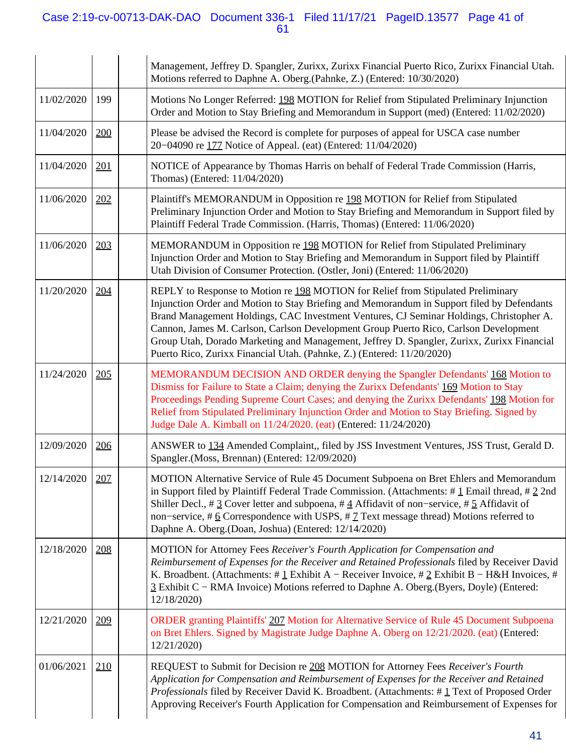## Case 2:19-cv-00713-DAK-DAO Document 336-1 Filed 11/17/21 PageID.13577 Page 41 of 61

|            |     | Management, Jeffrey D. Spangler, Zurixx, Zurixx Financial Puerto Rico, Zurixx Financial Utah.<br>Motions referred to Daphne A. Oberg.(Pahnke, Z.) (Entered: 10/30/2020)                                                                                                                                                                                                                                                                                                                                                                   |
|------------|-----|-------------------------------------------------------------------------------------------------------------------------------------------------------------------------------------------------------------------------------------------------------------------------------------------------------------------------------------------------------------------------------------------------------------------------------------------------------------------------------------------------------------------------------------------|
| 11/02/2020 | 199 | Motions No Longer Referred: 198 MOTION for Relief from Stipulated Preliminary Injunction<br>Order and Motion to Stay Briefing and Memorandum in Support (med) (Entered: 11/02/2020)                                                                                                                                                                                                                                                                                                                                                       |
| 11/04/2020 | 200 | Please be advised the Record is complete for purposes of appeal for USCA case number<br>20-04090 re 177 Notice of Appeal. (eat) (Entered: 11/04/2020)                                                                                                                                                                                                                                                                                                                                                                                     |
| 11/04/2020 | 201 | NOTICE of Appearance by Thomas Harris on behalf of Federal Trade Commission (Harris,<br>Thomas) (Entered: 11/04/2020)                                                                                                                                                                                                                                                                                                                                                                                                                     |
| 11/06/2020 | 202 | Plaintiff's MEMORANDUM in Opposition re 198 MOTION for Relief from Stipulated<br>Preliminary Injunction Order and Motion to Stay Briefing and Memorandum in Support filed by<br>Plaintiff Federal Trade Commission. (Harris, Thomas) (Entered: 11/06/2020)                                                                                                                                                                                                                                                                                |
| 11/06/2020 | 203 | MEMORANDUM in Opposition re 198 MOTION for Relief from Stipulated Preliminary<br>Injunction Order and Motion to Stay Briefing and Memorandum in Support filed by Plaintiff<br>Utah Division of Consumer Protection. (Ostler, Joni) (Entered: 11/06/2020)                                                                                                                                                                                                                                                                                  |
| 11/20/2020 | 204 | REPLY to Response to Motion re 198 MOTION for Relief from Stipulated Preliminary<br>Injunction Order and Motion to Stay Briefing and Memorandum in Support filed by Defendants<br>Brand Management Holdings, CAC Investment Ventures, CJ Seminar Holdings, Christopher A.<br>Cannon, James M. Carlson, Carlson Development Group Puerto Rico, Carlson Development<br>Group Utah, Dorado Marketing and Management, Jeffrey D. Spangler, Zurixx, Zurixx Financial<br>Puerto Rico, Zurixx Financial Utah. (Pahnke, Z.) (Entered: 11/20/2020) |
| 11/24/2020 | 205 | MEMORANDUM DECISION AND ORDER denying the Spangler Defendants' 168 Motion to<br>Dismiss for Failure to State a Claim; denying the Zurixx Defendants' 169 Motion to Stay<br>Proceedings Pending Supreme Court Cases; and denying the Zurixx Defendants' 198 Motion for<br>Relief from Stipulated Preliminary Injunction Order and Motion to Stay Briefing. Signed by<br>Judge Dale A. Kimball on 11/24/2020. (eat) (Entered: 11/24/2020)                                                                                                   |
| 12/09/2020 | 206 | ANSWER to 134 Amended Complaint,, filed by JSS Investment Ventures, JSS Trust, Gerald D.<br>Spangler.(Moss, Brennan) (Entered: 12/09/2020)                                                                                                                                                                                                                                                                                                                                                                                                |
| 12/14/2020 | 207 | MOTION Alternative Service of Rule 45 Document Subpoena on Bret Ehlers and Memorandum<br>in Support filed by Plaintiff Federal Trade Commission. (Attachments: $\#\underline{1}$ Email thread, $\#\underline{2}$ 2nd<br>Shiller Decl., # 3 Cover letter and subpoena, # 4 Affidavit of non-service, # 5 Affidavit of<br>non-service, #6 Correspondence with USPS, #7 Text message thread) Motions referred to<br>Daphne A. Oberg.(Doan, Joshua) (Entered: 12/14/2020)                                                                     |
| 12/18/2020 | 208 | MOTION for Attorney Fees Receiver's Fourth Application for Compensation and<br>Reimbursement of Expenses for the Receiver and Retained Professionals filed by Receiver David<br>K. Broadbent. (Attachments: #1 Exhibit A – Receiver Invoice, #2 Exhibit B – H&H Invoices, #<br>3 Exhibit C - RMA Invoice) Motions referred to Daphne A. Oberg.(Byers, Doyle) (Entered:<br>12/18/2020)                                                                                                                                                     |
| 12/21/2020 | 209 | ORDER granting Plaintiffs' 207 Motion for Alternative Service of Rule 45 Document Subpoena<br>on Bret Ehlers. Signed by Magistrate Judge Daphne A. Oberg on 12/21/2020. (eat) (Entered:<br>12/21/2020)                                                                                                                                                                                                                                                                                                                                    |
| 01/06/2021 | 210 | REQUEST to Submit for Decision re 208 MOTION for Attorney Fees Receiver's Fourth<br>Application for Compensation and Reimbursement of Expenses for the Receiver and Retained<br>Professionals filed by Receiver David K. Broadbent. (Attachments: #1 Text of Proposed Order<br>Approving Receiver's Fourth Application for Compensation and Reimbursement of Expenses for                                                                                                                                                                 |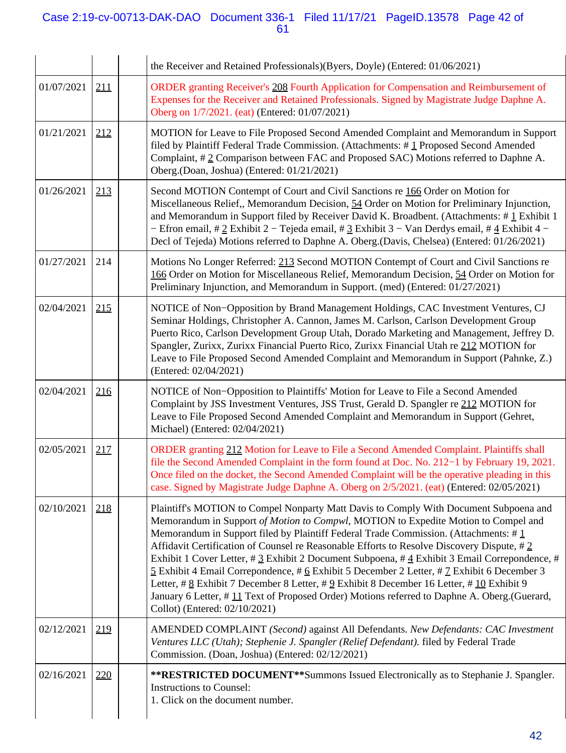## Case 2:19-cv-00713-DAK-DAO Document 336-1 Filed 11/17/21 PageID.13578 Page 42 of 61

|            |     | the Receiver and Retained Professionals)(Byers, Doyle) (Entered: 01/06/2021)                                                                                                                                                                                                                                                                                                                                                                                                                                                                                                                                                                                                                                                                                                                        |
|------------|-----|-----------------------------------------------------------------------------------------------------------------------------------------------------------------------------------------------------------------------------------------------------------------------------------------------------------------------------------------------------------------------------------------------------------------------------------------------------------------------------------------------------------------------------------------------------------------------------------------------------------------------------------------------------------------------------------------------------------------------------------------------------------------------------------------------------|
| 01/07/2021 | 211 | ORDER granting Receiver's 208 Fourth Application for Compensation and Reimbursement of<br>Expenses for the Receiver and Retained Professionals. Signed by Magistrate Judge Daphne A.<br>Oberg on 1/7/2021. (eat) (Entered: 01/07/2021)                                                                                                                                                                                                                                                                                                                                                                                                                                                                                                                                                              |
| 01/21/2021 | 212 | MOTION for Leave to File Proposed Second Amended Complaint and Memorandum in Support<br>filed by Plaintiff Federal Trade Commission. (Attachments: #1 Proposed Second Amended<br>Complaint, #2 Comparison between FAC and Proposed SAC) Motions referred to Daphne A.<br>Oberg.(Doan, Joshua) (Entered: 01/21/2021)                                                                                                                                                                                                                                                                                                                                                                                                                                                                                 |
| 01/26/2021 | 213 | Second MOTION Contempt of Court and Civil Sanctions re 166 Order on Motion for<br>Miscellaneous Relief,, Memorandum Decision, 54 Order on Motion for Preliminary Injunction,<br>and Memorandum in Support filed by Receiver David K. Broadbent. (Attachments: #1 Exhibit 1<br>- Efron email, # 2 Exhibit 2 - Tejeda email, # 3 Exhibit 3 - Van Derdys email, # 4 Exhibit 4 -<br>Decl of Tejeda) Motions referred to Daphne A. Oberg.(Davis, Chelsea) (Entered: 01/26/2021)                                                                                                                                                                                                                                                                                                                          |
| 01/27/2021 | 214 | Motions No Longer Referred: 213 Second MOTION Contempt of Court and Civil Sanctions re<br>166 Order on Motion for Miscellaneous Relief, Memorandum Decision, 54 Order on Motion for<br>Preliminary Injunction, and Memorandum in Support. (med) (Entered: 01/27/2021)                                                                                                                                                                                                                                                                                                                                                                                                                                                                                                                               |
| 02/04/2021 | 215 | NOTICE of Non-Opposition by Brand Management Holdings, CAC Investment Ventures, CJ<br>Seminar Holdings, Christopher A. Cannon, James M. Carlson, Carlson Development Group<br>Puerto Rico, Carlson Development Group Utah, Dorado Marketing and Management, Jeffrey D.<br>Spangler, Zurixx, Zurixx Financial Puerto Rico, Zurixx Financial Utah re 212 MOTION for<br>Leave to File Proposed Second Amended Complaint and Memorandum in Support (Pahnke, Z.)<br>(Entered: 02/04/2021)                                                                                                                                                                                                                                                                                                                |
| 02/04/2021 | 216 | NOTICE of Non-Opposition to Plaintiffs' Motion for Leave to File a Second Amended<br>Complaint by JSS Investment Ventures, JSS Trust, Gerald D. Spangler re 212 MOTION for<br>Leave to File Proposed Second Amended Complaint and Memorandum in Support (Gehret,<br>Michael) (Entered: 02/04/2021)                                                                                                                                                                                                                                                                                                                                                                                                                                                                                                  |
| 02/05/2021 | 217 | ORDER granting 212 Motion for Leave to File a Second Amended Complaint. Plaintiffs shall<br>file the Second Amended Complaint in the form found at Doc. No. 212–1 by February 19, 2021.<br>Once filed on the docket, the Second Amended Complaint will be the operative pleading in this<br>case. Signed by Magistrate Judge Daphne A. Oberg on 2/5/2021. (eat) (Entered: 02/05/2021)                                                                                                                                                                                                                                                                                                                                                                                                               |
| 02/10/2021 | 218 | Plaintiff's MOTION to Compel Nonparty Matt Davis to Comply With Document Subpoena and<br>Memorandum in Support of Motion to Compwl, MOTION to Expedite Motion to Compel and<br>Memorandum in Support filed by Plaintiff Federal Trade Commission. (Attachments: $\#\perp$<br>Affidavit Certification of Counsel re Reasonable Efforts to Resolve Discovery Dispute, #2<br>Exhibit 1 Cover Letter, # 3 Exhibit 2 Document Subpoena, # 4 Exhibit 3 Email Correpondence, #<br>5 Exhibit 4 Email Correpondence, # 6 Exhibit 5 December 2 Letter, # 7 Exhibit 6 December 3<br>Letter, # 8 Exhibit 7 December 8 Letter, # 9 Exhibit 8 December 16 Letter, # 10 Exhibit 9<br>January 6 Letter, #11 Text of Proposed Order) Motions referred to Daphne A. Oberg. (Guerard,<br>Collot) (Entered: 02/10/2021) |
| 02/12/2021 | 219 | AMENDED COMPLAINT (Second) against All Defendants. New Defendants: CAC Investment<br>Ventures LLC (Utah); Stephenie J. Spangler (Relief Defendant). filed by Federal Trade<br>Commission. (Doan, Joshua) (Entered: 02/12/2021)                                                                                                                                                                                                                                                                                                                                                                                                                                                                                                                                                                      |
| 02/16/2021 | 220 | **RESTRICTED DOCUMENT**Summons Issued Electronically as to Stephanie J. Spangler.<br><b>Instructions to Counsel:</b><br>1. Click on the document number.                                                                                                                                                                                                                                                                                                                                                                                                                                                                                                                                                                                                                                            |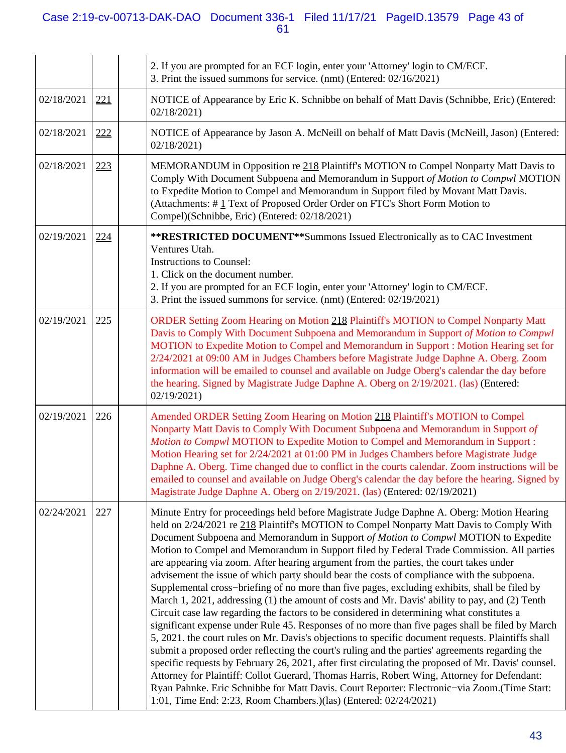## Case 2:19-cv-00713-DAK-DAO Document 336-1 Filed 11/17/21 PageID.13579 Page 43 of 61

|            |     | 2. If you are prompted for an ECF login, enter your 'Attorney' login to CM/ECF.<br>3. Print the issued summons for service. (nmt) (Entered: 02/16/2021)                                                                                                                                                                                                                                                                                                                                                                                                                                                                                                                                                                                                                                                                                                                                                                                                                                                                                                                                                                                                                                                                                                                                                                                                                                                                                                                                                                                               |
|------------|-----|-------------------------------------------------------------------------------------------------------------------------------------------------------------------------------------------------------------------------------------------------------------------------------------------------------------------------------------------------------------------------------------------------------------------------------------------------------------------------------------------------------------------------------------------------------------------------------------------------------------------------------------------------------------------------------------------------------------------------------------------------------------------------------------------------------------------------------------------------------------------------------------------------------------------------------------------------------------------------------------------------------------------------------------------------------------------------------------------------------------------------------------------------------------------------------------------------------------------------------------------------------------------------------------------------------------------------------------------------------------------------------------------------------------------------------------------------------------------------------------------------------------------------------------------------------|
| 02/18/2021 | 221 | NOTICE of Appearance by Eric K. Schnibbe on behalf of Matt Davis (Schnibbe, Eric) (Entered:<br>02/18/2021                                                                                                                                                                                                                                                                                                                                                                                                                                                                                                                                                                                                                                                                                                                                                                                                                                                                                                                                                                                                                                                                                                                                                                                                                                                                                                                                                                                                                                             |
| 02/18/2021 | 222 | NOTICE of Appearance by Jason A. McNeill on behalf of Matt Davis (McNeill, Jason) (Entered:<br>02/18/2021                                                                                                                                                                                                                                                                                                                                                                                                                                                                                                                                                                                                                                                                                                                                                                                                                                                                                                                                                                                                                                                                                                                                                                                                                                                                                                                                                                                                                                             |
| 02/18/2021 | 223 | MEMORANDUM in Opposition re 218 Plaintiff's MOTION to Compel Nonparty Matt Davis to<br>Comply With Document Subpoena and Memorandum in Support of Motion to Compwl MOTION<br>to Expedite Motion to Compel and Memorandum in Support filed by Movant Matt Davis.<br>(Attachments: #1 Text of Proposed Order Order on FTC's Short Form Motion to<br>Compel)(Schnibbe, Eric) (Entered: 02/18/2021)                                                                                                                                                                                                                                                                                                                                                                                                                                                                                                                                                                                                                                                                                                                                                                                                                                                                                                                                                                                                                                                                                                                                                       |
| 02/19/2021 | 224 | **RESTRICTED DOCUMENT**Summons Issued Electronically as to CAC Investment<br>Ventures Utah.<br><b>Instructions to Counsel:</b><br>1. Click on the document number.<br>2. If you are prompted for an ECF login, enter your 'Attorney' login to CM/ECF.<br>3. Print the issued summons for service. (nmt) (Entered: 02/19/2021)                                                                                                                                                                                                                                                                                                                                                                                                                                                                                                                                                                                                                                                                                                                                                                                                                                                                                                                                                                                                                                                                                                                                                                                                                         |
| 02/19/2021 | 225 | ORDER Setting Zoom Hearing on Motion 218 Plaintiff's MOTION to Compel Nonparty Matt<br>Davis to Comply With Document Subpoena and Memorandum in Support of Motion to Compwl<br>MOTION to Expedite Motion to Compel and Memorandum in Support : Motion Hearing set for<br>2/24/2021 at 09:00 AM in Judges Chambers before Magistrate Judge Daphne A. Oberg. Zoom<br>information will be emailed to counsel and available on Judge Oberg's calendar the day before<br>the hearing. Signed by Magistrate Judge Daphne A. Oberg on 2/19/2021. (las) (Entered:<br>02/19/2021                                                                                                                                                                                                                                                                                                                                                                                                                                                                                                                                                                                                                                                                                                                                                                                                                                                                                                                                                                               |
| 02/19/2021 | 226 | Amended ORDER Setting Zoom Hearing on Motion 218 Plaintiff's MOTION to Compel<br>Nonparty Matt Davis to Comply With Document Subpoena and Memorandum in Support of<br>Motion to Compwl MOTION to Expedite Motion to Compel and Memorandum in Support:<br>Motion Hearing set for 2/24/2021 at 01:00 PM in Judges Chambers before Magistrate Judge<br>Daphne A. Oberg. Time changed due to conflict in the courts calendar. Zoom instructions will be<br>emailed to counsel and available on Judge Oberg's calendar the day before the hearing. Signed by<br>Magistrate Judge Daphne A. Oberg on 2/19/2021. (las) (Entered: 02/19/2021)                                                                                                                                                                                                                                                                                                                                                                                                                                                                                                                                                                                                                                                                                                                                                                                                                                                                                                                 |
| 02/24/2021 | 227 | Minute Entry for proceedings held before Magistrate Judge Daphne A. Oberg: Motion Hearing<br>held on 2/24/2021 re 218 Plaintiff's MOTION to Compel Nonparty Matt Davis to Comply With<br>Document Subpoena and Memorandum in Support of Motion to Compwl MOTION to Expedite<br>Motion to Compel and Memorandum in Support filed by Federal Trade Commission. All parties<br>are appearing via zoom. After hearing argument from the parties, the court takes under<br>advisement the issue of which party should bear the costs of compliance with the subpoena.<br>Supplemental cross-briefing of no more than five pages, excluding exhibits, shall be filed by<br>March 1, 2021, addressing (1) the amount of costs and Mr. Davis' ability to pay, and (2) Tenth<br>Circuit case law regarding the factors to be considered in determining what constitutes a<br>significant expense under Rule 45. Responses of no more than five pages shall be filed by March<br>5, 2021. the court rules on Mr. Davis's objections to specific document requests. Plaintiffs shall<br>submit a proposed order reflecting the court's ruling and the parties' agreements regarding the<br>specific requests by February 26, 2021, after first circulating the proposed of Mr. Davis' counsel.<br>Attorney for Plaintiff: Collot Guerard, Thomas Harris, Robert Wing, Attorney for Defendant:<br>Ryan Pahnke. Eric Schnibbe for Matt Davis. Court Reporter: Electronic-via Zoom.(Time Start:<br>1:01, Time End: 2:23, Room Chambers.)(las) (Entered: 02/24/2021) |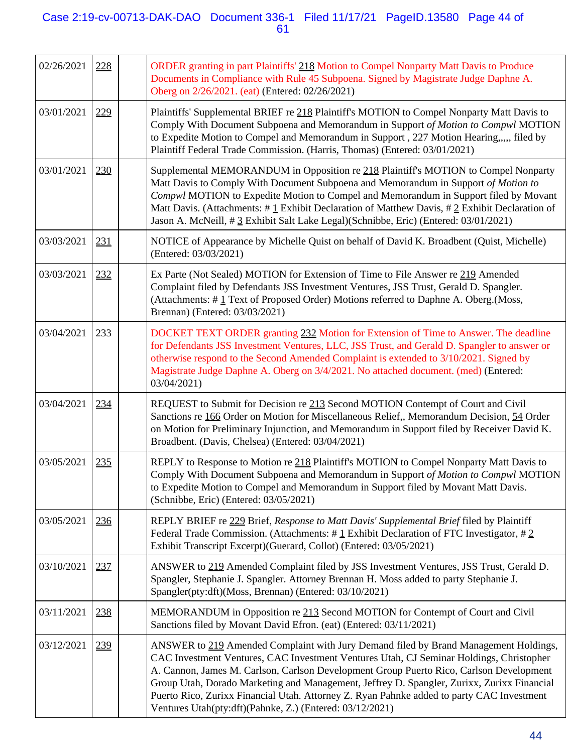## Case 2:19-cv-00713-DAK-DAO Document 336-1 Filed 11/17/21 PageID.13580 Page 44 of 61

| 02/26/2021 | 228 | ORDER granting in part Plaintiffs' 218 Motion to Compel Nonparty Matt Davis to Produce<br>Documents in Compliance with Rule 45 Subpoena. Signed by Magistrate Judge Daphne A.<br>Oberg on 2/26/2021. (eat) (Entered: 02/26/2021)                                                                                                                                                                                                                                                                                                  |
|------------|-----|-----------------------------------------------------------------------------------------------------------------------------------------------------------------------------------------------------------------------------------------------------------------------------------------------------------------------------------------------------------------------------------------------------------------------------------------------------------------------------------------------------------------------------------|
| 03/01/2021 | 229 | Plaintiffs' Supplemental BRIEF re 218 Plaintiff's MOTION to Compel Nonparty Matt Davis to<br>Comply With Document Subpoena and Memorandum in Support of Motion to Compwl MOTION<br>to Expedite Motion to Compel and Memorandum in Support, 227 Motion Hearing,,,,, filed by<br>Plaintiff Federal Trade Commission. (Harris, Thomas) (Entered: 03/01/2021)                                                                                                                                                                         |
| 03/01/2021 | 230 | Supplemental MEMORANDUM in Opposition re 218 Plaintiff's MOTION to Compel Nonparty<br>Matt Davis to Comply With Document Subpoena and Memorandum in Support of Motion to<br>Compwl MOTION to Expedite Motion to Compel and Memorandum in Support filed by Movant<br>Matt Davis. (Attachments: # $1$ Exhibit Declaration of Matthew Davis, # 2 Exhibit Declaration of<br>Jason A. McNeill, # 3 Exhibit Salt Lake Legal)(Schnibbe, Eric) (Entered: 03/01/2021)                                                                      |
| 03/03/2021 | 231 | NOTICE of Appearance by Michelle Quist on behalf of David K. Broadbent (Quist, Michelle)<br>(Entered: 03/03/2021)                                                                                                                                                                                                                                                                                                                                                                                                                 |
| 03/03/2021 | 232 | Ex Parte (Not Sealed) MOTION for Extension of Time to File Answer re 219 Amended<br>Complaint filed by Defendants JSS Investment Ventures, JSS Trust, Gerald D. Spangler.<br>(Attachments: #1 Text of Proposed Order) Motions referred to Daphne A. Oberg. (Moss,<br>Brennan) (Entered: 03/03/2021)                                                                                                                                                                                                                               |
| 03/04/2021 | 233 | DOCKET TEXT ORDER granting 232 Motion for Extension of Time to Answer. The deadline<br>for Defendants JSS Investment Ventures, LLC, JSS Trust, and Gerald D. Spangler to answer or<br>otherwise respond to the Second Amended Complaint is extended to 3/10/2021. Signed by<br>Magistrate Judge Daphne A. Oberg on 3/4/2021. No attached document. (med) (Entered:<br>03/04/2021)                                                                                                                                                 |
| 03/04/2021 | 234 | REQUEST to Submit for Decision re 213 Second MOTION Contempt of Court and Civil<br>Sanctions re 166 Order on Motion for Miscellaneous Relief,, Memorandum Decision, 54 Order<br>on Motion for Preliminary Injunction, and Memorandum in Support filed by Receiver David K.<br>Broadbent. (Davis, Chelsea) (Entered: 03/04/2021)                                                                                                                                                                                                   |
| 03/05/2021 | 235 | REPLY to Response to Motion re 218 Plaintiff's MOTION to Compel Nonparty Matt Davis to<br>Comply With Document Subpoena and Memorandum in Support of Motion to Compwl MOTION<br>to Expedite Motion to Compel and Memorandum in Support filed by Movant Matt Davis.<br>(Schnibbe, Eric) (Entered: 03/05/2021)                                                                                                                                                                                                                      |
| 03/05/2021 | 236 | REPLY BRIEF re 229 Brief, Response to Matt Davis' Supplemental Brief filed by Plaintiff<br>Federal Trade Commission. (Attachments: #1 Exhibit Declaration of FTC Investigator, #2<br>Exhibit Transcript Excerpt)(Guerard, Collot) (Entered: 03/05/2021)                                                                                                                                                                                                                                                                           |
| 03/10/2021 | 237 | ANSWER to 219 Amended Complaint filed by JSS Investment Ventures, JSS Trust, Gerald D.<br>Spangler, Stephanie J. Spangler. Attorney Brennan H. Moss added to party Stephanie J.<br>Spangler(pty:dft)(Moss, Brennan) (Entered: 03/10/2021)                                                                                                                                                                                                                                                                                         |
| 03/11/2021 | 238 | MEMORANDUM in Opposition re 213 Second MOTION for Contempt of Court and Civil<br>Sanctions filed by Movant David Efron. (eat) (Entered: 03/11/2021)                                                                                                                                                                                                                                                                                                                                                                               |
| 03/12/2021 | 239 | ANSWER to 219 Amended Complaint with Jury Demand filed by Brand Management Holdings,<br>CAC Investment Ventures, CAC Investment Ventures Utah, CJ Seminar Holdings, Christopher<br>A. Cannon, James M. Carlson, Carlson Development Group Puerto Rico, Carlson Development<br>Group Utah, Dorado Marketing and Management, Jeffrey D. Spangler, Zurixx, Zurixx Financial<br>Puerto Rico, Zurixx Financial Utah. Attorney Z. Ryan Pahnke added to party CAC Investment<br>Ventures Utah(pty:dft)(Pahnke, Z.) (Entered: 03/12/2021) |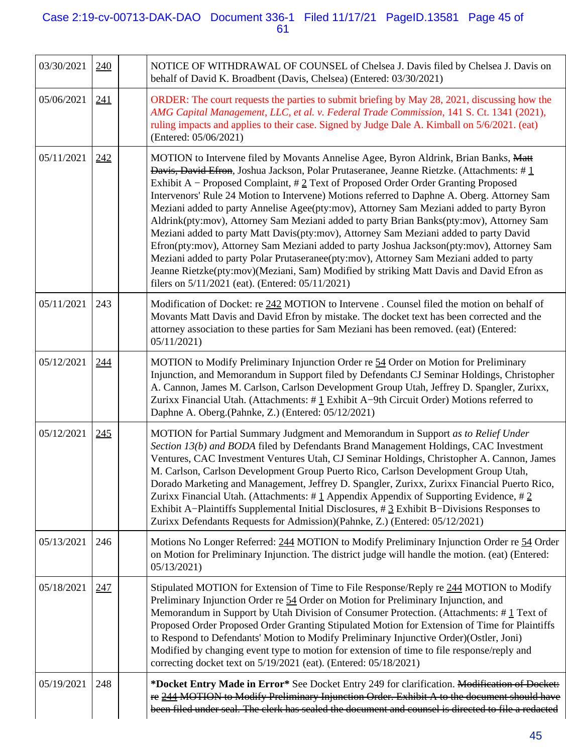## Case 2:19-cv-00713-DAK-DAO Document 336-1 Filed 11/17/21 PageID.13581 Page 45 of 61

| 03/30/2021 | <u>240</u> | NOTICE OF WITHDRAWAL OF COUNSEL of Chelsea J. Davis filed by Chelsea J. Davis on<br>behalf of David K. Broadbent (Davis, Chelsea) (Entered: 03/30/2021)                                                                                                                                                                                                                                                                                                                                                                                                                                                                                                                                                                                                                                                                                                                                                                                                                                                      |
|------------|------------|--------------------------------------------------------------------------------------------------------------------------------------------------------------------------------------------------------------------------------------------------------------------------------------------------------------------------------------------------------------------------------------------------------------------------------------------------------------------------------------------------------------------------------------------------------------------------------------------------------------------------------------------------------------------------------------------------------------------------------------------------------------------------------------------------------------------------------------------------------------------------------------------------------------------------------------------------------------------------------------------------------------|
| 05/06/2021 | 241        | ORDER: The court requests the parties to submit briefing by May 28, 2021, discussing how the<br>AMG Capital Management, LLC, et al. v. Federal Trade Commission, 141 S. Ct. 1341 (2021),<br>ruling impacts and applies to their case. Signed by Judge Dale A. Kimball on 5/6/2021. (eat)<br>(Entered: 05/06/2021)                                                                                                                                                                                                                                                                                                                                                                                                                                                                                                                                                                                                                                                                                            |
| 05/11/2021 | 242        | MOTION to Intervene filed by Movants Annelise Agee, Byron Aldrink, Brian Banks, Matt<br><b>Davis, David Efron</b> , Joshua Jackson, Polar Prutaseranee, Jeanne Rietzke. (Attachments: # $\perp$<br>Exhibit A – Proposed Complaint, #2 Text of Proposed Order Order Granting Proposed<br>Intervenors' Rule 24 Motion to Intervene) Motions referred to Daphne A. Oberg. Attorney Sam<br>Meziani added to party Annelise Agee(pty:mov), Attorney Sam Meziani added to party Byron<br>Aldrink(pty:mov), Attorney Sam Meziani added to party Brian Banks(pty:mov), Attorney Sam<br>Meziani added to party Matt Davis(pty:mov), Attorney Sam Meziani added to party David<br>Efron(pty:mov), Attorney Sam Meziani added to party Joshua Jackson(pty:mov), Attorney Sam<br>Meziani added to party Polar Prutaseranee(pty:mov), Attorney Sam Meziani added to party<br>Jeanne Rietzke(pty:mov)(Meziani, Sam) Modified by striking Matt Davis and David Efron as<br>filers on 5/11/2021 (eat). (Entered: 05/11/2021) |
| 05/11/2021 | 243        | Modification of Docket: re 242 MOTION to Intervene. Counsel filed the motion on behalf of<br>Movants Matt Davis and David Efron by mistake. The docket text has been corrected and the<br>attorney association to these parties for Sam Meziani has been removed. (eat) (Entered:<br>05/11/2021)                                                                                                                                                                                                                                                                                                                                                                                                                                                                                                                                                                                                                                                                                                             |
| 05/12/2021 | 244        | MOTION to Modify Preliminary Injunction Order re 54 Order on Motion for Preliminary<br>Injunction, and Memorandum in Support filed by Defendants CJ Seminar Holdings, Christopher<br>A. Cannon, James M. Carlson, Carlson Development Group Utah, Jeffrey D. Spangler, Zurixx,<br>Zurixx Financial Utah. (Attachments: #1 Exhibit A-9th Circuit Order) Motions referred to<br>Daphne A. Oberg.(Pahnke, Z.) (Entered: 05/12/2021)                                                                                                                                                                                                                                                                                                                                                                                                                                                                                                                                                                             |
| 05/12/2021 | 245        | MOTION for Partial Summary Judgment and Memorandum in Support as to Relief Under<br>Section 13(b) and BODA filed by Defendants Brand Management Holdings, CAC Investment<br>Ventures, CAC Investment Ventures Utah, CJ Seminar Holdings, Christopher A. Cannon, James<br>M. Carlson, Carlson Development Group Puerto Rico, Carlson Development Group Utah,<br>Dorado Marketing and Management, Jeffrey D. Spangler, Zurixx, Zurixx Financial Puerto Rico,<br>Zurixx Financial Utah. (Attachments: #1 Appendix Appendix of Supporting Evidence, #2<br>Exhibit A-Plaintiffs Supplemental Initial Disclosures, $\#$ 3 Exhibit B-Divisions Responses to<br>Zurixx Defendants Requests for Admission)(Pahnke, Z.) (Entered: 05/12/2021)                                                                                                                                                                                                                                                                          |
| 05/13/2021 | 246        | Motions No Longer Referred: 244 MOTION to Modify Preliminary Injunction Order re 54 Order<br>on Motion for Preliminary Injunction. The district judge will handle the motion. (eat) (Entered:<br>05/13/2021)                                                                                                                                                                                                                                                                                                                                                                                                                                                                                                                                                                                                                                                                                                                                                                                                 |
| 05/18/2021 | 247        | Stipulated MOTION for Extension of Time to File Response/Reply re 244 MOTION to Modify<br>Preliminary Injunction Order re 54 Order on Motion for Preliminary Injunction, and<br>Memorandum in Support by Utah Division of Consumer Protection. (Attachments: #1 Text of<br>Proposed Order Proposed Order Granting Stipulated Motion for Extension of Time for Plaintiffs<br>to Respond to Defendants' Motion to Modify Preliminary Injunctive Order)(Ostler, Joni)<br>Modified by changing event type to motion for extension of time to file response/reply and<br>correcting docket text on 5/19/2021 (eat). (Entered: 05/18/2021)                                                                                                                                                                                                                                                                                                                                                                         |
| 05/19/2021 | 248        | *Docket Entry Made in Error* See Docket Entry 249 for clarification. Modification of Docket:<br>re 244 MOTION to Modify Preliminary Injunction Order. Exhibit A to the document should have<br>been filed under seal. The clerk has sealed the document and counsel is directed to file a redacted                                                                                                                                                                                                                                                                                                                                                                                                                                                                                                                                                                                                                                                                                                           |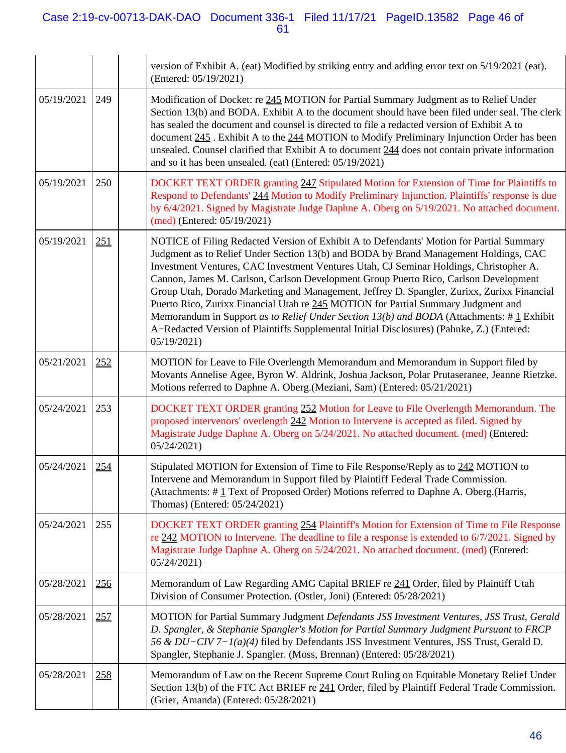## Case 2:19-cv-00713-DAK-DAO Document 336-1 Filed 11/17/21 PageID.13582 Page 46 of 61

|            |            | version of Exhibit A. (eat) Modified by striking entry and adding error text on 5/19/2021 (eat).<br>(Entered: 05/19/2021)                                                                                                                                                                                                                                                                                                                                                                                                                                                                                                                                                                                                                                    |
|------------|------------|--------------------------------------------------------------------------------------------------------------------------------------------------------------------------------------------------------------------------------------------------------------------------------------------------------------------------------------------------------------------------------------------------------------------------------------------------------------------------------------------------------------------------------------------------------------------------------------------------------------------------------------------------------------------------------------------------------------------------------------------------------------|
| 05/19/2021 | 249        | Modification of Docket: re 245 MOTION for Partial Summary Judgment as to Relief Under<br>Section 13(b) and BODA. Exhibit A to the document should have been filed under seal. The clerk<br>has sealed the document and counsel is directed to file a redacted version of Exhibit A to<br>document 245. Exhibit A to the 244 MOTION to Modify Preliminary Injunction Order has been<br>unsealed. Counsel clarified that Exhibit A to document 244 does not contain private information<br>and so it has been unsealed. (eat) (Entered: 05/19/2021)                                                                                                                                                                                                            |
| 05/19/2021 | 250        | DOCKET TEXT ORDER granting 247 Stipulated Motion for Extension of Time for Plaintiffs to<br>Respond to Defendants' 244 Motion to Modify Preliminary Injunction. Plaintiffs' response is due<br>by 6/4/2021. Signed by Magistrate Judge Daphne A. Oberg on 5/19/2021. No attached document.<br>$(med)$ (Entered: 05/19/2021)                                                                                                                                                                                                                                                                                                                                                                                                                                  |
| 05/19/2021 | 251        | NOTICE of Filing Redacted Version of Exhibit A to Defendants' Motion for Partial Summary<br>Judgment as to Relief Under Section 13(b) and BODA by Brand Management Holdings, CAC<br>Investment Ventures, CAC Investment Ventures Utah, CJ Seminar Holdings, Christopher A.<br>Cannon, James M. Carlson, Carlson Development Group Puerto Rico, Carlson Development<br>Group Utah, Dorado Marketing and Management, Jeffrey D. Spangler, Zurixx, Zurixx Financial<br>Puerto Rico, Zurixx Financial Utah re 245 MOTION for Partial Summary Judgment and<br>Memorandum in Support as to Relief Under Section 13(b) and BODA (Attachments: #1 Exhibit<br>A-Redacted Version of Plaintiffs Supplemental Initial Disclosures) (Pahnke, Z.) (Entered:<br>05/19/2021 |
| 05/21/2021 | 252        | MOTION for Leave to File Overlength Memorandum and Memorandum in Support filed by<br>Movants Annelise Agee, Byron W. Aldrink, Joshua Jackson, Polar Prutaseranee, Jeanne Rietzke.<br>Motions referred to Daphne A. Oberg.(Meziani, Sam) (Entered: 05/21/2021)                                                                                                                                                                                                                                                                                                                                                                                                                                                                                                |
| 05/24/2021 | 253        | DOCKET TEXT ORDER granting 252 Motion for Leave to File Overlength Memorandum. The<br>proposed intervenors' overlength 242 Motion to Intervene is accepted as filed. Signed by<br>Magistrate Judge Daphne A. Oberg on 5/24/2021. No attached document. (med) (Entered:<br>05/24/2021                                                                                                                                                                                                                                                                                                                                                                                                                                                                         |
| 05/24/2021 | 254        | Stipulated MOTION for Extension of Time to File Response/Reply as to 242 MOTION to<br>Intervene and Memorandum in Support filed by Plaintiff Federal Trade Commission.<br>(Attachments: #1 Text of Proposed Order) Motions referred to Daphne A. Oberg. (Harris,<br>Thomas) (Entered: 05/24/2021)                                                                                                                                                                                                                                                                                                                                                                                                                                                            |
| 05/24/2021 | 255        | DOCKET TEXT ORDER granting 254 Plaintiff's Motion for Extension of Time to File Response<br>re 242 MOTION to Intervene. The deadline to file a response is extended to 6/7/2021. Signed by<br>Magistrate Judge Daphne A. Oberg on 5/24/2021. No attached document. (med) (Entered:<br>05/24/2021                                                                                                                                                                                                                                                                                                                                                                                                                                                             |
| 05/28/2021 | <u>256</u> | Memorandum of Law Regarding AMG Capital BRIEF re 241 Order, filed by Plaintiff Utah<br>Division of Consumer Protection. (Ostler, Joni) (Entered: 05/28/2021)                                                                                                                                                                                                                                                                                                                                                                                                                                                                                                                                                                                                 |
| 05/28/2021 | 257        | MOTION for Partial Summary Judgment Defendants JSS Investment Ventures, JSS Trust, Gerald<br>D. Spangler, & Stephanie Spangler's Motion for Partial Summary Judgment Pursuant to FRCP<br>56 & DU-CIV 7-1(a)(4) filed by Defendants JSS Investment Ventures, JSS Trust, Gerald D.<br>Spangler, Stephanie J. Spangler. (Moss, Brennan) (Entered: 05/28/2021)                                                                                                                                                                                                                                                                                                                                                                                                   |
| 05/28/2021 | 258        | Memorandum of Law on the Recent Supreme Court Ruling on Equitable Monetary Relief Under<br>Section 13(b) of the FTC Act BRIEF re 241 Order, filed by Plaintiff Federal Trade Commission.<br>(Grier, Amanda) (Entered: 05/28/2021)                                                                                                                                                                                                                                                                                                                                                                                                                                                                                                                            |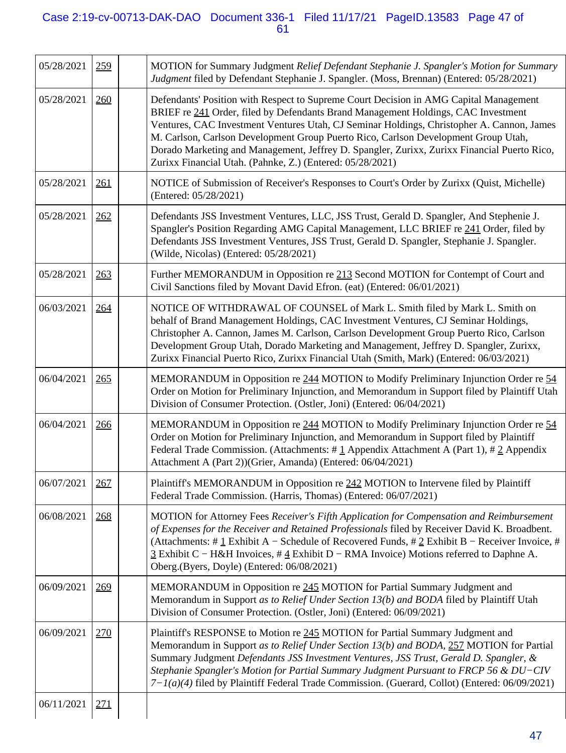## Case 2:19-cv-00713-DAK-DAO Document 336-1 Filed 11/17/21 PageID.13583 Page 47 of 61

| 05/28/2021 | 259        | MOTION for Summary Judgment Relief Defendant Stephanie J. Spangler's Motion for Summary<br>Judgment filed by Defendant Stephanie J. Spangler. (Moss, Brennan) (Entered: 05/28/2021)                                                                                                                                                                                                                                                                                                                                       |
|------------|------------|---------------------------------------------------------------------------------------------------------------------------------------------------------------------------------------------------------------------------------------------------------------------------------------------------------------------------------------------------------------------------------------------------------------------------------------------------------------------------------------------------------------------------|
| 05/28/2021 | 260        | Defendants' Position with Respect to Supreme Court Decision in AMG Capital Management<br>BRIEF re 241 Order, filed by Defendants Brand Management Holdings, CAC Investment<br>Ventures, CAC Investment Ventures Utah, CJ Seminar Holdings, Christopher A. Cannon, James<br>M. Carlson, Carlson Development Group Puerto Rico, Carlson Development Group Utah,<br>Dorado Marketing and Management, Jeffrey D. Spangler, Zurixx, Zurixx Financial Puerto Rico,<br>Zurixx Financial Utah. (Pahnke, Z.) (Entered: 05/28/2021) |
| 05/28/2021 | 261        | NOTICE of Submission of Receiver's Responses to Court's Order by Zurixx (Quist, Michelle)<br>(Entered: 05/28/2021)                                                                                                                                                                                                                                                                                                                                                                                                        |
| 05/28/2021 | 262        | Defendants JSS Investment Ventures, LLC, JSS Trust, Gerald D. Spangler, And Stephenie J.<br>Spangler's Position Regarding AMG Capital Management, LLC BRIEF re 241 Order, filed by<br>Defendants JSS Investment Ventures, JSS Trust, Gerald D. Spangler, Stephanie J. Spangler.<br>(Wilde, Nicolas) (Entered: 05/28/2021)                                                                                                                                                                                                 |
| 05/28/2021 | 263        | Further MEMORANDUM in Opposition re 213 Second MOTION for Contempt of Court and<br>Civil Sanctions filed by Movant David Efron. (eat) (Entered: 06/01/2021)                                                                                                                                                                                                                                                                                                                                                               |
| 06/03/2021 | 264        | NOTICE OF WITHDRAWAL OF COUNSEL of Mark L. Smith filed by Mark L. Smith on<br>behalf of Brand Management Holdings, CAC Investment Ventures, CJ Seminar Holdings,<br>Christopher A. Cannon, James M. Carlson, Carlson Development Group Puerto Rico, Carlson<br>Development Group Utah, Dorado Marketing and Management, Jeffrey D. Spangler, Zurixx,<br>Zurixx Financial Puerto Rico, Zurixx Financial Utah (Smith, Mark) (Entered: 06/03/2021)                                                                           |
| 06/04/2021 | 265        | MEMORANDUM in Opposition re 244 MOTION to Modify Preliminary Injunction Order re 54<br>Order on Motion for Preliminary Injunction, and Memorandum in Support filed by Plaintiff Utah<br>Division of Consumer Protection. (Ostler, Joni) (Entered: 06/04/2021)                                                                                                                                                                                                                                                             |
| 06/04/2021 | 266        | MEMORANDUM in Opposition re 244 MOTION to Modify Preliminary Injunction Order re 54<br>Order on Motion for Preliminary Injunction, and Memorandum in Support filed by Plaintiff<br>Federal Trade Commission. (Attachments: #1 Appendix Attachment A (Part 1), #2 Appendix<br>Attachment A (Part 2))(Grier, Amanda) (Entered: 06/04/2021)                                                                                                                                                                                  |
| 06/07/2021 | 267        | Plaintiff's MEMORANDUM in Opposition re 242 MOTION to Intervene filed by Plaintiff<br>Federal Trade Commission. (Harris, Thomas) (Entered: 06/07/2021)                                                                                                                                                                                                                                                                                                                                                                    |
| 06/08/2021 | 268        | MOTION for Attorney Fees Receiver's Fifth Application for Compensation and Reimbursement<br>of Expenses for the Receiver and Retained Professionals filed by Receiver David K. Broadbent.<br>(Attachments: # $\pm$ Exhibit A – Schedule of Recovered Funds, # $\pm$ Exhibit B – Receiver Invoice, #<br>$\frac{3}{2}$ Exhibit C – H&H Invoices, # $\frac{4}{2}$ Exhibit D – RMA Invoice) Motions referred to Daphne A.<br>Oberg.(Byers, Doyle) (Entered: 06/08/2021)                                                       |
| 06/09/2021 | 269        | MEMORANDUM in Opposition re 245 MOTION for Partial Summary Judgment and<br>Memorandum in Support as to Relief Under Section 13(b) and BODA filed by Plaintiff Utah<br>Division of Consumer Protection. (Ostler, Joni) (Entered: 06/09/2021)                                                                                                                                                                                                                                                                               |
| 06/09/2021 | 270        | Plaintiff's RESPONSE to Motion re 245 MOTION for Partial Summary Judgment and<br>Memorandum in Support as to Relief Under Section 13(b) and BODA, 257 MOTION for Partial<br>Summary Judgment Defendants JSS Investment Ventures, JSS Trust, Gerald D. Spangler, &<br>Stephanie Spangler's Motion for Partial Summary Judgment Pursuant to FRCP 56 & DU-CIV<br>$7-I(a)(4)$ filed by Plaintiff Federal Trade Commission. (Guerard, Collot) (Entered: 06/09/2021)                                                            |
| 06/11/2021 | <u>271</u> |                                                                                                                                                                                                                                                                                                                                                                                                                                                                                                                           |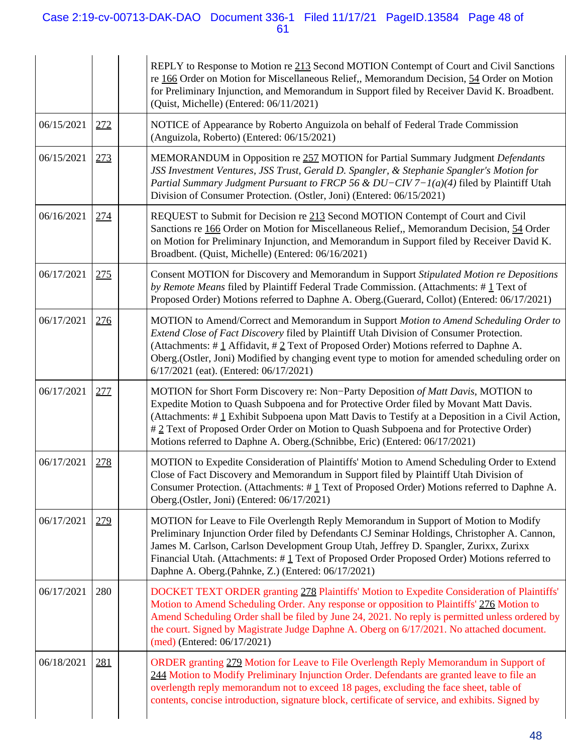## Case 2:19-cv-00713-DAK-DAO Document 336-1 Filed 11/17/21 PageID.13584 Page 48 of 61

|            |            | REPLY to Response to Motion re 213 Second MOTION Contempt of Court and Civil Sanctions<br>re 166 Order on Motion for Miscellaneous Relief,, Memorandum Decision, 54 Order on Motion<br>for Preliminary Injunction, and Memorandum in Support filed by Receiver David K. Broadbent.<br>(Quist, Michelle) (Entered: 06/11/2021)                                                                                                                          |
|------------|------------|--------------------------------------------------------------------------------------------------------------------------------------------------------------------------------------------------------------------------------------------------------------------------------------------------------------------------------------------------------------------------------------------------------------------------------------------------------|
| 06/15/2021 | 272        | NOTICE of Appearance by Roberto Anguizola on behalf of Federal Trade Commission<br>(Anguizola, Roberto) (Entered: 06/15/2021)                                                                                                                                                                                                                                                                                                                          |
| 06/15/2021 | 273        | MEMORANDUM in Opposition re 257 MOTION for Partial Summary Judgment Defendants<br>JSS Investment Ventures, JSS Trust, Gerald D. Spangler, & Stephanie Spangler's Motion for<br>Partial Summary Judgment Pursuant to FRCP 56 & DU-CIV 7-1(a)(4) filed by Plaintiff Utah<br>Division of Consumer Protection. (Ostler, Joni) (Entered: 06/15/2021)                                                                                                        |
| 06/16/2021 | 274        | REQUEST to Submit for Decision re 213 Second MOTION Contempt of Court and Civil<br>Sanctions re 166 Order on Motion for Miscellaneous Relief,, Memorandum Decision, 54 Order<br>on Motion for Preliminary Injunction, and Memorandum in Support filed by Receiver David K.<br>Broadbent. (Quist, Michelle) (Entered: 06/16/2021)                                                                                                                       |
| 06/17/2021 | <u>275</u> | Consent MOTION for Discovery and Memorandum in Support Stipulated Motion re Depositions<br>by Remote Means filed by Plaintiff Federal Trade Commission. (Attachments: #1 Text of<br>Proposed Order) Motions referred to Daphne A. Oberg.(Guerard, Collot) (Entered: 06/17/2021)                                                                                                                                                                        |
| 06/17/2021 | 276        | MOTION to Amend/Correct and Memorandum in Support Motion to Amend Scheduling Order to<br>Extend Close of Fact Discovery filed by Plaintiff Utah Division of Consumer Protection.<br>(Attachments: #1 Affidavit, #2 Text of Proposed Order) Motions referred to Daphne A.<br>Oberg.(Ostler, Joni) Modified by changing event type to motion for amended scheduling order on<br>6/17/2021 (eat). (Entered: 06/17/2021)                                   |
| 06/17/2021 | 277        | MOTION for Short Form Discovery re: Non-Party Deposition of Matt Davis, MOTION to<br>Expedite Motion to Quash Subpoena and for Protective Order filed by Movant Matt Davis.<br>(Attachments: #1 Exhibit Subpoena upon Matt Davis to Testify at a Deposition in a Civil Action,<br>#2 Text of Proposed Order Order on Motion to Quash Subpoena and for Protective Order)<br>Motions referred to Daphne A. Oberg. (Schnibbe, Eric) (Entered: 06/17/2021) |
| 06/17/2021 | 278        | MOTION to Expedite Consideration of Plaintiffs' Motion to Amend Scheduling Order to Extend<br>Close of Fact Discovery and Memorandum in Support filed by Plaintiff Utah Division of<br>Consumer Protection. (Attachments: $\#$ 1 Text of Proposed Order) Motions referred to Daphne A.<br>Oberg.(Ostler, Joni) (Entered: 06/17/2021)                                                                                                                   |
| 06/17/2021 | 279        | MOTION for Leave to File Overlength Reply Memorandum in Support of Motion to Modify<br>Preliminary Injunction Order filed by Defendants CJ Seminar Holdings, Christopher A. Cannon,<br>James M. Carlson, Carlson Development Group Utah, Jeffrey D. Spangler, Zurixx, Zurixx<br>Financial Utah. (Attachments: #1 Text of Proposed Order Proposed Order) Motions referred to<br>Daphne A. Oberg.(Pahnke, Z.) (Entered: 06/17/2021)                      |
| 06/17/2021 | 280        | DOCKET TEXT ORDER granting 278 Plaintiffs' Motion to Expedite Consideration of Plaintiffs'<br>Motion to Amend Scheduling Order. Any response or opposition to Plaintiffs' 276 Motion to<br>Amend Scheduling Order shall be filed by June 24, 2021. No reply is permitted unless ordered by<br>the court. Signed by Magistrate Judge Daphne A. Oberg on 6/17/2021. No attached document.<br>(med) (Entered: 06/17/2021)                                 |
| 06/18/2021 | 281        | ORDER granting 279 Motion for Leave to File Overlength Reply Memorandum in Support of<br>244 Motion to Modify Preliminary Injunction Order. Defendants are granted leave to file an<br>overlength reply memorandum not to exceed 18 pages, excluding the face sheet, table of<br>contents, concise introduction, signature block, certificate of service, and exhibits. Signed by                                                                      |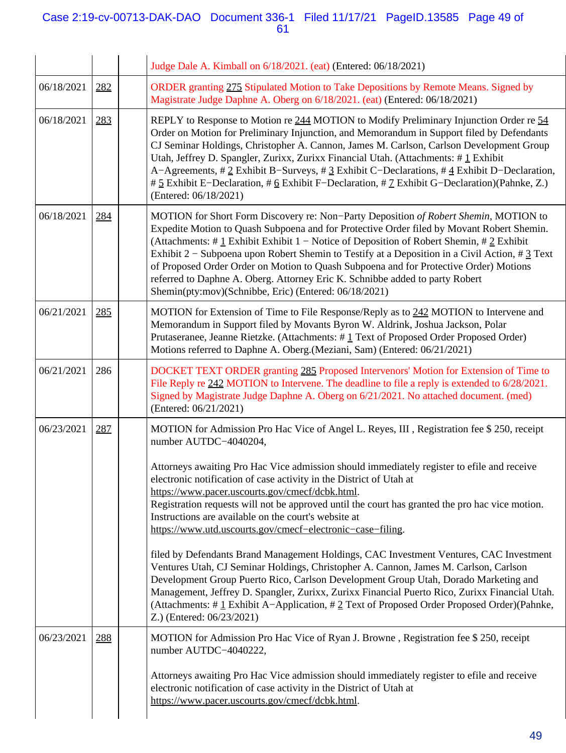## Case 2:19-cv-00713-DAK-DAO Document 336-1 Filed 11/17/21 PageID.13585 Page 49 of 61

|            |     | Judge Dale A. Kimball on 6/18/2021. (eat) (Entered: 06/18/2021)                                                                                                                                                                                                                                                                                                                                                                                                                                                                                                                                                     |
|------------|-----|---------------------------------------------------------------------------------------------------------------------------------------------------------------------------------------------------------------------------------------------------------------------------------------------------------------------------------------------------------------------------------------------------------------------------------------------------------------------------------------------------------------------------------------------------------------------------------------------------------------------|
| 06/18/2021 | 282 | ORDER granting 275 Stipulated Motion to Take Depositions by Remote Means. Signed by<br>Magistrate Judge Daphne A. Oberg on 6/18/2021. (eat) (Entered: 06/18/2021)                                                                                                                                                                                                                                                                                                                                                                                                                                                   |
| 06/18/2021 | 283 | REPLY to Response to Motion re 244 MOTION to Modify Preliminary Injunction Order re 54<br>Order on Motion for Preliminary Injunction, and Memorandum in Support filed by Defendants<br>CJ Seminar Holdings, Christopher A. Cannon, James M. Carlson, Carlson Development Group<br>Utah, Jeffrey D. Spangler, Zurixx, Zurixx Financial Utah. (Attachments: #1 Exhibit<br>A-Agreements, $\# 2$ Exhibit B-Surveys, $\# 2$ Exhibit C-Declarations, $\# 4$ Exhibit D-Declaration,<br># 5 Exhibit E-Declaration, # 6 Exhibit F-Declaration, # 7 Exhibit G-Declaration)(Pahnke, Z.)<br>(Entered: 06/18/2021)               |
| 06/18/2021 | 284 | MOTION for Short Form Discovery re: Non-Party Deposition of Robert Shemin, MOTION to<br>Expedite Motion to Quash Subpoena and for Protective Order filed by Movant Robert Shemin.<br>(Attachments: #1 Exhibit Exhibit 1 – Notice of Deposition of Robert Shemin, #2 Exhibit<br>Exhibit $2$ – Subpoena upon Robert Shemin to Testify at a Deposition in a Civil Action, # $3$ Text<br>of Proposed Order Order on Motion to Quash Subpoena and for Protective Order) Motions<br>referred to Daphne A. Oberg. Attorney Eric K. Schnibbe added to party Robert<br>Shemin(pty:mov)(Schnibbe, Eric) (Entered: 06/18/2021) |
| 06/21/2021 | 285 | MOTION for Extension of Time to File Response/Reply as to 242 MOTION to Intervene and<br>Memorandum in Support filed by Movants Byron W. Aldrink, Joshua Jackson, Polar<br>Prutaseranee, Jeanne Rietzke. (Attachments: #1 Text of Proposed Order Proposed Order)<br>Motions referred to Daphne A. Oberg. (Meziani, Sam) (Entered: 06/21/2021)                                                                                                                                                                                                                                                                       |
| 06/21/2021 | 286 | DOCKET TEXT ORDER granting 285 Proposed Intervenors' Motion for Extension of Time to<br>File Reply re 242 MOTION to Intervene. The deadline to file a reply is extended to 6/28/2021.<br>Signed by Magistrate Judge Daphne A. Oberg on 6/21/2021. No attached document. (med)<br>(Entered: 06/21/2021)                                                                                                                                                                                                                                                                                                              |
| 06/23/2021 | 287 | MOTION for Admission Pro Hac Vice of Angel L. Reyes, III, Registration fee \$250, receipt<br>number AUTDC-4040204,<br>Attorneys awaiting Pro Hac Vice admission should immediately register to efile and receive<br>electronic notification of case activity in the District of Utah at<br>https://www.pacer.uscourts.gov/cmecf/dcbk.html.<br>Registration requests will not be approved until the court has granted the pro hac vice motion.<br>Instructions are available on the court's website at                                                                                                               |
|            |     | https://www.utd.uscourts.gov/cmecf-electronic-case-filing.<br>filed by Defendants Brand Management Holdings, CAC Investment Ventures, CAC Investment<br>Ventures Utah, CJ Seminar Holdings, Christopher A. Cannon, James M. Carlson, Carlson<br>Development Group Puerto Rico, Carlson Development Group Utah, Dorado Marketing and<br>Management, Jeffrey D. Spangler, Zurixx, Zurixx Financial Puerto Rico, Zurixx Financial Utah.<br>(Attachments: #1 Exhibit A-Application, #2 Text of Proposed Order Proposed Order)(Pahnke,<br>Z.) (Entered: 06/23/2021)                                                      |
| 06/23/2021 | 288 | MOTION for Admission Pro Hac Vice of Ryan J. Browne, Registration fee \$ 250, receipt<br>number AUTDC-4040222,<br>Attorneys awaiting Pro Hac Vice admission should immediately register to efile and receive<br>electronic notification of case activity in the District of Utah at<br>https://www.pacer.uscourts.gov/cmecf/dcbk.html.                                                                                                                                                                                                                                                                              |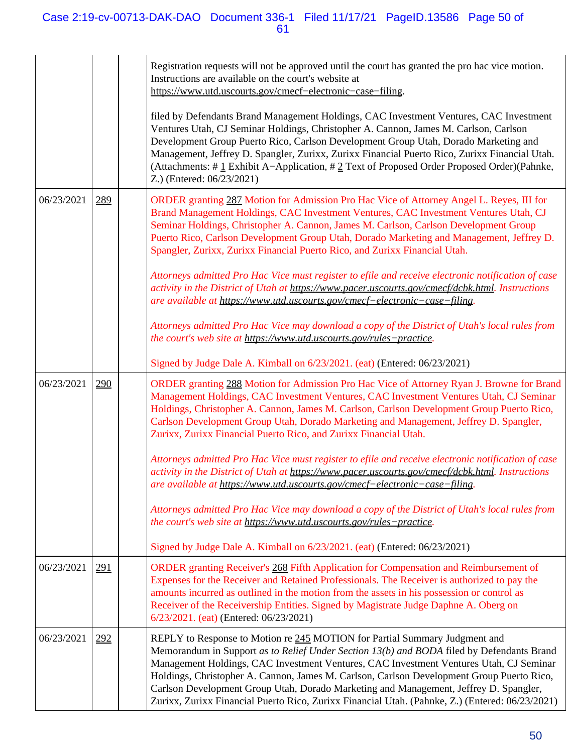## Case 2:19-cv-00713-DAK-DAO Document 336-1 Filed 11/17/21 PageID.13586 Page 50 of 61

|            |     | Registration requests will not be approved until the court has granted the pro hac vice motion.<br>Instructions are available on the court's website at<br>https://www.utd.uscourts.gov/cmecf-electronic-case-filing.                                                                                                                                                                                                                                                                                                                                      |
|------------|-----|------------------------------------------------------------------------------------------------------------------------------------------------------------------------------------------------------------------------------------------------------------------------------------------------------------------------------------------------------------------------------------------------------------------------------------------------------------------------------------------------------------------------------------------------------------|
|            |     | filed by Defendants Brand Management Holdings, CAC Investment Ventures, CAC Investment<br>Ventures Utah, CJ Seminar Holdings, Christopher A. Cannon, James M. Carlson, Carlson<br>Development Group Puerto Rico, Carlson Development Group Utah, Dorado Marketing and<br>Management, Jeffrey D. Spangler, Zurixx, Zurixx Financial Puerto Rico, Zurixx Financial Utah.<br>(Attachments: #1 Exhibit A-Application, #2 Text of Proposed Order Proposed Order)(Pahnke,<br>Z.) (Entered: 06/23/2021)                                                           |
| 06/23/2021 | 289 | ORDER granting 287 Motion for Admission Pro Hac Vice of Attorney Angel L. Reyes, III for<br>Brand Management Holdings, CAC Investment Ventures, CAC Investment Ventures Utah, CJ<br>Seminar Holdings, Christopher A. Cannon, James M. Carlson, Carlson Development Group<br>Puerto Rico, Carlson Development Group Utah, Dorado Marketing and Management, Jeffrey D.<br>Spangler, Zurixx, Zurixx Financial Puerto Rico, and Zurixx Financial Utah.                                                                                                         |
|            |     | Attorneys admitted Pro Hac Vice must register to efile and receive electronic notification of case<br>activity in the District of Utah at https://www.pacer.uscourts.gov/cmecf/dcbk.html. Instructions<br>are available at https://www.utd.uscourts.gov/cmecf-electronic-case-filing.                                                                                                                                                                                                                                                                      |
|            |     | Attorneys admitted Pro Hac Vice may download a copy of the District of Utah's local rules from<br>the court's web site at https://www.utd.uscourts.gov/rules-practice.                                                                                                                                                                                                                                                                                                                                                                                     |
|            |     | Signed by Judge Dale A. Kimball on 6/23/2021. (eat) (Entered: 06/23/2021)                                                                                                                                                                                                                                                                                                                                                                                                                                                                                  |
| 06/23/2021 | 290 | ORDER granting 288 Motion for Admission Pro Hac Vice of Attorney Ryan J. Browne for Brand<br>Management Holdings, CAC Investment Ventures, CAC Investment Ventures Utah, CJ Seminar<br>Holdings, Christopher A. Cannon, James M. Carlson, Carlson Development Group Puerto Rico,<br>Carlson Development Group Utah, Dorado Marketing and Management, Jeffrey D. Spangler,<br>Zurixx, Zurixx Financial Puerto Rico, and Zurixx Financial Utah.                                                                                                              |
|            |     | Attorneys admitted Pro Hac Vice must register to efile and receive electronic notification of case<br>activity in the District of Utah at https://www.pacer.uscourts.gov/cmecf/dcbk.html. Instructions<br>are available at https://www.utd.uscourts.gov/cmecf-electronic-case-filing.                                                                                                                                                                                                                                                                      |
|            |     | Attorneys admitted Pro Hac Vice may download a copy of the District of Utah's local rules from<br>the court's web site at https://www.utd.uscourts.gov/rules-practice.                                                                                                                                                                                                                                                                                                                                                                                     |
|            |     | Signed by Judge Dale A. Kimball on 6/23/2021. (eat) (Entered: 06/23/2021)                                                                                                                                                                                                                                                                                                                                                                                                                                                                                  |
| 06/23/2021 | 291 | ORDER granting Receiver's 268 Fifth Application for Compensation and Reimbursement of<br>Expenses for the Receiver and Retained Professionals. The Receiver is authorized to pay the<br>amounts incurred as outlined in the motion from the assets in his possession or control as<br>Receiver of the Receivership Entities. Signed by Magistrate Judge Daphne A. Oberg on<br>6/23/2021. (eat) (Entered: 06/23/2021)                                                                                                                                       |
| 06/23/2021 | 292 | REPLY to Response to Motion re 245 MOTION for Partial Summary Judgment and<br>Memorandum in Support as to Relief Under Section 13(b) and BODA filed by Defendants Brand<br>Management Holdings, CAC Investment Ventures, CAC Investment Ventures Utah, CJ Seminar<br>Holdings, Christopher A. Cannon, James M. Carlson, Carlson Development Group Puerto Rico,<br>Carlson Development Group Utah, Dorado Marketing and Management, Jeffrey D. Spangler,<br>Zurixx, Zurixx Financial Puerto Rico, Zurixx Financial Utah. (Pahnke, Z.) (Entered: 06/23/2021) |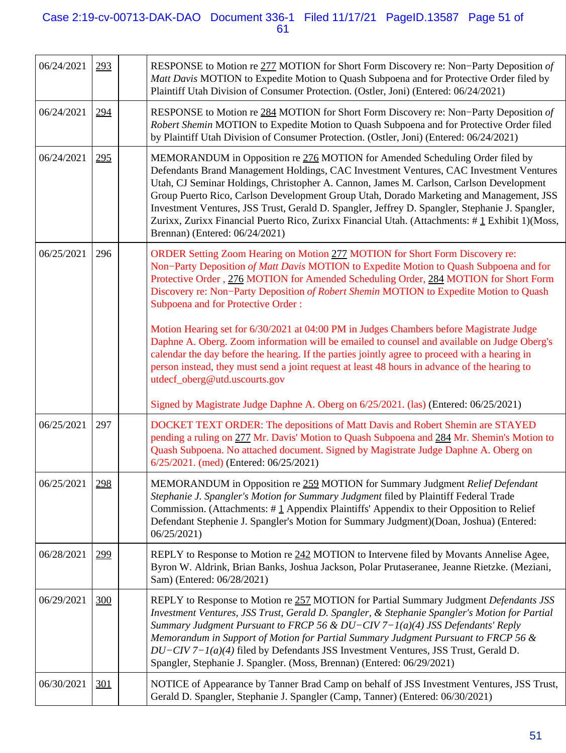## Case 2:19-cv-00713-DAK-DAO Document 336-1 Filed 11/17/21 PageID.13587 Page 51 of 61

| 06/24/2021 | 293 | RESPONSE to Motion re 277 MOTION for Short Form Discovery re: Non-Party Deposition of<br>Matt Davis MOTION to Expedite Motion to Quash Subpoena and for Protective Order filed by<br>Plaintiff Utah Division of Consumer Protection. (Ostler, Joni) (Entered: 06/24/2021)                                                                                                                                                                                                                                                                                                                           |
|------------|-----|-----------------------------------------------------------------------------------------------------------------------------------------------------------------------------------------------------------------------------------------------------------------------------------------------------------------------------------------------------------------------------------------------------------------------------------------------------------------------------------------------------------------------------------------------------------------------------------------------------|
| 06/24/2021 | 294 | RESPONSE to Motion re 284 MOTION for Short Form Discovery re: Non-Party Deposition of<br>Robert Shemin MOTION to Expedite Motion to Quash Subpoena and for Protective Order filed<br>by Plaintiff Utah Division of Consumer Protection. (Ostler, Joni) (Entered: 06/24/2021)                                                                                                                                                                                                                                                                                                                        |
| 06/24/2021 | 295 | MEMORANDUM in Opposition re 276 MOTION for Amended Scheduling Order filed by<br>Defendants Brand Management Holdings, CAC Investment Ventures, CAC Investment Ventures<br>Utah, CJ Seminar Holdings, Christopher A. Cannon, James M. Carlson, Carlson Development<br>Group Puerto Rico, Carlson Development Group Utah, Dorado Marketing and Management, JSS<br>Investment Ventures, JSS Trust, Gerald D. Spangler, Jeffrey D. Spangler, Stephanie J. Spangler,<br>Zurixx, Zurixx Financial Puerto Rico, Zurixx Financial Utah. (Attachments: #1 Exhibit 1)(Moss,<br>Brennan) (Entered: 06/24/2021) |
| 06/25/2021 | 296 | ORDER Setting Zoom Hearing on Motion 277 MOTION for Short Form Discovery re:<br>Non-Party Deposition of Matt Davis MOTION to Expedite Motion to Quash Subpoena and for<br>Protective Order, 276 MOTION for Amended Scheduling Order, 284 MOTION for Short Form<br>Discovery re: Non-Party Deposition of Robert Shemin MOTION to Expedite Motion to Quash<br><b>Subpoena and for Protective Order:</b>                                                                                                                                                                                               |
|            |     | Motion Hearing set for 6/30/2021 at 04:00 PM in Judges Chambers before Magistrate Judge<br>Daphne A. Oberg. Zoom information will be emailed to counsel and available on Judge Oberg's<br>calendar the day before the hearing. If the parties jointly agree to proceed with a hearing in<br>person instead, they must send a joint request at least 48 hours in advance of the hearing to<br>utdecf_oberg@utd.uscourts.gov                                                                                                                                                                          |
|            |     | Signed by Magistrate Judge Daphne A. Oberg on 6/25/2021. (las) (Entered: 06/25/2021)                                                                                                                                                                                                                                                                                                                                                                                                                                                                                                                |
| 06/25/2021 | 297 | DOCKET TEXT ORDER: The depositions of Matt Davis and Robert Shemin are STAYED<br>pending a ruling on 277 Mr. Davis' Motion to Quash Subpoena and 284 Mr. Shemin's Motion to<br>Quash Subpoena. No attached document. Signed by Magistrate Judge Daphne A. Oberg on<br>6/25/2021. (med) (Entered: 06/25/2021)                                                                                                                                                                                                                                                                                        |
| 06/25/2021 | 298 | MEMORANDUM in Opposition re 259 MOTION for Summary Judgment Relief Defendant<br>Stephanie J. Spangler's Motion for Summary Judgment filed by Plaintiff Federal Trade<br>Commission. (Attachments: $\#$ 1 Appendix Plaintiffs' Appendix to their Opposition to Relief<br>Defendant Stephenie J. Spangler's Motion for Summary Judgment)(Doan, Joshua) (Entered:<br>06/25/2021)                                                                                                                                                                                                                       |
| 06/28/2021 | 299 | REPLY to Response to Motion re 242 MOTION to Intervene filed by Movants Annelise Agee,<br>Byron W. Aldrink, Brian Banks, Joshua Jackson, Polar Prutaseranee, Jeanne Rietzke. (Meziani,<br>Sam) (Entered: 06/28/2021)                                                                                                                                                                                                                                                                                                                                                                                |
| 06/29/2021 | 300 | REPLY to Response to Motion re 257 MOTION for Partial Summary Judgment Defendants JSS<br>Investment Ventures, JSS Trust, Gerald D. Spangler, & Stephanie Spangler's Motion for Partial<br>Summary Judgment Pursuant to FRCP 56 & $DU-CIV$ 7-1(a)(4) JSS Defendants' Reply<br>Memorandum in Support of Motion for Partial Summary Judgment Pursuant to FRCP 56 &<br>$DU-CIV$ 7– $I(a)(4)$ filed by Defendants JSS Investment Ventures, JSS Trust, Gerald D.<br>Spangler, Stephanie J. Spangler. (Moss, Brennan) (Entered: 06/29/2021)                                                                |
| 06/30/2021 | 301 | NOTICE of Appearance by Tanner Brad Camp on behalf of JSS Investment Ventures, JSS Trust,<br>Gerald D. Spangler, Stephanie J. Spangler (Camp, Tanner) (Entered: 06/30/2021)                                                                                                                                                                                                                                                                                                                                                                                                                         |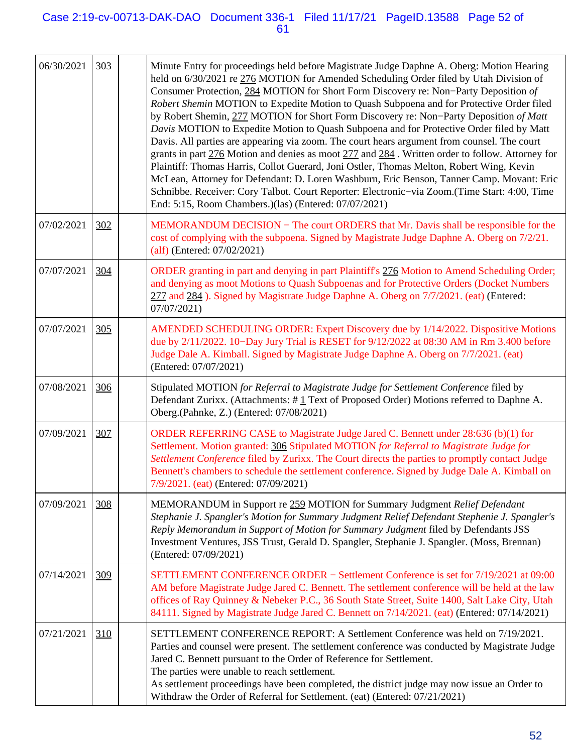## Case 2:19-cv-00713-DAK-DAO Document 336-1 Filed 11/17/21 PageID.13588 Page 52 of 61

| 06/30/2021 | 303 | Minute Entry for proceedings held before Magistrate Judge Daphne A. Oberg: Motion Hearing<br>held on 6/30/2021 re 276 MOTION for Amended Scheduling Order filed by Utah Division of<br>Consumer Protection, 284 MOTION for Short Form Discovery re: Non-Party Deposition of<br>Robert Shemin MOTION to Expedite Motion to Quash Subpoena and for Protective Order filed<br>by Robert Shemin, 277 MOTION for Short Form Discovery re: Non-Party Deposition of Matt<br>Davis MOTION to Expedite Motion to Quash Subpoena and for Protective Order filed by Matt<br>Davis. All parties are appearing via zoom. The court hears argument from counsel. The court<br>grants in part 276 Motion and denies as moot 277 and 284. Written order to follow. Attorney for<br>Plaintiff: Thomas Harris, Collot Guerard, Joni Ostler, Thomas Melton, Robert Wing, Kevin<br>McLean, Attorney for Defendant: D. Loren Washburn, Eric Benson, Tanner Camp. Movant: Eric<br>Schnibbe. Receiver: Cory Talbot. Court Reporter: Electronic-via Zoom.(Time Start: 4:00, Time<br>End: 5:15, Room Chambers.)(las) (Entered: 07/07/2021) |
|------------|-----|-------------------------------------------------------------------------------------------------------------------------------------------------------------------------------------------------------------------------------------------------------------------------------------------------------------------------------------------------------------------------------------------------------------------------------------------------------------------------------------------------------------------------------------------------------------------------------------------------------------------------------------------------------------------------------------------------------------------------------------------------------------------------------------------------------------------------------------------------------------------------------------------------------------------------------------------------------------------------------------------------------------------------------------------------------------------------------------------------------------------|
| 07/02/2021 | 302 | MEMORANDUM DECISION – The court ORDERS that Mr. Davis shall be responsible for the<br>cost of complying with the subpoena. Signed by Magistrate Judge Daphne A. Oberg on 7/2/21.<br>$\text{(alf)}$ (Entered: 07/02/2021)                                                                                                                                                                                                                                                                                                                                                                                                                                                                                                                                                                                                                                                                                                                                                                                                                                                                                          |
| 07/07/2021 | 304 | ORDER granting in part and denying in part Plaintiff's 276 Motion to Amend Scheduling Order;<br>and denying as moot Motions to Quash Subpoenas and for Protective Orders (Docket Numbers<br>277 and 284). Signed by Magistrate Judge Daphne A. Oberg on 7/7/2021. (eat) (Entered:<br>07/07/2021)                                                                                                                                                                                                                                                                                                                                                                                                                                                                                                                                                                                                                                                                                                                                                                                                                  |
| 07/07/2021 | 305 | AMENDED SCHEDULING ORDER: Expert Discovery due by 1/14/2022. Dispositive Motions<br>due by 2/11/2022. 10–Day Jury Trial is RESET for 9/12/2022 at 08:30 AM in Rm 3.400 before<br>Judge Dale A. Kimball. Signed by Magistrate Judge Daphne A. Oberg on 7/7/2021. (eat)<br>(Entered: 07/07/2021)                                                                                                                                                                                                                                                                                                                                                                                                                                                                                                                                                                                                                                                                                                                                                                                                                    |
| 07/08/2021 | 306 | Stipulated MOTION for Referral to Magistrate Judge for Settlement Conference filed by<br>Defendant Zurixx. (Attachments: #1 Text of Proposed Order) Motions referred to Daphne A.<br>Oberg.(Pahnke, Z.) (Entered: 07/08/2021)                                                                                                                                                                                                                                                                                                                                                                                                                                                                                                                                                                                                                                                                                                                                                                                                                                                                                     |
| 07/09/2021 | 307 | ORDER REFERRING CASE to Magistrate Judge Jared C. Bennett under 28:636 (b)(1) for<br>Settlement. Motion granted: 306 Stipulated MOTION for Referral to Magistrate Judge for<br>Settlement Conference filed by Zurixx. The Court directs the parties to promptly contact Judge<br>Bennett's chambers to schedule the settlement conference. Signed by Judge Dale A. Kimball on<br>7/9/2021. (eat) (Entered: 07/09/2021)                                                                                                                                                                                                                                                                                                                                                                                                                                                                                                                                                                                                                                                                                            |
| 07/09/2021 | 308 | MEMORANDUM in Support re 259 MOTION for Summary Judgment Relief Defendant<br>Stephanie J. Spangler's Motion for Summary Judgment Relief Defendant Stephenie J. Spangler's<br>Reply Memorandum in Support of Motion for Summary Judgment filed by Defendants JSS<br>Investment Ventures, JSS Trust, Gerald D. Spangler, Stephanie J. Spangler. (Moss, Brennan)<br>(Entered: 07/09/2021)                                                                                                                                                                                                                                                                                                                                                                                                                                                                                                                                                                                                                                                                                                                            |
| 07/14/2021 | 309 | SETTLEMENT CONFERENCE ORDER - Settlement Conference is set for 7/19/2021 at 09:00<br>AM before Magistrate Judge Jared C. Bennett. The settlement conference will be held at the law<br>offices of Ray Quinney & Nebeker P.C., 36 South State Street, Suite 1400, Salt Lake City, Utah<br>84111. Signed by Magistrate Judge Jared C. Bennett on 7/14/2021. (eat) (Entered: 07/14/2021)                                                                                                                                                                                                                                                                                                                                                                                                                                                                                                                                                                                                                                                                                                                             |
| 07/21/2021 | 310 | SETTLEMENT CONFERENCE REPORT: A Settlement Conference was held on 7/19/2021.<br>Parties and counsel were present. The settlement conference was conducted by Magistrate Judge<br>Jared C. Bennett pursuant to the Order of Reference for Settlement.<br>The parties were unable to reach settlement.<br>As settlement proceedings have been completed, the district judge may now issue an Order to<br>Withdraw the Order of Referral for Settlement. (eat) (Entered: 07/21/2021)                                                                                                                                                                                                                                                                                                                                                                                                                                                                                                                                                                                                                                 |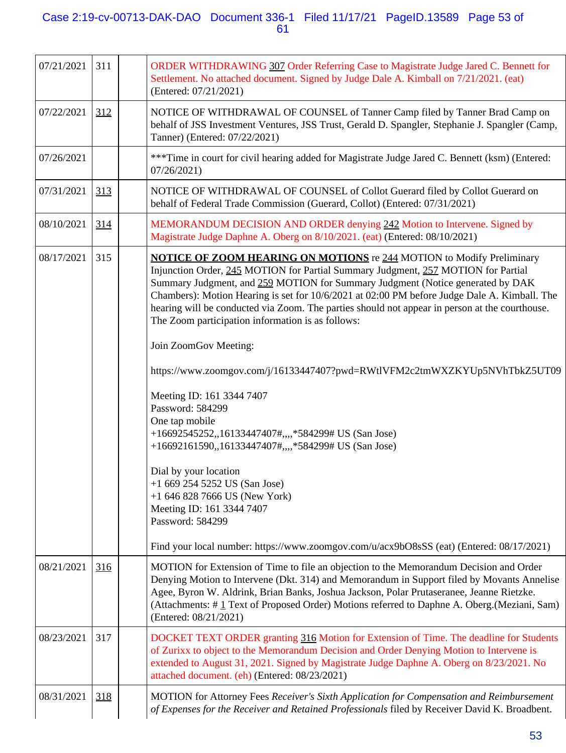## Case 2:19-cv-00713-DAK-DAO Document 336-1 Filed 11/17/21 PageID.13589 Page 53 of 61

| 07/21/2021 | 311 | ORDER WITHDRAWING 307 Order Referring Case to Magistrate Judge Jared C. Bennett for<br>Settlement. No attached document. Signed by Judge Dale A. Kimball on 7/21/2021. (eat)<br>(Entered: 07/21/2021)                                                                                                                                                                                                                                                                                                                                                                                                                                                                                                                                                                                                                                                                                                                                                                                                                                         |
|------------|-----|-----------------------------------------------------------------------------------------------------------------------------------------------------------------------------------------------------------------------------------------------------------------------------------------------------------------------------------------------------------------------------------------------------------------------------------------------------------------------------------------------------------------------------------------------------------------------------------------------------------------------------------------------------------------------------------------------------------------------------------------------------------------------------------------------------------------------------------------------------------------------------------------------------------------------------------------------------------------------------------------------------------------------------------------------|
| 07/22/2021 | 312 | NOTICE OF WITHDRAWAL OF COUNSEL of Tanner Camp filed by Tanner Brad Camp on<br>behalf of JSS Investment Ventures, JSS Trust, Gerald D. Spangler, Stephanie J. Spangler (Camp,<br>Tanner) (Entered: 07/22/2021)                                                                                                                                                                                                                                                                                                                                                                                                                                                                                                                                                                                                                                                                                                                                                                                                                                |
| 07/26/2021 |     | ***Time in court for civil hearing added for Magistrate Judge Jared C. Bennett (ksm) (Entered:<br>07/26/2021                                                                                                                                                                                                                                                                                                                                                                                                                                                                                                                                                                                                                                                                                                                                                                                                                                                                                                                                  |
| 07/31/2021 | 313 | NOTICE OF WITHDRAWAL OF COUNSEL of Collot Guerard filed by Collot Guerard on<br>behalf of Federal Trade Commission (Guerard, Collot) (Entered: 07/31/2021)                                                                                                                                                                                                                                                                                                                                                                                                                                                                                                                                                                                                                                                                                                                                                                                                                                                                                    |
| 08/10/2021 | 314 | MEMORANDUM DECISION AND ORDER denying 242 Motion to Intervene. Signed by<br>Magistrate Judge Daphne A. Oberg on 8/10/2021. (eat) (Entered: 08/10/2021)                                                                                                                                                                                                                                                                                                                                                                                                                                                                                                                                                                                                                                                                                                                                                                                                                                                                                        |
| 08/17/2021 | 315 | <b>NOTICE OF ZOOM HEARING ON MOTIONS</b> re 244 MOTION to Modify Preliminary<br>Injunction Order, 245 MOTION for Partial Summary Judgment, 257 MOTION for Partial<br>Summary Judgment, and 259 MOTION for Summary Judgment (Notice generated by DAK<br>Chambers): Motion Hearing is set for 10/6/2021 at 02:00 PM before Judge Dale A. Kimball. The<br>hearing will be conducted via Zoom. The parties should not appear in person at the courthouse.<br>The Zoom participation information is as follows:<br>Join ZoomGov Meeting:<br>https://www.zoomgov.com/j/16133447407?pwd=RWtlVFM2c2tmWXZKYUp5NVhTbkZ5UT09<br>Meeting ID: 161 3344 7407<br>Password: 584299<br>One tap mobile<br>+16692545252,,16133447407#,,,,*584299# US (San Jose)<br>+16692161590,,16133447407#,,,,*584299# US (San Jose)<br>Dial by your location<br>$+16692545252$ US (San Jose)<br>$+1$ 646 828 7666 US (New York)<br>Meeting ID: 161 3344 7407<br>Password: 584299<br>Find your local number: https://www.zoomgov.com/u/acx9bO8sSS (eat) (Entered: 08/17/2021) |
| 08/21/2021 | 316 | MOTION for Extension of Time to file an objection to the Memorandum Decision and Order<br>Denying Motion to Intervene (Dkt. 314) and Memorandum in Support filed by Movants Annelise<br>Agee, Byron W. Aldrink, Brian Banks, Joshua Jackson, Polar Prutaseranee, Jeanne Rietzke.<br>(Attachments: #1 Text of Proposed Order) Motions referred to Daphne A. Oberg. (Meziani, Sam)<br>(Entered: 08/21/2021)                                                                                                                                                                                                                                                                                                                                                                                                                                                                                                                                                                                                                                     |
| 08/23/2021 | 317 | DOCKET TEXT ORDER granting 316 Motion for Extension of Time. The deadline for Students<br>of Zurixx to object to the Memorandum Decision and Order Denying Motion to Intervene is<br>extended to August 31, 2021. Signed by Magistrate Judge Daphne A. Oberg on 8/23/2021. No<br>attached document. (eh) (Entered: 08/23/2021)                                                                                                                                                                                                                                                                                                                                                                                                                                                                                                                                                                                                                                                                                                                |
| 08/31/2021 | 318 | MOTION for Attorney Fees Receiver's Sixth Application for Compensation and Reimbursement<br>of Expenses for the Receiver and Retained Professionals filed by Receiver David K. Broadbent.                                                                                                                                                                                                                                                                                                                                                                                                                                                                                                                                                                                                                                                                                                                                                                                                                                                     |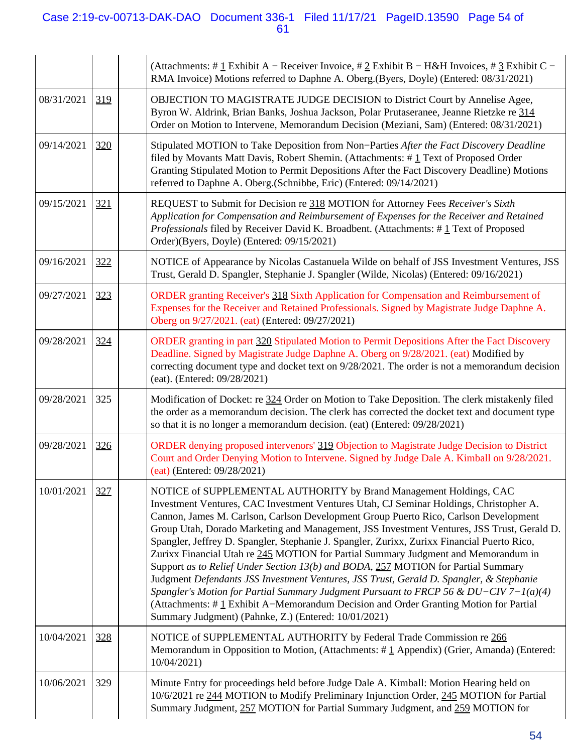## Case 2:19-cv-00713-DAK-DAO Document 336-1 Filed 11/17/21 PageID.13590 Page 54 of 61

|            |     | (Attachments: # $1$ Exhibit A – Receiver Invoice, # 2 Exhibit B – H&H Invoices, # 3 Exhibit C –<br>RMA Invoice) Motions referred to Daphne A. Oberg. (Byers, Doyle) (Entered: 08/31/2021)                                                                                                                                                                                                                                                                                                                                                                                                                                                                                                                                                                                                                                                                                                                                                                          |
|------------|-----|--------------------------------------------------------------------------------------------------------------------------------------------------------------------------------------------------------------------------------------------------------------------------------------------------------------------------------------------------------------------------------------------------------------------------------------------------------------------------------------------------------------------------------------------------------------------------------------------------------------------------------------------------------------------------------------------------------------------------------------------------------------------------------------------------------------------------------------------------------------------------------------------------------------------------------------------------------------------|
| 08/31/2021 | 319 | OBJECTION TO MAGISTRATE JUDGE DECISION to District Court by Annelise Agee,<br>Byron W. Aldrink, Brian Banks, Joshua Jackson, Polar Prutaseranee, Jeanne Rietzke re 314<br>Order on Motion to Intervene, Memorandum Decision (Meziani, Sam) (Entered: 08/31/2021)                                                                                                                                                                                                                                                                                                                                                                                                                                                                                                                                                                                                                                                                                                   |
| 09/14/2021 | 320 | Stipulated MOTION to Take Deposition from Non-Parties After the Fact Discovery Deadline<br>filed by Movants Matt Davis, Robert Shemin. (Attachments: #1 Text of Proposed Order<br>Granting Stipulated Motion to Permit Depositions After the Fact Discovery Deadline) Motions<br>referred to Daphne A. Oberg.(Schnibbe, Eric) (Entered: 09/14/2021)                                                                                                                                                                                                                                                                                                                                                                                                                                                                                                                                                                                                                |
| 09/15/2021 | 321 | REQUEST to Submit for Decision re 318 MOTION for Attorney Fees Receiver's Sixth<br>Application for Compensation and Reimbursement of Expenses for the Receiver and Retained<br>Professionals filed by Receiver David K. Broadbent. (Attachments: $\# \underline{1}$ Text of Proposed<br>Order)(Byers, Doyle) (Entered: 09/15/2021)                                                                                                                                                                                                                                                                                                                                                                                                                                                                                                                                                                                                                                 |
| 09/16/2021 | 322 | NOTICE of Appearance by Nicolas Castanuela Wilde on behalf of JSS Investment Ventures, JSS<br>Trust, Gerald D. Spangler, Stephanie J. Spangler (Wilde, Nicolas) (Entered: 09/16/2021)                                                                                                                                                                                                                                                                                                                                                                                                                                                                                                                                                                                                                                                                                                                                                                              |
| 09/27/2021 | 323 | ORDER granting Receiver's 318 Sixth Application for Compensation and Reimbursement of<br>Expenses for the Receiver and Retained Professionals. Signed by Magistrate Judge Daphne A.<br>Oberg on 9/27/2021. (eat) (Entered: 09/27/2021)                                                                                                                                                                                                                                                                                                                                                                                                                                                                                                                                                                                                                                                                                                                             |
| 09/28/2021 | 324 | ORDER granting in part 320 Stipulated Motion to Permit Depositions After the Fact Discovery<br>Deadline. Signed by Magistrate Judge Daphne A. Oberg on 9/28/2021. (eat) Modified by<br>correcting document type and docket text on 9/28/2021. The order is not a memorandum decision<br>(eat). (Entered: 09/28/2021)                                                                                                                                                                                                                                                                                                                                                                                                                                                                                                                                                                                                                                               |
| 09/28/2021 | 325 | Modification of Docket: re 324 Order on Motion to Take Deposition. The clerk mistakenly filed<br>the order as a memorandum decision. The clerk has corrected the docket text and document type<br>so that it is no longer a memorandum decision. (eat) (Entered: 09/28/2021)                                                                                                                                                                                                                                                                                                                                                                                                                                                                                                                                                                                                                                                                                       |
| 09/28/2021 | 326 | ORDER denying proposed intervenors' 319 Objection to Magistrate Judge Decision to District<br>Court and Order Denying Motion to Intervene. Signed by Judge Dale A. Kimball on 9/28/2021.<br>(eat) (Entered: 09/28/2021)                                                                                                                                                                                                                                                                                                                                                                                                                                                                                                                                                                                                                                                                                                                                            |
| 10/01/2021 | 327 | NOTICE of SUPPLEMENTAL AUTHORITY by Brand Management Holdings, CAC<br>Investment Ventures, CAC Investment Ventures Utah, CJ Seminar Holdings, Christopher A.<br>Cannon, James M. Carlson, Carlson Development Group Puerto Rico, Carlson Development<br>Group Utah, Dorado Marketing and Management, JSS Investment Ventures, JSS Trust, Gerald D.<br>Spangler, Jeffrey D. Spangler, Stephanie J. Spangler, Zurixx, Zurixx Financial Puerto Rico,<br>Zurixx Financial Utah re 245 MOTION for Partial Summary Judgment and Memorandum in<br>Support as to Relief Under Section 13(b) and BODA, 257 MOTION for Partial Summary<br>Judgment Defendants JSS Investment Ventures, JSS Trust, Gerald D. Spangler, & Stephanie<br>Spangler's Motion for Partial Summary Judgment Pursuant to FRCP 56 & $DU-CIV$ 7-1(a)(4)<br>(Attachments: #1 Exhibit A–Memorandum Decision and Order Granting Motion for Partial<br>Summary Judgment) (Pahnke, Z.) (Entered: 10/01/2021) |
| 10/04/2021 | 328 | NOTICE of SUPPLEMENTAL AUTHORITY by Federal Trade Commission re 266<br>Memorandum in Opposition to Motion, (Attachments: #1 Appendix) (Grier, Amanda) (Entered:<br>10/04/2021                                                                                                                                                                                                                                                                                                                                                                                                                                                                                                                                                                                                                                                                                                                                                                                      |
| 10/06/2021 | 329 | Minute Entry for proceedings held before Judge Dale A. Kimball: Motion Hearing held on<br>10/6/2021 re 244 MOTION to Modify Preliminary Injunction Order, 245 MOTION for Partial<br>Summary Judgment, 257 MOTION for Partial Summary Judgment, and 259 MOTION for                                                                                                                                                                                                                                                                                                                                                                                                                                                                                                                                                                                                                                                                                                  |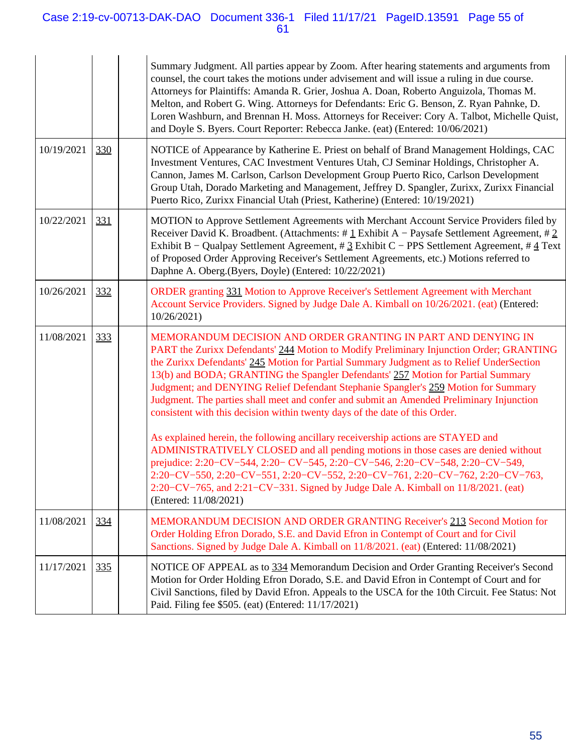## Case 2:19-cv-00713-DAK-DAO Document 336-1 Filed 11/17/21 PageID.13591 Page 55 of 61

|  |            |     | Summary Judgment. All parties appear by Zoom. After hearing statements and arguments from<br>counsel, the court takes the motions under advisement and will issue a ruling in due course.<br>Attorneys for Plaintiffs: Amanda R. Grier, Joshua A. Doan, Roberto Anguizola, Thomas M.<br>Melton, and Robert G. Wing. Attorneys for Defendants: Eric G. Benson, Z. Ryan Pahnke, D.<br>Loren Washburn, and Brennan H. Moss. Attorneys for Receiver: Cory A. Talbot, Michelle Quist,<br>and Doyle S. Byers. Court Reporter: Rebecca Janke. (eat) (Entered: 10/06/2021)                                        |
|--|------------|-----|-----------------------------------------------------------------------------------------------------------------------------------------------------------------------------------------------------------------------------------------------------------------------------------------------------------------------------------------------------------------------------------------------------------------------------------------------------------------------------------------------------------------------------------------------------------------------------------------------------------|
|  | 10/19/2021 | 330 | NOTICE of Appearance by Katherine E. Priest on behalf of Brand Management Holdings, CAC<br>Investment Ventures, CAC Investment Ventures Utah, CJ Seminar Holdings, Christopher A.<br>Cannon, James M. Carlson, Carlson Development Group Puerto Rico, Carlson Development<br>Group Utah, Dorado Marketing and Management, Jeffrey D. Spangler, Zurixx, Zurixx Financial<br>Puerto Rico, Zurixx Financial Utah (Priest, Katherine) (Entered: 10/19/2021)                                                                                                                                                   |
|  | 10/22/2021 | 331 | MOTION to Approve Settlement Agreements with Merchant Account Service Providers filed by<br>Receiver David K. Broadbent. (Attachments: # $\pm$ Lxhibit A – Paysafe Settlement Agreement, # 2<br>Exhibit B - Qualpay Settlement Agreement, # 3 Exhibit C - PPS Settlement Agreement, # 4 Text<br>of Proposed Order Approving Receiver's Settlement Agreements, etc.) Motions referred to<br>Daphne A. Oberg.(Byers, Doyle) (Entered: 10/22/2021)                                                                                                                                                           |
|  | 10/26/2021 | 332 | ORDER granting 331 Motion to Approve Receiver's Settlement Agreement with Merchant<br>Account Service Providers. Signed by Judge Dale A. Kimball on 10/26/2021. (eat) (Entered:<br>10/26/2021                                                                                                                                                                                                                                                                                                                                                                                                             |
|  | 11/08/2021 | 333 | MEMORANDUM DECISION AND ORDER GRANTING IN PART AND DENYING IN<br>PART the Zurixx Defendants' 244 Motion to Modify Preliminary Injunction Order; GRANTING<br>the Zurixx Defendants' 245 Motion for Partial Summary Judgment as to Relief UnderSection<br>13(b) and BODA; GRANTING the Spangler Defendants' 257 Motion for Partial Summary<br>Judgment; and DENYING Relief Defendant Stephanie Spangler's 259 Motion for Summary<br>Judgment. The parties shall meet and confer and submit an Amended Preliminary Injunction<br>consistent with this decision within twenty days of the date of this Order. |
|  |            |     | As explained herein, the following ancillary receivership actions are STAYED and<br>ADMINISTRATIVELY CLOSED and all pending motions in those cases are denied without<br>prejudice: 2:20-CV-544, 2:20-CV-545, 2:20-CV-546, 2:20-CV-548, 2:20-CV-549,<br>2:20-CV-550, 2:20-CV-551, 2:20-CV-552, 2:20-CV-761, 2:20-CV-762, 2:20-CV-763,<br>2:20– $CV-765$ , and 2:21– $CV-331$ . Signed by Judge Dale A. Kimball on $11/8/2021$ . (eat)<br>(Entered: 11/08/2021)                                                                                                                                            |
|  | 11/08/2021 | 334 | MEMORANDUM DECISION AND ORDER GRANTING Receiver's 213 Second Motion for<br>Order Holding Efron Dorado, S.E. and David Efron in Contempt of Court and for Civil<br>Sanctions. Signed by Judge Dale A. Kimball on 11/8/2021. (eat) (Entered: 11/08/2021)                                                                                                                                                                                                                                                                                                                                                    |
|  | 11/17/2021 | 335 | NOTICE OF APPEAL as to 334 Memorandum Decision and Order Granting Receiver's Second<br>Motion for Order Holding Efron Dorado, S.E. and David Efron in Contempt of Court and for<br>Civil Sanctions, filed by David Efron. Appeals to the USCA for the 10th Circuit. Fee Status: Not<br>Paid. Filing fee \$505. (eat) (Entered: 11/17/2021)                                                                                                                                                                                                                                                                |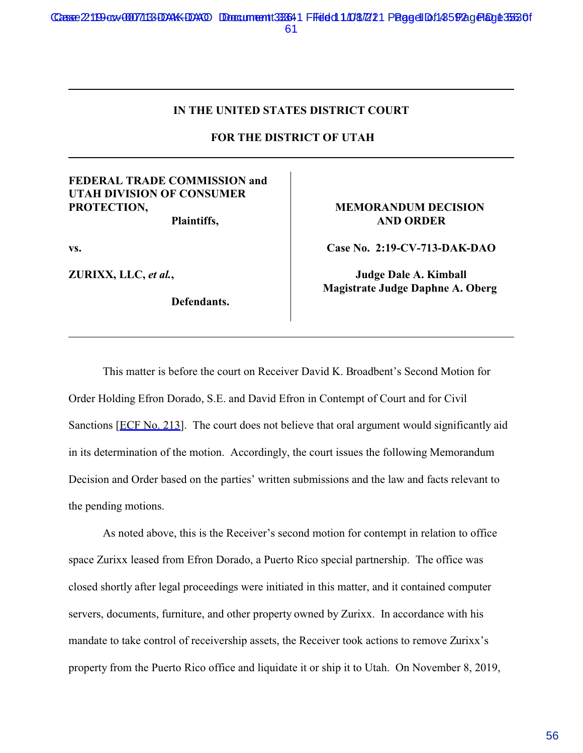## **IN THE UNITED STATES DISTRICT COURT**

 **FOR THE DISTRICT OF UTAH**

## **FEDERAL TRADE COMMISSION and UTAH DIVISION OF CONSUMER PROTECTION,**

**Plaintiffs,**

**vs.**

**ZURIXX, LLC,** *et al.***,** 

**Defendants.** 

#### **MEMORANDUM DECISION AND ORDER**

**Case No. 2:19-CV-713-DAK-DAO**

**Judge Dale A. Kimball Magistrate Judge Daphne A. Oberg** 

This matter is before the court on Receiver David K. Broadbent's Second Motion for Order Holding Efron Dorado, S.E. and David Efron in Contempt of Court and for Civil Sanctions [ECF No. 213]. The court does not believe that oral argument would significantly aid in its determination of the motion. Accordingly, the court issues the following Memorandum Decision and Order based on the parties' written submissions and the law and facts relevant to the pending motions.

As noted above, this is the Receiver's second motion for contempt in relation to office space Zurixx leased from Efron Dorado, a Puerto Rico special partnership. The office was closed shortly after legal proceedings were initiated in this matter, and it contained computer servers, documents, furniture, and other property owned by Zurixx. In accordance with his mandate to take control of receivership assets, the Receiver took actions to remove Zurixx's property from the Puerto Rico office and liquidate it or ship it to Utah. On November 8, 2019,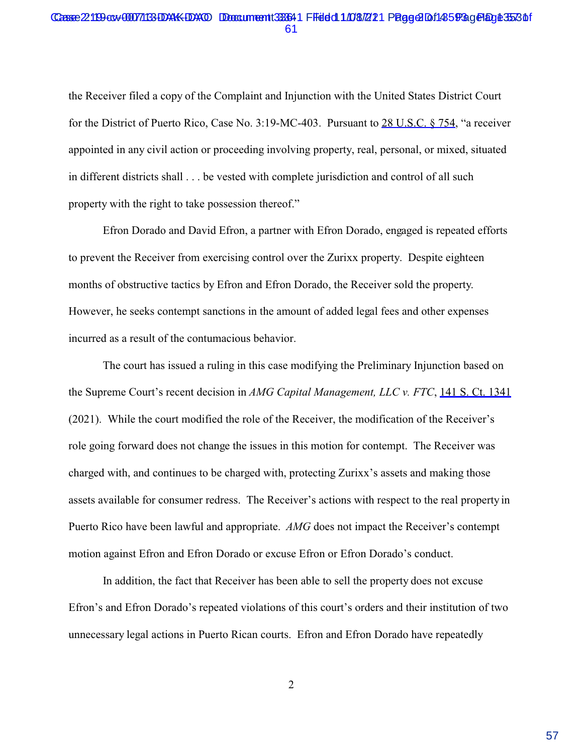#### Casse 22119 av 00071133 DAKK DAO Document 33364 1 FFeleld 1.108.721 Page 2 Df1455 Page 1 Byle 3553 Of 61

the Receiver filed a copy of the Complaint and Injunction with the United States District Court for the District of Puerto Rico, Case No. 3:19-MC-403. Pursuant to 28 U.S.C. § 754, "a receiver appointed in any civil action or proceeding involving property, real, personal, or mixed, situated in different districts shall . . . be vested with complete jurisdiction and control of all such property with the right to take possession thereof."

Efron Dorado and David Efron, a partner with Efron Dorado, engaged is repeated efforts to prevent the Receiver from exercising control over the Zurixx property. Despite eighteen months of obstructive tactics by Efron and Efron Dorado, the Receiver sold the property. However, he seeks contempt sanctions in the amount of added legal fees and other expenses incurred as a result of the contumacious behavior.

The court has issued a ruling in this case modifying the Preliminary Injunction based on the Supreme Court's recent decision in *AMG Capital Management, LLC v. FTC*, 141 S. Ct. 1341 (2021). While the court modified the role of the Receiver, the modification of the Receiver's role going forward does not change the issues in this motion for contempt. The Receiver was charged with, and continues to be charged with, protecting Zurixx's assets and making those assets available for consumer redress. The Receiver's actions with respect to the real property in Puerto Rico have been lawful and appropriate. *AMG* does not impact the Receiver's contempt motion against Efron and Efron Dorado or excuse Efron or Efron Dorado's conduct.

In addition, the fact that Receiver has been able to sell the property does not excuse Efron's and Efron Dorado's repeated violations of this court's orders and their institution of two unnecessary legal actions in Puerto Rican courts. Efron and Efron Dorado have repeatedly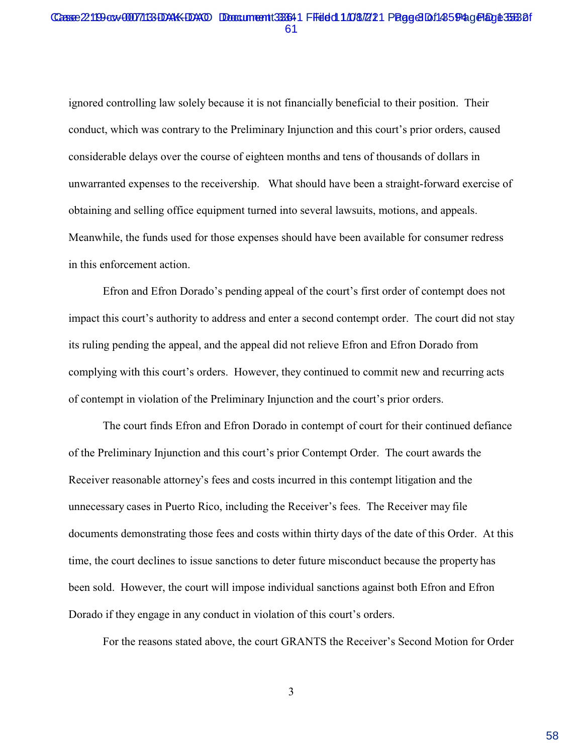#### Casse 22119 av 00071133 DAKK DAO Document 333641 FFeleld 1.108.721 Page 3 Df1455 Page 1 Byle 3563 Df 61

ignored controlling law solely because it is not financially beneficial to their position. Their conduct, which was contrary to the Preliminary Injunction and this court's prior orders, caused considerable delays over the course of eighteen months and tens of thousands of dollars in unwarranted expenses to the receivership. What should have been a straight-forward exercise of obtaining and selling office equipment turned into several lawsuits, motions, and appeals. Meanwhile, the funds used for those expenses should have been available for consumer redress in this enforcement action.

Efron and Efron Dorado's pending appeal of the court's first order of contempt does not impact this court's authority to address and enter a second contempt order. The court did not stay its ruling pending the appeal, and the appeal did not relieve Efron and Efron Dorado from complying with this court's orders. However, they continued to commit new and recurring acts of contempt in violation of the Preliminary Injunction and the court's prior orders.

The court finds Efron and Efron Dorado in contempt of court for their continued defiance of the Preliminary Injunction and this court's prior Contempt Order. The court awards the Receiver reasonable attorney's fees and costs incurred in this contempt litigation and the unnecessary cases in Puerto Rico, including the Receiver's fees. The Receiver may file documents demonstrating those fees and costs within thirty days of the date of this Order. At this time, the court declines to issue sanctions to deter future misconduct because the property has been sold. However, the court will impose individual sanctions against both Efron and Efron Dorado if they engage in any conduct in violation of this court's orders.

For the reasons stated above, the court GRANTS the Receiver's Second Motion for Order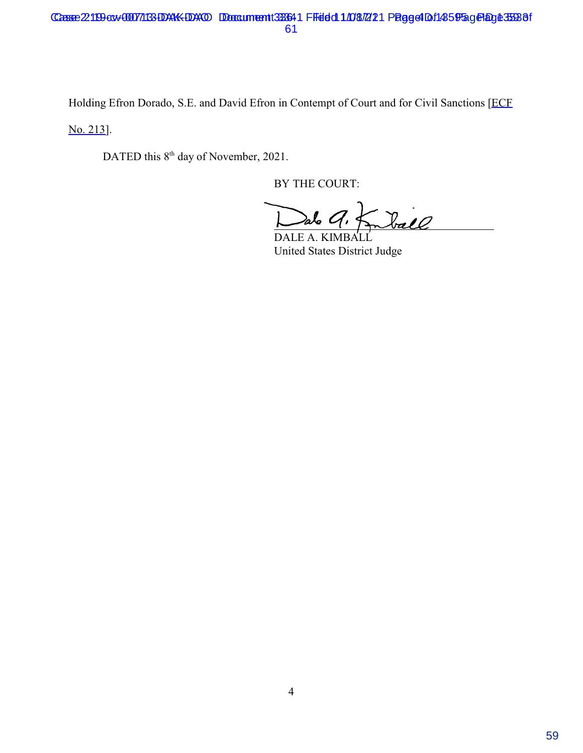Holding Efron Dorado, S.E. and David Efron in Contempt of Court and for Civil Sanctions [ECF

No. 213].

DATED this 8<sup>th</sup> day of November, 2021.

BY THE COURT:

Dalo 9. Kmball alo C  $\overline{1}$ 

United States District Judge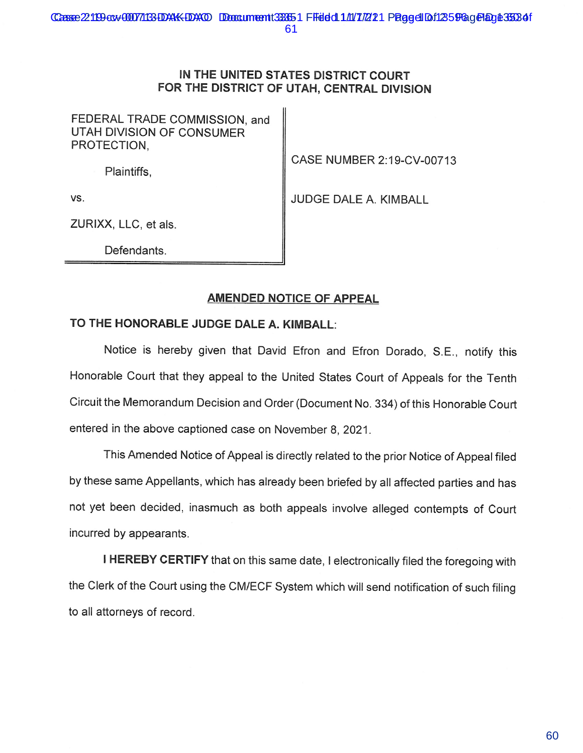## IN THE UNITED STATES DISTRICT COURT FOR THE DISTRICT OF UTAH, CENTRAL DIVISION

FEDERAL TRADE COMMISSION, and UTAH DIVISION OF CONSUMER PROTECTION,

Plaintiffs,

CASE NUMBER 2:19-CV-00713

VS.

JUDGE DALE A. KIMBALL

ZURIXX, LLC, et als.

Defendants.

## **AMENDED NOTICE OF APPEAL**

## TO THE HONORABLE JUDGE DALE A. KIMBALL:

Notice is hereby given that David Efron and Efron Dorado, S.E., notify this Honorable Court that they appeal to the United States Court of Appeals for the Tenth Circuit the Memorandum Decision and Order (Document No. 334) of this Honorable Court entered in the above captioned case on November 8, 2021.

This Amended Notice of Appeal is directly related to the prior Notice of Appeal filed by these same Appellants, which has already been briefed by all affected parties and has not yet been decided, inasmuch as both appeals involve alleged contempts of Court incurred by appearants.

I HEREBY CERTIFY that on this same date, I electronically filed the foregoing with the Clerk of the Court using the CM/ECF System which will send notification of such filing to all attorneys of record.